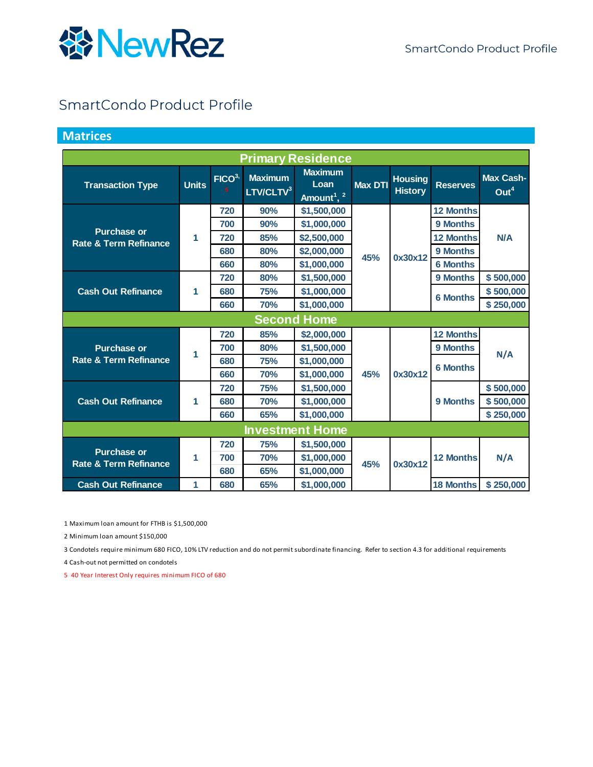

#### SmartCondo Product Profile

#### **Matrices**

| <b>Primary Residence</b>                               |              |                                     |                                         |                                                              |                |                                  |                  |                                      |
|--------------------------------------------------------|--------------|-------------------------------------|-----------------------------------------|--------------------------------------------------------------|----------------|----------------------------------|------------------|--------------------------------------|
| <b>Transaction Type</b>                                | <b>Units</b> | FICO <sup>3</sup><br>5 <sup>1</sup> | <b>Maximum</b><br>LTV/CLTV <sup>3</sup> | <b>Maximum</b><br>Loan<br>Amount <sup>1</sup> , <sup>2</sup> | <b>Max DTI</b> | <b>Housing</b><br><b>History</b> | <b>Reserves</b>  | <b>Max Cash-</b><br>Out <sup>4</sup> |
|                                                        |              | 720                                 | 90%                                     | \$1,500,000                                                  |                |                                  | <b>12 Months</b> |                                      |
| <b>Purchase or</b>                                     |              | 700                                 | 90%                                     | \$1,000,000                                                  |                |                                  | 9 Months         |                                      |
| <b>Rate &amp; Term Refinance</b>                       | 1            | 720                                 | 85%                                     | \$2,500,000                                                  |                |                                  | <b>12 Months</b> | N/A                                  |
|                                                        |              | 680                                 | 80%                                     | \$2,000,000                                                  | 45%            | 0x30x12                          | 9 Months         |                                      |
|                                                        |              | 660                                 | 80%                                     | \$1,000,000                                                  |                |                                  | <b>6 Months</b>  |                                      |
|                                                        |              | 720                                 | 80%                                     | \$1,500,000                                                  |                |                                  | 9 Months         | \$500,000                            |
| <b>Cash Out Refinance</b>                              | 1            | 680                                 | 75%                                     | \$1,000,000                                                  |                |                                  | <b>6 Months</b>  | \$500,000                            |
|                                                        |              | 660                                 | 70%                                     | \$1,000,000                                                  |                |                                  |                  | \$250,000                            |
|                                                        |              |                                     |                                         | <b>Second Home</b>                                           |                |                                  |                  |                                      |
|                                                        |              | 720                                 | 85%                                     | \$2,000,000                                                  |                |                                  | <b>12 Months</b> |                                      |
| <b>Purchase or</b>                                     | 1            | 700                                 | 80%                                     | \$1,500,000                                                  |                |                                  | 9 Months         | N/A                                  |
| <b>Rate &amp; Term Refinance</b>                       |              | 680                                 | 75%                                     | \$1,000,000                                                  |                |                                  | <b>6 Months</b>  |                                      |
|                                                        |              | 660                                 | 70%                                     | \$1,000,000                                                  | 45%            | 0x30x12                          |                  |                                      |
|                                                        |              | 720                                 | 75%                                     | \$1,500,000                                                  |                |                                  |                  | \$500,000                            |
| <b>Cash Out Refinance</b>                              | 1            | 680                                 | <b>70%</b>                              | \$1,000,000                                                  |                |                                  | 9 Months         | \$500,000                            |
|                                                        |              | 660                                 | 65%                                     | \$1,000,000                                                  |                |                                  |                  | \$250,000                            |
| <b>Investment Home</b>                                 |              |                                     |                                         |                                                              |                |                                  |                  |                                      |
|                                                        |              | 720                                 | 75%                                     | \$1,500,000                                                  |                |                                  |                  |                                      |
| <b>Purchase or</b><br><b>Rate &amp; Term Refinance</b> | 1            | 700                                 | 70%                                     | \$1,000,000                                                  | 45%            | 0x30x12                          | <b>12 Months</b> | N/A                                  |
|                                                        |              | 680                                 | 65%                                     | \$1,000,000                                                  |                |                                  |                  |                                      |
| <b>Cash Out Refinance</b>                              | 1            | 680                                 | 65%                                     | \$1,000,000                                                  |                |                                  | <b>18 Months</b> | \$250,000                            |

1 Maximum loan amount for FTHB is \$1,500,000

2 Minimum loan amount \$150,000

3 Condotels require minimum 680 FICO, 10% LTV reduction and do not permit subordinate financing. Refer to section 4.3 for additional requirements

4 Cash-out not permitted on condotels

5 40 Year Interest Only requires minimum FICO of 680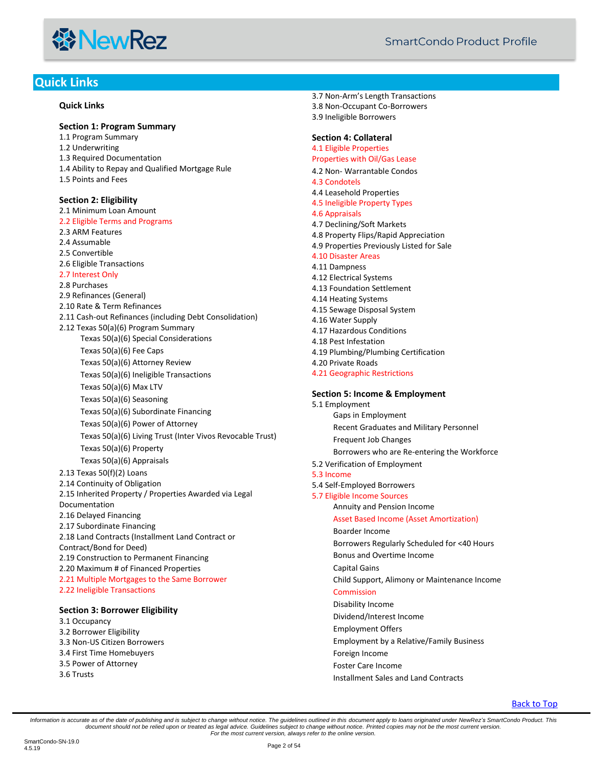

#### <span id="page-1-0"></span>**Quick Links**

#### **[Quick Links](#page-1-0)**

**[Section 1: Program Summary](#page-3-0)**

[1.1 Program Summary](#page-3-1) [1.2 Underwriting](#page-3-2) [1.3 Required Documentation](#page-3-3) [1.4 Ability to Repay and Qualified Mortgage Rule](#page-3-4) [1.5 Points and Fees](#page-3-5)

**[Section 2: Eligibility](#page-3-6)** [2.1 Minimum Loan Amount](#page-3-7) [2.2 Eligible Terms and Programs](#page-3-8) [2.3 ARM Features](#page-4-0) [2.4 Assumable](#page-4-1) [2.5 Convertible](#page-4-2) [2.6 Eligible Transactions](#page-4-3) [2.7 Interest Only](#page-4-4) [2.8 Purchases](#page-4-5) [2.9 Refinances \(General\)](#page-4-6) [2.10 Rate & Term Refinances](#page-5-0) [2.11 Cash-out Refinances \(including Debt Consolidation\)](#page-5-1) [2.12 Texas 50\(a\)\(6\) Program Summary](#page-6-0) Texas [50\(a\)\(6\) Special Considerations](#page-6-1) [Texas 50\(a\)\(6\) Fee Caps](#page-6-2) [Texas 50\(a\)\(6\) Attorney Review](#page-6-3) [Texas 50\(a\)\(6\) Ineligible Transactions](#page-6-4) Texas [50\(a\)\(6\) Max LTV](#page-6-5) [Texas 50\(a\)\(6\) Seasoning](#page-6-6) [Texas 50\(a\)\(6\) Subordinate Financing](#page-7-0) [Texas 50\(a\)\(6\) Power of Attorney](#page-7-1) [Texas 50\(a\)\(6\) Living Trust \(Inter Vivos Revocable Trust\)](#page-7-2) [Texas 50\(a\)\(6\) Property](#page-7-3) [Texas 50\(a\)\(6\) Appraisals](#page-7-4) [2.13 Texas 50\(f\)\(2\) Loans](#page-7-5) [2.14 Continuity of Obligation](#page-8-0) [2.15 Inherited Property / Properties Awarded via Legal](#page-8-1)  [Documentation](#page-8-1) [2.16 Delayed Financing](#page-8-2) [2.17 Subordinate Financing](#page-9-0) [2.18 Land Contracts \(Installment Land Contract or](#page-9-1)  [Contract/Bond for Deed\)](#page-9-1) [2.19 Construction to Permanent Financing](#page-9-2) [2.20 Maximum # of Financed Properties](#page-10-0) [2.21 Multiple Mortgages to the Same Borrower](#page-10-1) [2.22 Ineligible Transactions](#page-10-2)

#### **[Section 3: Borrower Eligibility](#page-11-0)**

[3.1 Occupancy](#page-11-1) [3.2 Borrower Eligibility](#page-11-2) [3.3 Non-US Citizen Borrowers](#page-11-3) [3.4 First Time Homebuyers](#page-12-0) [3.5 Power of Attorney](#page-12-1) [3.6 Trusts](#page-13-0)

3.7 Non-Ar[m's Length Transactions](#page-14-0) [3.8 Non-Occupant Co-Borrowers](#page-15-0) [3.9 Ineligible Borrowers](#page-15-1)

#### **[Section 4: Collateral](#page-15-2)**

[4.1 Eligible Properties](#page-15-3) [Properties with Oil/Gas Lease](#page-15-4)

- 4.2 Non- [Warrantable Condos](#page-15-5)
- [4.3 Condotels](#page-16-0)
- [4.4 Leasehold Properties](#page-17-0)
- [4.5 Ineligible Property Types](#page-17-1)
- [4.6 Appraisals](#page-17-2)
- [4.7 Declining/Soft Markets](#page-18-0)
- [4.8 Property Flips/Rapid Appreciation](#page-18-1)
- [4.9 Properties Previously Listed for Sale](#page-19-0)

#### [4.10 Disaster Areas](#page-19-1)

- [4.11 Dampness](#page-19-2)
- [4.12 Electrical Systems](#page-19-3)
- [4.13 Foundation Settlement](#page-19-4)
- [4.14 Heating Systems](#page-20-0)
- [4.15 Sewage Disposal System](#page-20-1)
- [4.16 Water Supply](#page-20-2)
- [4.17 Hazardous Conditions](#page-20-3)
- [4.18 Pest Infestation](#page-20-4)
- [4.19 Plumbing/Plumbing Certification](#page-21-0)
- [4.20 Private Roads](#page-21-1)
- [4.21 Geographic Restrictions](#page-21-2)

#### **[Section 5: Income & Employment](#page-21-3)**

- [5.1 Employment](#page-21-4) [Gaps in Employment](#page-21-5) [Recent Graduates and Military Personnel](#page-21-6) [Frequent Job Changes](#page-21-7) [Borrowers who are Re-entering the Workforce](#page-21-8) [5.2 Verification of Employment](#page-21-9) [5.3 Income](#page-22-0) [5.4 Self-Employed Borrowers](#page-23-0) [5.7 Eligible Income Sources](#page-24-0) [Annuity and Pension Income](#page-24-1) [Asset Based Income \(Asset Amortization\)](#page-24-2) [Boarder Income](#page-25-0) [Borrowers Regularly Scheduled for <40 Hours](#page-25-1) [Bonus and Overtime Income](#page-25-2)
	- [Capital Gains](#page-25-3)
	- [Child Support, Alimony or Maintenance Income](#page-26-0)

#### [Commission](#page-26-1)

- [Disability Income](#page-26-2)
- [Dividend/Interest Income](#page-26-3)
- [Employment Offers](#page-27-0)
- [Employment by a Relative/Family Business](#page-27-1)
- [Foreign Income](#page-27-2)
- [Foster Care Income](#page-27-3)
- [Installment Sales and Land Contracts](#page-27-4)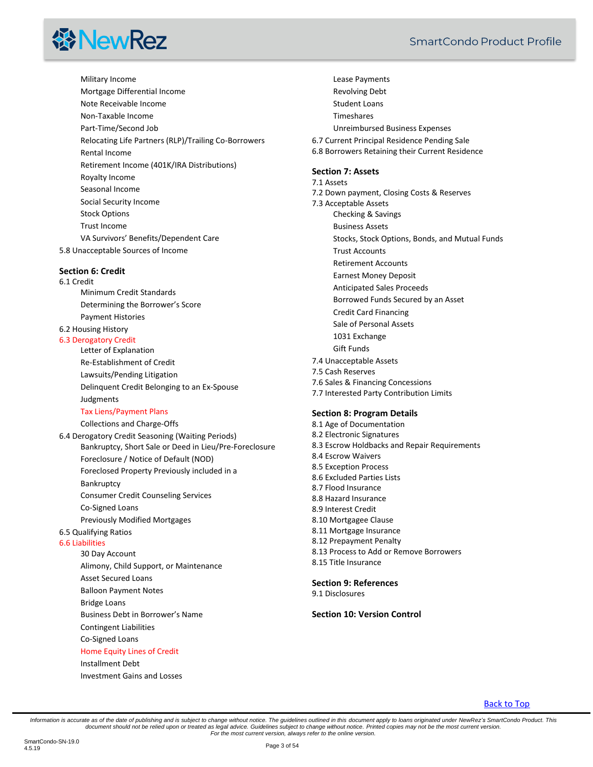# **线NewRez**

[Military Income](#page-27-5) [Mortgage Differential Income](#page-28-0) [Note Receivable Income](#page-28-1) [Non-Taxable Income](#page-28-2) [Part-Time/Second Job](#page-28-3) [Relocating Life Partners \(RLP\)/Trailing Co-Borrowers](#page-29-0) [Rental Income](#page-29-1) [Retirement Income \(401K/IRA Distributions\)](#page-29-2) [Royalty Income](#page-30-0) [Seasonal Income](#page-30-1) [Social Security Income](#page-30-2) [Stock Options](#page-30-3) [Trust Income](#page-30-4) [VA Survivors' Benefits/Dependent Care](#page-31-0) [5.8 Unacceptable Sources of Income](#page-31-1)

**[Section 6: Credit](#page-31-2)**

#### [6.1 Credit](#page-31-3)

[Minimum Credit Standards](#page-31-4) [Determining the Borrower's Score](#page-32-0) [Payment Histories](#page-32-1)

#### [6.2 Housing History](#page-32-2)

#### [6.3 Derogatory Credit](#page-33-0)

[Letter of Explanation](#page-33-1) [Re-Establishment of Credit](#page-33-2) [Lawsuits/Pending Litigation](#page-33-3) [Delinquent Credit Belonging to an Ex-Spouse](#page-33-4) [Judgments](#page-33-5)

#### [Tax Liens/Payment Plans](#page-34-0)

[Collections and Charge-Offs](#page-34-1)

[6.4 Derogatory Credit Seasoning \(Waiting Periods\)](#page-34-2) [Bankruptcy, Short Sale or Deed in Lieu/Pre-Foreclosure](#page-34-3) [Foreclosure / Notice of Default \(NOD\)](#page-34-4) [Foreclosed Property Previously included in a](#page-34-5)  [Bankruptcy](#page-34-5) [Consumer Credit Counseling Services](#page-34-6) [Co-Signed Loans](#page-34-7) [Previously Modified Mortgages](#page-34-8) [6.5 Qualifying Ratios](#page-35-0) [6.6 Liabilities](#page-35-1)

[30 Day Account](#page-36-0) [Alimony, Child Support, or Maintenance](#page-36-1) [Asset Secured Loans](#page-36-2) [Balloon Payment Notes](#page-36-3) [Bridge Loans](#page-36-4) Business D[ebt in Borrower's Name](#page-36-5) [Contingent Liabilities](#page-37-0) [Co-Signed Loans](#page-37-1)

[Home Equity Lines of Credit](#page-37-2) [Installment Debt](#page-37-3)

[Investment Gains and Losses](#page-38-0)

SmartCondo Product Profile

[Lease Payments](#page-38-1) [Revolving Debt](#page-38-2) [Student Loans](#page-38-3) [Timeshares](#page-38-4) Unreimbursed [Business Expenses](#page-38-5) [6.7 Current Principal Residence Pending Sale](#page-39-0) [6.8 Borrowers Retaining their Current Residence](#page-39-1) **[Section 7: Assets](#page-39-2)** [7.1 Assets](#page-39-3) [7.2 Down payment, Closing Costs & Reserves](#page-40-0) [7.3 Acceptable Assets](#page-40-1) [Checking & Savings](#page-40-2) [Business Assets](#page-40-3) [Stocks, Stock Options, Bonds, and Mutual Funds](#page-41-0) [Trust Accounts](#page-41-1) [Retirement Accounts](#page-42-0) [Earnest Money Deposit](#page-42-1) [Anticipated Sales Proceeds](#page-42-2) [Borrowed Funds Secured by an Asset](#page-43-0) [Credit Card Financing](#page-43-1) [Sale of Personal Assets](#page-43-2) [1031 Exchange](#page-44-0) [Gift Funds](#page-44-1) [7.4 Unacceptable Assets](#page-45-0) [7.5 Cash Reserves](#page-45-1) [7.6 Sales & Financing Concessions](#page-46-0) [7.7 Interested Party Contribution Limits](#page-47-0)

#### **[Section 8: Program Details](#page-47-1)**

[8.1 Age of Documentation](#page-47-2) [8.2 Electronic Signatures](#page-47-3) [8.3 Escrow Holdbacks and Repair Requirements](#page-47-4) [8.4 Escrow Waivers](#page-48-0) [8.5 Exception Process](#page-48-1) [8.6 Excluded Parties Lists](#page-48-2) [8.7 Flood Insurance](#page-48-3) [8.8 Hazard Insurance](#page-49-0) [8.9 Interest Credit](#page-50-0) [8.10 Mortgagee Clause](#page-50-1) [8.11 Mortgage Insurance](#page-50-2) [8.12 Prepayment Penalty](#page-50-3) 8.13 Process to [Add or Remove Borrowers](#page-50-4) [8.15 Title Insurance](#page-51-0)

#### **[Section 9: References](#page-52-0)**

[9.1 Disclosures](#page-53-0)

#### **[Section 10: Version Control](#page-53-1)**

#### [Back to Top](#page-1-0)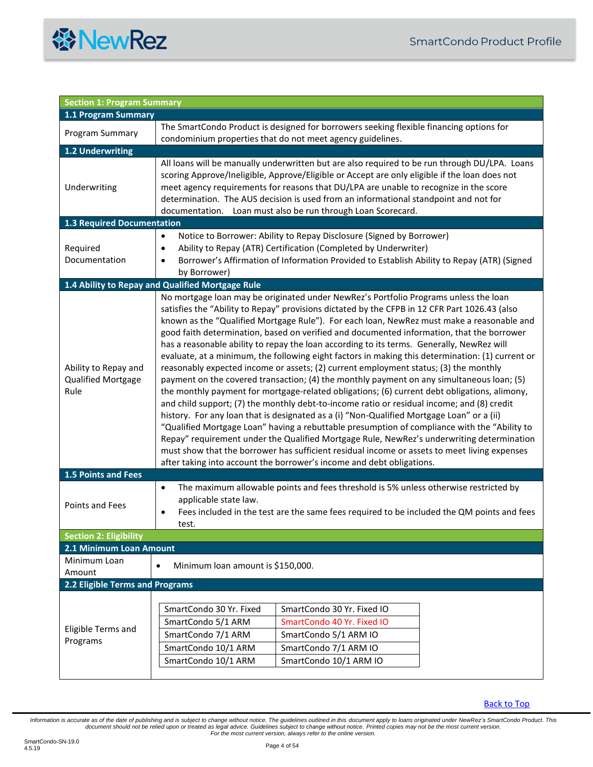

<span id="page-3-8"></span><span id="page-3-7"></span><span id="page-3-6"></span><span id="page-3-5"></span><span id="page-3-4"></span><span id="page-3-3"></span><span id="page-3-2"></span><span id="page-3-1"></span><span id="page-3-0"></span>

| <b>Section 1: Program Summary</b>                  |                                                                                                                                                                                                                                                                                                                                                                                                                                                                                                                                                                                                                                                                                                                                                                                                                                                                                                                                                                                                                                                                                                                                                                                                                                                                                                                                                               |  |  |
|----------------------------------------------------|---------------------------------------------------------------------------------------------------------------------------------------------------------------------------------------------------------------------------------------------------------------------------------------------------------------------------------------------------------------------------------------------------------------------------------------------------------------------------------------------------------------------------------------------------------------------------------------------------------------------------------------------------------------------------------------------------------------------------------------------------------------------------------------------------------------------------------------------------------------------------------------------------------------------------------------------------------------------------------------------------------------------------------------------------------------------------------------------------------------------------------------------------------------------------------------------------------------------------------------------------------------------------------------------------------------------------------------------------------------|--|--|
| 1.1 Program Summary                                |                                                                                                                                                                                                                                                                                                                                                                                                                                                                                                                                                                                                                                                                                                                                                                                                                                                                                                                                                                                                                                                                                                                                                                                                                                                                                                                                                               |  |  |
| Program Summary                                    | The SmartCondo Product is designed for borrowers seeking flexible financing options for<br>condominium properties that do not meet agency guidelines.                                                                                                                                                                                                                                                                                                                                                                                                                                                                                                                                                                                                                                                                                                                                                                                                                                                                                                                                                                                                                                                                                                                                                                                                         |  |  |
| 1.2 Underwriting                                   |                                                                                                                                                                                                                                                                                                                                                                                                                                                                                                                                                                                                                                                                                                                                                                                                                                                                                                                                                                                                                                                                                                                                                                                                                                                                                                                                                               |  |  |
| Underwriting                                       | All loans will be manually underwritten but are also required to be run through DU/LPA. Loans<br>scoring Approve/Ineligible, Approve/Eligible or Accept are only eligible if the loan does not<br>meet agency requirements for reasons that DU/LPA are unable to recognize in the score<br>determination. The AUS decision is used from an informational standpoint and not for<br>documentation. Loan must also be run through Loan Scorecard.                                                                                                                                                                                                                                                                                                                                                                                                                                                                                                                                                                                                                                                                                                                                                                                                                                                                                                               |  |  |
| <b>1.3 Required Documentation</b>                  |                                                                                                                                                                                                                                                                                                                                                                                                                                                                                                                                                                                                                                                                                                                                                                                                                                                                                                                                                                                                                                                                                                                                                                                                                                                                                                                                                               |  |  |
| Required<br>Documentation                          | Notice to Borrower: Ability to Repay Disclosure (Signed by Borrower)<br>$\bullet$<br>Ability to Repay (ATR) Certification (Completed by Underwriter)<br>$\bullet$<br>Borrower's Affirmation of Information Provided to Establish Ability to Repay (ATR) (Signed<br>$\bullet$<br>by Borrower)                                                                                                                                                                                                                                                                                                                                                                                                                                                                                                                                                                                                                                                                                                                                                                                                                                                                                                                                                                                                                                                                  |  |  |
|                                                    | 1.4 Ability to Repay and Qualified Mortgage Rule                                                                                                                                                                                                                                                                                                                                                                                                                                                                                                                                                                                                                                                                                                                                                                                                                                                                                                                                                                                                                                                                                                                                                                                                                                                                                                              |  |  |
| Ability to Repay and<br>Qualified Mortgage<br>Rule | No mortgage loan may be originated under NewRez's Portfolio Programs unless the loan<br>satisfies the "Ability to Repay" provisions dictated by the CFPB in 12 CFR Part 1026.43 (also<br>known as the "Qualified Mortgage Rule"). For each loan, NewRez must make a reasonable and<br>good faith determination, based on verified and documented information, that the borrower<br>has a reasonable ability to repay the loan according to its terms. Generally, NewRez will<br>evaluate, at a minimum, the following eight factors in making this determination: (1) current or<br>reasonably expected income or assets; (2) current employment status; (3) the monthly<br>payment on the covered transaction; (4) the monthly payment on any simultaneous loan; (5)<br>the monthly payment for mortgage-related obligations; (6) current debt obligations, alimony,<br>and child support; (7) the monthly debt-to-income ratio or residual income; and (8) credit<br>history. For any loan that is designated as a (i) "Non-Qualified Mortgage Loan" or a (ii)<br>"Qualified Mortgage Loan" having a rebuttable presumption of compliance with the "Ability to<br>Repay" requirement under the Qualified Mortgage Rule, NewRez's underwriting determination<br>must show that the borrower has sufficient residual income or assets to meet living expenses |  |  |
| 1.5 Points and Fees                                | after taking into account the borrower's income and debt obligations.                                                                                                                                                                                                                                                                                                                                                                                                                                                                                                                                                                                                                                                                                                                                                                                                                                                                                                                                                                                                                                                                                                                                                                                                                                                                                         |  |  |
| Points and Fees                                    | The maximum allowable points and fees threshold is 5% unless otherwise restricted by<br>$\bullet$<br>applicable state law.<br>Fees included in the test are the same fees required to be included the QM points and fees<br>٠<br>test.                                                                                                                                                                                                                                                                                                                                                                                                                                                                                                                                                                                                                                                                                                                                                                                                                                                                                                                                                                                                                                                                                                                        |  |  |
| <b>Section 2: Eligibility</b>                      |                                                                                                                                                                                                                                                                                                                                                                                                                                                                                                                                                                                                                                                                                                                                                                                                                                                                                                                                                                                                                                                                                                                                                                                                                                                                                                                                                               |  |  |
| 2.1 Minimum Loan Amount                            |                                                                                                                                                                                                                                                                                                                                                                                                                                                                                                                                                                                                                                                                                                                                                                                                                                                                                                                                                                                                                                                                                                                                                                                                                                                                                                                                                               |  |  |
| Minimum Loan<br>Amount                             | Minimum loan amount is \$150,000.<br>$\bullet$                                                                                                                                                                                                                                                                                                                                                                                                                                                                                                                                                                                                                                                                                                                                                                                                                                                                                                                                                                                                                                                                                                                                                                                                                                                                                                                |  |  |
| 2.2 Eligible Terms and Programs                    |                                                                                                                                                                                                                                                                                                                                                                                                                                                                                                                                                                                                                                                                                                                                                                                                                                                                                                                                                                                                                                                                                                                                                                                                                                                                                                                                                               |  |  |
| Eligible Terms and<br>Programs                     | SmartCondo 30 Yr. Fixed<br>SmartCondo 30 Yr. Fixed IO<br>SmartCondo 5/1 ARM<br>SmartCondo 40 Yr. Fixed IO<br>SmartCondo 7/1 ARM<br>SmartCondo 5/1 ARM IO<br>SmartCondo 10/1 ARM<br>SmartCondo 7/1 ARM IO<br>SmartCondo 10/1 ARM<br>SmartCondo 10/1 ARM IO                                                                                                                                                                                                                                                                                                                                                                                                                                                                                                                                                                                                                                                                                                                                                                                                                                                                                                                                                                                                                                                                                                     |  |  |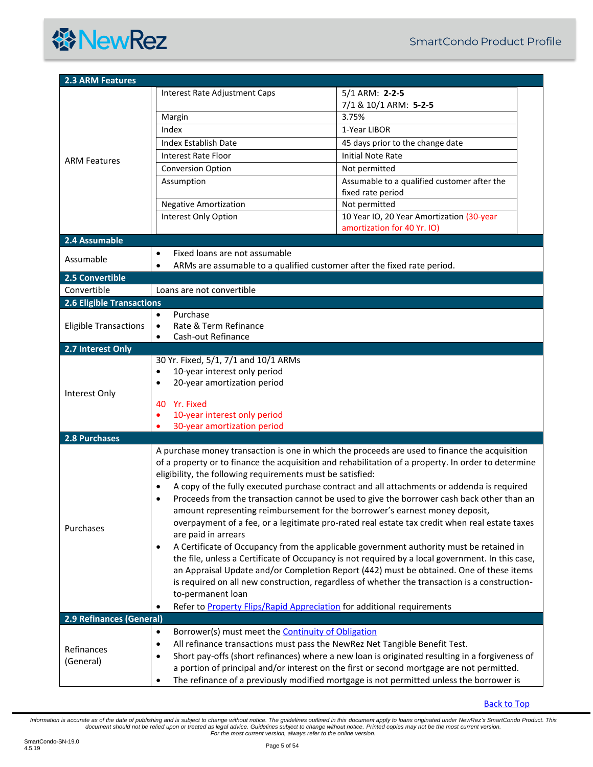<span id="page-4-5"></span><span id="page-4-4"></span><span id="page-4-3"></span><span id="page-4-2"></span><span id="page-4-1"></span><span id="page-4-0"></span>

| <b>2.3 ARM Features</b>          |                                                                                                                                                                   |                                                                         |  |  |  |
|----------------------------------|-------------------------------------------------------------------------------------------------------------------------------------------------------------------|-------------------------------------------------------------------------|--|--|--|
|                                  | Interest Rate Adjustment Caps                                                                                                                                     | 5/1 ARM: 2-2-5<br>7/1 & 10/1 ARM: 5-2-5                                 |  |  |  |
|                                  | Margin                                                                                                                                                            | 3.75%                                                                   |  |  |  |
|                                  | Index                                                                                                                                                             | 1-Year LIBOR                                                            |  |  |  |
|                                  | Index Establish Date                                                                                                                                              | 45 days prior to the change date                                        |  |  |  |
|                                  | <b>Interest Rate Floor</b>                                                                                                                                        | <b>Initial Note Rate</b>                                                |  |  |  |
| <b>ARM Features</b>              | <b>Conversion Option</b>                                                                                                                                          | Not permitted                                                           |  |  |  |
|                                  | Assumption                                                                                                                                                        | Assumable to a qualified customer after the                             |  |  |  |
|                                  |                                                                                                                                                                   | fixed rate period                                                       |  |  |  |
|                                  | <b>Negative Amortization</b>                                                                                                                                      | Not permitted                                                           |  |  |  |
|                                  | Interest Only Option                                                                                                                                              | 10 Year IO, 20 Year Amortization (30-year                               |  |  |  |
|                                  |                                                                                                                                                                   | amortization for 40 Yr. IO)                                             |  |  |  |
| 2.4 Assumable                    |                                                                                                                                                                   |                                                                         |  |  |  |
| Assumable                        | Fixed loans are not assumable<br>$\bullet$                                                                                                                        |                                                                         |  |  |  |
|                                  |                                                                                                                                                                   | ARMs are assumable to a qualified customer after the fixed rate period. |  |  |  |
| 2.5 Convertible                  |                                                                                                                                                                   |                                                                         |  |  |  |
| Convertible                      | Loans are not convertible                                                                                                                                         |                                                                         |  |  |  |
| <b>2.6 Eligible Transactions</b> |                                                                                                                                                                   |                                                                         |  |  |  |
|                                  | Purchase<br>$\bullet$                                                                                                                                             |                                                                         |  |  |  |
| <b>Eligible Transactions</b>     | Cash-out Refinance<br>$\bullet$                                                                                                                                   | Rate & Term Refinance<br>$\bullet$                                      |  |  |  |
| 2.7 Interest Only                |                                                                                                                                                                   |                                                                         |  |  |  |
|                                  | 30 Yr. Fixed, 5/1, 7/1 and 10/1 ARMs                                                                                                                              |                                                                         |  |  |  |
|                                  | 10-year interest only period<br>$\bullet$                                                                                                                         |                                                                         |  |  |  |
|                                  | 20-year amortization period<br>$\bullet$                                                                                                                          |                                                                         |  |  |  |
| Interest Only                    |                                                                                                                                                                   |                                                                         |  |  |  |
|                                  | 40 Yr. Fixed                                                                                                                                                      |                                                                         |  |  |  |
|                                  | 10-year interest only period<br>٠                                                                                                                                 |                                                                         |  |  |  |
| 2.8 Purchases                    | 30-year amortization period                                                                                                                                       |                                                                         |  |  |  |
|                                  |                                                                                                                                                                   |                                                                         |  |  |  |
|                                  | A purchase money transaction is one in which the proceeds are used to finance the acquisition                                                                     |                                                                         |  |  |  |
|                                  | of a property or to finance the acquisition and rehabilitation of a property. In order to determine<br>eligibility, the following requirements must be satisfied: |                                                                         |  |  |  |
|                                  | A copy of the fully executed purchase contract and all attachments or addenda is required                                                                         |                                                                         |  |  |  |
|                                  | Proceeds from the transaction cannot be used to give the borrower cash back other than an                                                                         |                                                                         |  |  |  |
|                                  | amount representing reimbursement for the borrower's earnest money deposit,                                                                                       |                                                                         |  |  |  |
|                                  | overpayment of a fee, or a legitimate pro-rated real estate tax credit when real estate taxes                                                                     |                                                                         |  |  |  |
| Purchases                        | are paid in arrears                                                                                                                                               |                                                                         |  |  |  |
|                                  | A Certificate of Occupancy from the applicable government authority must be retained in<br>$\bullet$                                                              |                                                                         |  |  |  |
|                                  | the file, unless a Certificate of Occupancy is not required by a local government. In this case,                                                                  |                                                                         |  |  |  |
|                                  | an Appraisal Update and/or Completion Report (442) must be obtained. One of these items                                                                           |                                                                         |  |  |  |
|                                  | is required on all new construction, regardless of whether the transaction is a construction-                                                                     |                                                                         |  |  |  |
|                                  | to-permanent loan                                                                                                                                                 |                                                                         |  |  |  |
|                                  |                                                                                                                                                                   | Refer to Property Flips/Rapid Appreciation for additional requirements  |  |  |  |
| 2.9 Refinances (General)         |                                                                                                                                                                   |                                                                         |  |  |  |
|                                  | Borrower(s) must meet the <b>Continuity of Obligation</b><br>٠                                                                                                    |                                                                         |  |  |  |
| Refinances                       | All refinance transactions must pass the NewRez Net Tangible Benefit Test.<br>$\bullet$                                                                           |                                                                         |  |  |  |
| (General)                        | Short pay-offs (short refinances) where a new loan is originated resulting in a forgiveness of<br>$\bullet$                                                       |                                                                         |  |  |  |
|                                  | a portion of principal and/or interest on the first or second mortgage are not permitted.                                                                         |                                                                         |  |  |  |
|                                  | The refinance of a previously modified mortgage is not permitted unless the borrower is<br>$\bullet$                                                              |                                                                         |  |  |  |

<span id="page-4-6"></span>[Back to Top](#page-1-0)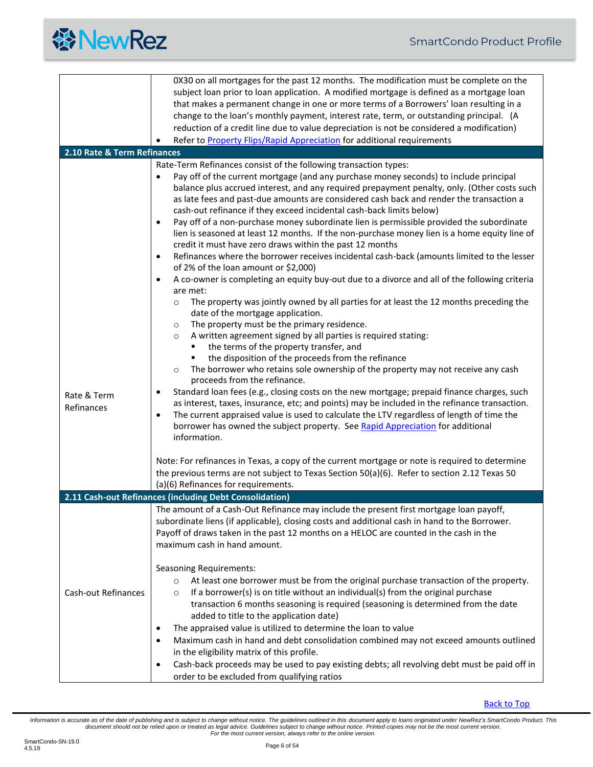<span id="page-5-1"></span><span id="page-5-0"></span>

|                             | 0X30 on all mortgages for the past 12 months. The modification must be complete on the                                                                                                 |
|-----------------------------|----------------------------------------------------------------------------------------------------------------------------------------------------------------------------------------|
|                             | subject loan prior to loan application. A modified mortgage is defined as a mortgage loan                                                                                              |
|                             | that makes a permanent change in one or more terms of a Borrowers' loan resulting in a                                                                                                 |
|                             | change to the loan's monthly payment, interest rate, term, or outstanding principal. (A                                                                                                |
|                             | reduction of a credit line due to value depreciation is not be considered a modification)                                                                                              |
|                             | Refer to <b>Property Flips/Rapid Appreciation</b> for additional requirements                                                                                                          |
| 2.10 Rate & Term Refinances |                                                                                                                                                                                        |
|                             | Rate-Term Refinances consist of the following transaction types:                                                                                                                       |
|                             | Pay off of the current mortgage (and any purchase money seconds) to include principal<br>$\bullet$                                                                                     |
|                             | balance plus accrued interest, and any required prepayment penalty, only. (Other costs such                                                                                            |
|                             | as late fees and past-due amounts are considered cash back and render the transaction a                                                                                                |
|                             | cash-out refinance if they exceed incidental cash-back limits below)                                                                                                                   |
|                             | Pay off of a non-purchase money subordinate lien is permissible provided the subordinate<br>$\bullet$                                                                                  |
|                             | lien is seasoned at least 12 months. If the non-purchase money lien is a home equity line of                                                                                           |
|                             | credit it must have zero draws within the past 12 months                                                                                                                               |
|                             | Refinances where the borrower receives incidental cash-back (amounts limited to the lesser<br>$\bullet$                                                                                |
|                             | of 2% of the loan amount or \$2,000)                                                                                                                                                   |
|                             | A co-owner is completing an equity buy-out due to a divorce and all of the following criteria<br>$\bullet$                                                                             |
|                             | are met:                                                                                                                                                                               |
|                             | The property was jointly owned by all parties for at least the 12 months preceding the<br>$\circ$                                                                                      |
|                             | date of the mortgage application.                                                                                                                                                      |
|                             | The property must be the primary residence.<br>$\circ$                                                                                                                                 |
|                             | A written agreement signed by all parties is required stating:<br>$\circ$                                                                                                              |
|                             | the terms of the property transfer, and                                                                                                                                                |
|                             | the disposition of the proceeds from the refinance                                                                                                                                     |
|                             | The borrower who retains sole ownership of the property may not receive any cash<br>$\circ$                                                                                            |
|                             | proceeds from the refinance.                                                                                                                                                           |
| Rate & Term                 | Standard loan fees (e.g., closing costs on the new mortgage; prepaid finance charges, such<br>$\bullet$                                                                                |
| Refinances                  | as interest, taxes, insurance, etc; and points) may be included in the refinance transaction.                                                                                          |
|                             | The current appraised value is used to calculate the LTV regardless of length of time the<br>$\bullet$                                                                                 |
|                             | borrower has owned the subject property. See Rapid Appreciation for additional                                                                                                         |
|                             | information.                                                                                                                                                                           |
|                             | Note: For refinances in Texas, a copy of the current mortgage or note is required to determine                                                                                         |
|                             | the previous terms are not subject to Texas Section 50(a)(6). Refer to section 2.12 Texas 50                                                                                           |
|                             | (a)(6) Refinances for requirements.                                                                                                                                                    |
|                             |                                                                                                                                                                                        |
|                             | 2.11 Cash-out Refinances (including Debt Consolidation)                                                                                                                                |
|                             | The amount of a Cash-Out Refinance may include the present first mortgage loan payoff,                                                                                                 |
|                             | subordinate liens (if applicable), closing costs and additional cash in hand to the Borrower.<br>Payoff of draws taken in the past 12 months on a HELOC are counted in the cash in the |
|                             |                                                                                                                                                                                        |
|                             | maximum cash in hand amount.                                                                                                                                                           |
|                             | <b>Seasoning Requirements:</b>                                                                                                                                                         |
|                             |                                                                                                                                                                                        |
|                             | At least one borrower must be from the original purchase transaction of the property.<br>$\circ$                                                                                       |
| Cash-out Refinances         | If a borrower(s) is on title without an individual(s) from the original purchase<br>$\circ$                                                                                            |
|                             | transaction 6 months seasoning is required (seasoning is determined from the date<br>added to title to the application date)                                                           |
|                             | The appraised value is utilized to determine the loan to value                                                                                                                         |
|                             | ٠                                                                                                                                                                                      |
|                             | Maximum cash in hand and debt consolidation combined may not exceed amounts outlined<br>$\bullet$                                                                                      |
|                             | in the eligibility matrix of this profile.                                                                                                                                             |
|                             | Cash-back proceeds may be used to pay existing debts; all revolving debt must be paid off in<br>$\bullet$                                                                              |
|                             | order to be excluded from qualifying ratios                                                                                                                                            |

[Back to Top](#page-1-0)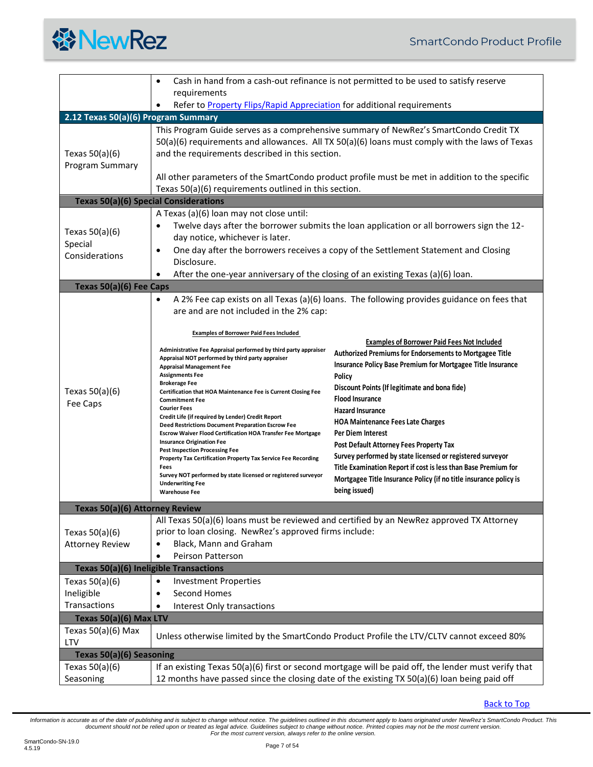

<span id="page-6-6"></span><span id="page-6-5"></span><span id="page-6-4"></span><span id="page-6-3"></span><span id="page-6-2"></span><span id="page-6-1"></span><span id="page-6-0"></span>

|                                                                                             | $\bullet$                                                                                                                                                                                                                                                                                                                                                                                                                                                                                                                                                                                                                                                                                                                                                                                                                                                                                     | Cash in hand from a cash-out refinance is not permitted to be used to satisfy reserve                                                                                                                                                                                                                                                                                                                                                                                                                                                                                                                                                                                                                                                      |  |  |
|---------------------------------------------------------------------------------------------|-----------------------------------------------------------------------------------------------------------------------------------------------------------------------------------------------------------------------------------------------------------------------------------------------------------------------------------------------------------------------------------------------------------------------------------------------------------------------------------------------------------------------------------------------------------------------------------------------------------------------------------------------------------------------------------------------------------------------------------------------------------------------------------------------------------------------------------------------------------------------------------------------|--------------------------------------------------------------------------------------------------------------------------------------------------------------------------------------------------------------------------------------------------------------------------------------------------------------------------------------------------------------------------------------------------------------------------------------------------------------------------------------------------------------------------------------------------------------------------------------------------------------------------------------------------------------------------------------------------------------------------------------------|--|--|
|                                                                                             | requirements<br>Refer to Property Flips/Rapid Appreciation for additional requirements<br>$\bullet$                                                                                                                                                                                                                                                                                                                                                                                                                                                                                                                                                                                                                                                                                                                                                                                           |                                                                                                                                                                                                                                                                                                                                                                                                                                                                                                                                                                                                                                                                                                                                            |  |  |
| 2.12 Texas 50(a)(6) Program Summary                                                         |                                                                                                                                                                                                                                                                                                                                                                                                                                                                                                                                                                                                                                                                                                                                                                                                                                                                                               |                                                                                                                                                                                                                                                                                                                                                                                                                                                                                                                                                                                                                                                                                                                                            |  |  |
| Texas $50(a)(6)$<br>Program Summary                                                         | This Program Guide serves as a comprehensive summary of NewRez's SmartCondo Credit TX<br>50(a)(6) requirements and allowances. All TX 50(a)(6) loans must comply with the laws of Texas<br>and the requirements described in this section.<br>All other parameters of the SmartCondo product profile must be met in addition to the specific<br>Texas 50(a)(6) requirements outlined in this section.                                                                                                                                                                                                                                                                                                                                                                                                                                                                                         |                                                                                                                                                                                                                                                                                                                                                                                                                                                                                                                                                                                                                                                                                                                                            |  |  |
| <b>Texas 50(a)(6) Special Considerations</b>                                                |                                                                                                                                                                                                                                                                                                                                                                                                                                                                                                                                                                                                                                                                                                                                                                                                                                                                                               |                                                                                                                                                                                                                                                                                                                                                                                                                                                                                                                                                                                                                                                                                                                                            |  |  |
| Texas $50(a)(6)$<br>Special<br>Considerations                                               | A Texas (a)(6) loan may not close until:<br>٠<br>day notice, whichever is later.<br>٠<br>Disclosure.<br>After the one-year anniversary of the closing of an existing Texas (a)(6) loan.<br>$\bullet$                                                                                                                                                                                                                                                                                                                                                                                                                                                                                                                                                                                                                                                                                          | Twelve days after the borrower submits the loan application or all borrowers sign the 12-<br>One day after the borrowers receives a copy of the Settlement Statement and Closing                                                                                                                                                                                                                                                                                                                                                                                                                                                                                                                                                           |  |  |
| Texas 50(a)(6) Fee Caps                                                                     |                                                                                                                                                                                                                                                                                                                                                                                                                                                                                                                                                                                                                                                                                                                                                                                                                                                                                               |                                                                                                                                                                                                                                                                                                                                                                                                                                                                                                                                                                                                                                                                                                                                            |  |  |
| Texas $50(a)(6)$<br>Fee Caps                                                                | $\bullet$<br>are and are not included in the 2% cap:<br><b>Examples of Borrower Paid Fees Included</b><br>Administrative Fee Appraisal performed by third party appraiser<br>Appraisal NOT performed by third party appraiser<br><b>Appraisal Management Fee</b><br><b>Assignments Fee</b><br><b>Brokerage Fee</b><br>Certification that HOA Maintenance Fee is Current Closing Fee<br><b>Commitment Fee</b><br><b>Courier Fees</b><br>Credit Life (if required by Lender) Credit Report<br>Deed Restrictions Document Preparation Escrow Fee<br><b>Escrow Waiver Flood Certification HOA Transfer Fee Mortgage</b><br><b>Insurance Origination Fee</b><br><b>Pest Inspection Processing Fee</b><br>Property Tax Certification Property Tax Service Fee Recording<br>Fees<br>Survey NOT performed by state licensed or registered surveyor<br><b>Underwriting Fee</b><br><b>Warehouse Fee</b> | A 2% Fee cap exists on all Texas (a)(6) loans. The following provides guidance on fees that<br><b>Examples of Borrower Paid Fees Not Included</b><br><b>Authorized Premiums for Endorsements to Mortgagee Title</b><br>Insurance Policy Base Premium for Mortgagee Title Insurance<br>Policy<br>Discount Points (If legitimate and bona fide)<br><b>Flood Insurance</b><br><b>Hazard Insurance</b><br><b>HOA Maintenance Fees Late Charges</b><br><b>Per Diem Interest</b><br>Post Default Attorney Fees Property Tax<br>Survey performed by state licensed or registered surveyor<br>Title Examination Report if cost is less than Base Premium for<br>Mortgagee Title Insurance Policy (if no title insurance policy is<br>being issued) |  |  |
| Texas 50(a)(6) Attorney Review                                                              |                                                                                                                                                                                                                                                                                                                                                                                                                                                                                                                                                                                                                                                                                                                                                                                                                                                                                               |                                                                                                                                                                                                                                                                                                                                                                                                                                                                                                                                                                                                                                                                                                                                            |  |  |
| Texas $50(a)(6)$<br><b>Attorney Review</b><br><b>Texas 50(a)(6) Ineligible Transactions</b> | prior to loan closing. NewRez's approved firms include:<br>Black, Mann and Graham<br>Peirson Patterson<br>٠                                                                                                                                                                                                                                                                                                                                                                                                                                                                                                                                                                                                                                                                                                                                                                                   | All Texas 50(a)(6) loans must be reviewed and certified by an NewRez approved TX Attorney                                                                                                                                                                                                                                                                                                                                                                                                                                                                                                                                                                                                                                                  |  |  |
|                                                                                             |                                                                                                                                                                                                                                                                                                                                                                                                                                                                                                                                                                                                                                                                                                                                                                                                                                                                                               |                                                                                                                                                                                                                                                                                                                                                                                                                                                                                                                                                                                                                                                                                                                                            |  |  |
| Texas $50(a)(6)$<br>Ineligible<br>Transactions<br>Texas 50(a)(6) Max LTV                    | <b>Investment Properties</b><br>$\bullet$<br>Second Homes<br>$\bullet$<br>Interest Only transactions<br>$\bullet$                                                                                                                                                                                                                                                                                                                                                                                                                                                                                                                                                                                                                                                                                                                                                                             |                                                                                                                                                                                                                                                                                                                                                                                                                                                                                                                                                                                                                                                                                                                                            |  |  |
| Texas $50(a)(6)$ Max<br>LTV                                                                 |                                                                                                                                                                                                                                                                                                                                                                                                                                                                                                                                                                                                                                                                                                                                                                                                                                                                                               | Unless otherwise limited by the SmartCondo Product Profile the LTV/CLTV cannot exceed 80%                                                                                                                                                                                                                                                                                                                                                                                                                                                                                                                                                                                                                                                  |  |  |
| Texas 50(a)(6) Seasoning                                                                    |                                                                                                                                                                                                                                                                                                                                                                                                                                                                                                                                                                                                                                                                                                                                                                                                                                                                                               |                                                                                                                                                                                                                                                                                                                                                                                                                                                                                                                                                                                                                                                                                                                                            |  |  |
| Texas 50(a)(6)<br>Seasoning                                                                 |                                                                                                                                                                                                                                                                                                                                                                                                                                                                                                                                                                                                                                                                                                                                                                                                                                                                                               | If an existing Texas 50(a)(6) first or second mortgage will be paid off, the lender must verify that<br>12 months have passed since the closing date of the existing TX 50(a)(6) loan being paid off                                                                                                                                                                                                                                                                                                                                                                                                                                                                                                                                       |  |  |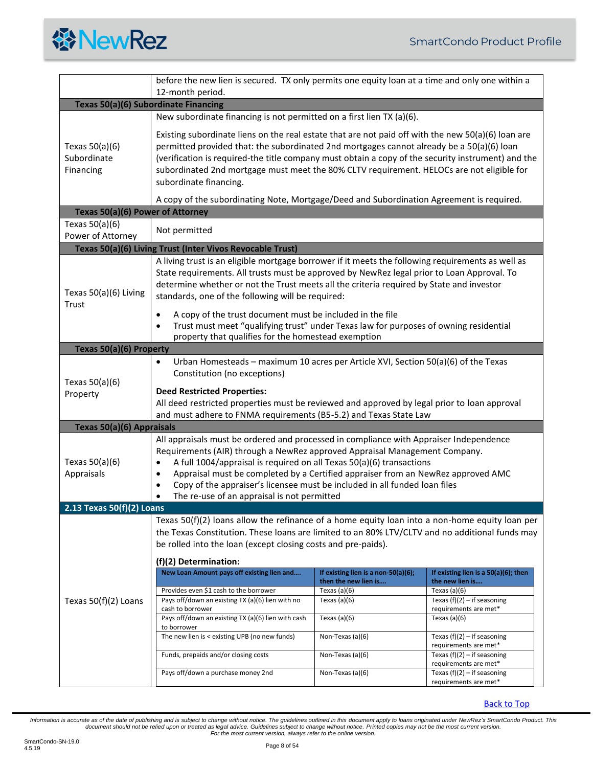<span id="page-7-5"></span><span id="page-7-4"></span><span id="page-7-3"></span><span id="page-7-2"></span><span id="page-7-1"></span><span id="page-7-0"></span>

|                                                                                                       | before the new lien is secured. TX only permits one equity loan at a time and only one within a<br>12-month period.                                                                                                                                                                                                                                                                                                                                                                                       |                                        |                                                        |  |  |
|-------------------------------------------------------------------------------------------------------|-----------------------------------------------------------------------------------------------------------------------------------------------------------------------------------------------------------------------------------------------------------------------------------------------------------------------------------------------------------------------------------------------------------------------------------------------------------------------------------------------------------|----------------------------------------|--------------------------------------------------------|--|--|
|                                                                                                       | Texas 50(a)(6) Subordinate Financing                                                                                                                                                                                                                                                                                                                                                                                                                                                                      |                                        |                                                        |  |  |
|                                                                                                       | New subordinate financing is not permitted on a first lien TX (a)(6).                                                                                                                                                                                                                                                                                                                                                                                                                                     |                                        |                                                        |  |  |
| Texas $50(a)(6)$<br>Subordinate<br>Financing                                                          | Existing subordinate liens on the real estate that are not paid off with the new $50(a)(6)$ loan are<br>permitted provided that: the subordinated 2nd mortgages cannot already be a 50(a)(6) loan<br>(verification is required-the title company must obtain a copy of the security instrument) and the<br>subordinated 2nd mortgage must meet the 80% CLTV requirement. HELOCs are not eligible for<br>subordinate financing.                                                                            |                                        |                                                        |  |  |
|                                                                                                       | A copy of the subordinating Note, Mortgage/Deed and Subordination Agreement is required.                                                                                                                                                                                                                                                                                                                                                                                                                  |                                        |                                                        |  |  |
| Texas 50(a)(6) Power of Attorney                                                                      |                                                                                                                                                                                                                                                                                                                                                                                                                                                                                                           |                                        |                                                        |  |  |
| Texas $50(a)(6)$<br>Power of Attorney                                                                 | Not permitted                                                                                                                                                                                                                                                                                                                                                                                                                                                                                             |                                        |                                                        |  |  |
|                                                                                                       | Texas 50(a)(6) Living Trust (Inter Vivos Revocable Trust)                                                                                                                                                                                                                                                                                                                                                                                                                                                 |                                        |                                                        |  |  |
| Texas 50(a)(6) Living<br>Trust                                                                        | A living trust is an eligible mortgage borrower if it meets the following requirements as well as<br>State requirements. All trusts must be approved by NewRez legal prior to Loan Approval. To<br>determine whether or not the Trust meets all the criteria required by State and investor<br>standards, one of the following will be required:                                                                                                                                                          |                                        |                                                        |  |  |
|                                                                                                       | A copy of the trust document must be included in the file<br>$\bullet$<br>Trust must meet "qualifying trust" under Texas law for purposes of owning residential<br>$\bullet$<br>property that qualifies for the homestead exemption                                                                                                                                                                                                                                                                       |                                        |                                                        |  |  |
| Texas 50(a)(6) Property                                                                               |                                                                                                                                                                                                                                                                                                                                                                                                                                                                                                           |                                        |                                                        |  |  |
| Texas $50(a)(6)$<br>Property                                                                          | Urban Homesteads - maximum 10 acres per Article XVI, Section 50(a)(6) of the Texas<br>$\bullet$<br>Constitution (no exceptions)<br><b>Deed Restricted Properties:</b><br>All deed restricted properties must be reviewed and approved by legal prior to loan approval                                                                                                                                                                                                                                     |                                        |                                                        |  |  |
| and must adhere to FNMA requirements (B5-5.2) and Texas State Law<br><b>Texas 50(a)(6) Appraisals</b> |                                                                                                                                                                                                                                                                                                                                                                                                                                                                                                           |                                        |                                                        |  |  |
| Texas $50(a)(6)$<br>Appraisals                                                                        | All appraisals must be ordered and processed in compliance with Appraiser Independence<br>Requirements (AIR) through a NewRez approved Appraisal Management Company.<br>A full 1004/appraisal is required on all Texas 50(a)(6) transactions<br>$\bullet$<br>Appraisal must be completed by a Certified appraiser from an NewRez approved AMC<br>$\bullet$<br>Copy of the appraiser's licensee must be included in all funded loan files<br>$\bullet$<br>The re-use of an appraisal is not permitted<br>٠ |                                        |                                                        |  |  |
| 2.13 Texas 50(f)(2) Loans                                                                             |                                                                                                                                                                                                                                                                                                                                                                                                                                                                                                           |                                        |                                                        |  |  |
|                                                                                                       | Texas $50(f)(2)$ loans allow the refinance of a home equity loan into a non-home equity loan per<br>the Texas Constitution. These loans are limited to an 80% LTV/CLTV and no additional funds may<br>be rolled into the loan (except closing costs and pre-paids).<br>(f)(2) Determination:                                                                                                                                                                                                              |                                        |                                                        |  |  |
| Texas $50(f)(2)$ Loans                                                                                | New Loan Amount pays off existing lien and                                                                                                                                                                                                                                                                                                                                                                                                                                                                | If existing lien is a non-50(a)(6);    | If existing lien is a $50(a)(6)$ ; then                |  |  |
|                                                                                                       | Provides even \$1 cash to the borrower                                                                                                                                                                                                                                                                                                                                                                                                                                                                    | then the new lien is<br>Texas $(a)(6)$ | the new lien is<br>Texas $(a)(6)$                      |  |  |
|                                                                                                       | Pays off/down an existing TX (a)(6) lien with no<br>cash to borrower                                                                                                                                                                                                                                                                                                                                                                                                                                      | Texas $(a)(6)$                         | Texas $(f)(2) - if$ seasoning<br>requirements are met* |  |  |
|                                                                                                       | Pays off/down an existing TX (a)(6) lien with cash<br>to borrower                                                                                                                                                                                                                                                                                                                                                                                                                                         | Texas $(a)(6)$                         | Texas $(a)(6)$                                         |  |  |
|                                                                                                       | The new lien is < existing UPB (no new funds)                                                                                                                                                                                                                                                                                                                                                                                                                                                             | Non-Texas (a)(6)                       | Texas $(f)(2) - if$ seasoning<br>requirements are met* |  |  |
|                                                                                                       | Funds, prepaids and/or closing costs                                                                                                                                                                                                                                                                                                                                                                                                                                                                      | Non-Texas (a)(6)                       | Texas $(f)(2) - if$ seasoning<br>requirements are met* |  |  |
|                                                                                                       | Pays off/down a purchase money 2nd                                                                                                                                                                                                                                                                                                                                                                                                                                                                        | Non-Texas (a)(6)                       | Texas $(f)(2) - if$ seasoning<br>requirements are met* |  |  |

[Back to Top](#page-1-0)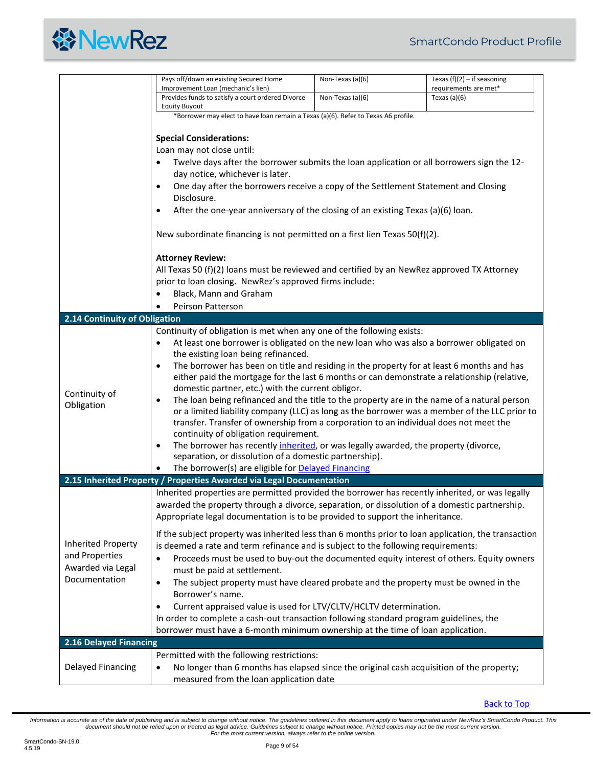|  | <b>谷NewRez</b> |
|--|----------------|
|--|----------------|

<span id="page-8-2"></span><span id="page-8-1"></span><span id="page-8-0"></span>

|                                                                                   | Pays off/down an existing Secured Home                                                                                                                                                                                                                                                                                                                                                                                                                                                                                                                                                                                                                                                                                                                                                                                                                                                                                                                                                                                               | Non-Texas (a)(6) | Texas $(f)(2) - if$ seasoning           |  |  |
|-----------------------------------------------------------------------------------|--------------------------------------------------------------------------------------------------------------------------------------------------------------------------------------------------------------------------------------------------------------------------------------------------------------------------------------------------------------------------------------------------------------------------------------------------------------------------------------------------------------------------------------------------------------------------------------------------------------------------------------------------------------------------------------------------------------------------------------------------------------------------------------------------------------------------------------------------------------------------------------------------------------------------------------------------------------------------------------------------------------------------------------|------------------|-----------------------------------------|--|--|
|                                                                                   | Improvement Loan (mechanic's lien)<br>Provides funds to satisfy a court ordered Divorce                                                                                                                                                                                                                                                                                                                                                                                                                                                                                                                                                                                                                                                                                                                                                                                                                                                                                                                                              | Non-Texas (a)(6) | requirements are met*<br>Texas $(a)(6)$ |  |  |
|                                                                                   | <b>Equity Buyout</b>                                                                                                                                                                                                                                                                                                                                                                                                                                                                                                                                                                                                                                                                                                                                                                                                                                                                                                                                                                                                                 |                  |                                         |  |  |
|                                                                                   | *Borrower may elect to have loan remain a Texas (a)(6). Refer to Texas A6 profile.                                                                                                                                                                                                                                                                                                                                                                                                                                                                                                                                                                                                                                                                                                                                                                                                                                                                                                                                                   |                  |                                         |  |  |
|                                                                                   | <b>Special Considerations:</b>                                                                                                                                                                                                                                                                                                                                                                                                                                                                                                                                                                                                                                                                                                                                                                                                                                                                                                                                                                                                       |                  |                                         |  |  |
|                                                                                   | Loan may not close until:                                                                                                                                                                                                                                                                                                                                                                                                                                                                                                                                                                                                                                                                                                                                                                                                                                                                                                                                                                                                            |                  |                                         |  |  |
|                                                                                   | Twelve days after the borrower submits the loan application or all borrowers sign the 12-                                                                                                                                                                                                                                                                                                                                                                                                                                                                                                                                                                                                                                                                                                                                                                                                                                                                                                                                            |                  |                                         |  |  |
|                                                                                   | day notice, whichever is later.                                                                                                                                                                                                                                                                                                                                                                                                                                                                                                                                                                                                                                                                                                                                                                                                                                                                                                                                                                                                      |                  |                                         |  |  |
|                                                                                   | One day after the borrowers receive a copy of the Settlement Statement and Closing<br>$\bullet$                                                                                                                                                                                                                                                                                                                                                                                                                                                                                                                                                                                                                                                                                                                                                                                                                                                                                                                                      |                  |                                         |  |  |
|                                                                                   | Disclosure.                                                                                                                                                                                                                                                                                                                                                                                                                                                                                                                                                                                                                                                                                                                                                                                                                                                                                                                                                                                                                          |                  |                                         |  |  |
|                                                                                   | After the one-year anniversary of the closing of an existing Texas (a)(6) loan.<br>$\bullet$                                                                                                                                                                                                                                                                                                                                                                                                                                                                                                                                                                                                                                                                                                                                                                                                                                                                                                                                         |                  |                                         |  |  |
|                                                                                   | New subordinate financing is not permitted on a first lien Texas 50(f)(2).                                                                                                                                                                                                                                                                                                                                                                                                                                                                                                                                                                                                                                                                                                                                                                                                                                                                                                                                                           |                  |                                         |  |  |
|                                                                                   | <b>Attorney Review:</b><br>All Texas 50 (f)(2) loans must be reviewed and certified by an NewRez approved TX Attorney<br>prior to loan closing. NewRez's approved firms include:<br>Black, Mann and Graham<br><b>Peirson Patterson</b>                                                                                                                                                                                                                                                                                                                                                                                                                                                                                                                                                                                                                                                                                                                                                                                               |                  |                                         |  |  |
| 2.14 Continuity of Obligation                                                     |                                                                                                                                                                                                                                                                                                                                                                                                                                                                                                                                                                                                                                                                                                                                                                                                                                                                                                                                                                                                                                      |                  |                                         |  |  |
| Continuity of<br>Obligation                                                       | Continuity of obligation is met when any one of the following exists:<br>At least one borrower is obligated on the new loan who was also a borrower obligated on<br>٠<br>the existing loan being refinanced.<br>The borrower has been on title and residing in the property for at least 6 months and has<br>$\bullet$<br>either paid the mortgage for the last 6 months or can demonstrate a relationship (relative,<br>domestic partner, etc.) with the current obligor.<br>The loan being refinanced and the title to the property are in the name of a natural person<br>٠<br>or a limited liability company (LLC) as long as the borrower was a member of the LLC prior to<br>transfer. Transfer of ownership from a corporation to an individual does not meet the<br>continuity of obligation requirement.<br>The borrower has recently inherited, or was legally awarded, the property (divorce,<br>٠<br>separation, or dissolution of a domestic partnership).<br>The borrower(s) are eligible for <b>Delayed Financing</b> |                  |                                         |  |  |
|                                                                                   | 2.15 Inherited Property / Properties Awarded via Legal Documentation                                                                                                                                                                                                                                                                                                                                                                                                                                                                                                                                                                                                                                                                                                                                                                                                                                                                                                                                                                 |                  |                                         |  |  |
|                                                                                   | Inherited properties are permitted provided the borrower has recently inherited, or was legally<br>awarded the property through a divorce, separation, or dissolution of a domestic partnership.<br>Appropriate legal documentation is to be provided to support the inheritance.                                                                                                                                                                                                                                                                                                                                                                                                                                                                                                                                                                                                                                                                                                                                                    |                  |                                         |  |  |
| <b>Inherited Property</b><br>and Properties<br>Awarded via Legal<br>Documentation | If the subject property was inherited less than 6 months prior to loan application, the transaction<br>is deemed a rate and term refinance and is subject to the following requirements:<br>Proceeds must be used to buy-out the documented equity interest of others. Equity owners<br>$\bullet$<br>must be paid at settlement.<br>The subject property must have cleared probate and the property must be owned in the<br>$\bullet$<br>Borrower's name.<br>Current appraised value is used for LTV/CLTV/HCLTV determination.<br>٠<br>In order to complete a cash-out transaction following standard program guidelines, the<br>borrower must have a 6-month minimum ownership at the time of loan application.                                                                                                                                                                                                                                                                                                                     |                  |                                         |  |  |
| 2.16 Delayed Financing                                                            |                                                                                                                                                                                                                                                                                                                                                                                                                                                                                                                                                                                                                                                                                                                                                                                                                                                                                                                                                                                                                                      |                  |                                         |  |  |
|                                                                                   | Permitted with the following restrictions:                                                                                                                                                                                                                                                                                                                                                                                                                                                                                                                                                                                                                                                                                                                                                                                                                                                                                                                                                                                           |                  |                                         |  |  |
| <b>Delayed Financing</b>                                                          | No longer than 6 months has elapsed since the original cash acquisition of the property;<br>$\bullet$<br>measured from the loan application date                                                                                                                                                                                                                                                                                                                                                                                                                                                                                                                                                                                                                                                                                                                                                                                                                                                                                     |                  |                                         |  |  |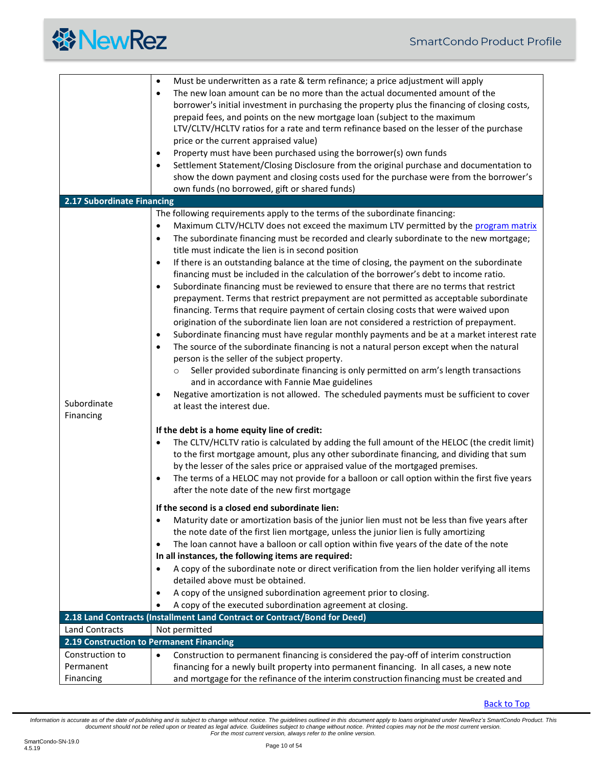<span id="page-9-2"></span><span id="page-9-1"></span><span id="page-9-0"></span>

|                                          | Must be underwritten as a rate & term refinance; a price adjustment will apply<br>$\bullet$<br>The new loan amount can be no more than the actual documented amount of the<br>$\bullet$<br>borrower's initial investment in purchasing the property plus the financing of closing costs,<br>prepaid fees, and points on the new mortgage loan (subject to the maximum<br>LTV/CLTV/HCLTV ratios for a rate and term refinance based on the lesser of the purchase<br>price or the current appraised value)<br>Property must have been purchased using the borrower(s) own funds<br>$\bullet$<br>Settlement Statement/Closing Disclosure from the original purchase and documentation to<br>$\bullet$<br>show the down payment and closing costs used for the purchase were from the borrower's<br>own funds (no borrowed, gift or shared funds)                                                                                                                                                                                                                                                                                                                                                                                                                                                                                                                                                                                                                                                                                            |
|------------------------------------------|-------------------------------------------------------------------------------------------------------------------------------------------------------------------------------------------------------------------------------------------------------------------------------------------------------------------------------------------------------------------------------------------------------------------------------------------------------------------------------------------------------------------------------------------------------------------------------------------------------------------------------------------------------------------------------------------------------------------------------------------------------------------------------------------------------------------------------------------------------------------------------------------------------------------------------------------------------------------------------------------------------------------------------------------------------------------------------------------------------------------------------------------------------------------------------------------------------------------------------------------------------------------------------------------------------------------------------------------------------------------------------------------------------------------------------------------------------------------------------------------------------------------------------------------|
| 2.17 Subordinate Financing               |                                                                                                                                                                                                                                                                                                                                                                                                                                                                                                                                                                                                                                                                                                                                                                                                                                                                                                                                                                                                                                                                                                                                                                                                                                                                                                                                                                                                                                                                                                                                           |
| Subordinate<br>Financing                 | The following requirements apply to the terms of the subordinate financing:<br>Maximum CLTV/HCLTV does not exceed the maximum LTV permitted by the program matrix<br>$\bullet$<br>The subordinate financing must be recorded and clearly subordinate to the new mortgage;<br>$\bullet$<br>title must indicate the lien is in second position<br>If there is an outstanding balance at the time of closing, the payment on the subordinate<br>$\bullet$<br>financing must be included in the calculation of the borrower's debt to income ratio.<br>Subordinate financing must be reviewed to ensure that there are no terms that restrict<br>$\bullet$<br>prepayment. Terms that restrict prepayment are not permitted as acceptable subordinate<br>financing. Terms that require payment of certain closing costs that were waived upon<br>origination of the subordinate lien loan are not considered a restriction of prepayment.<br>Subordinate financing must have regular monthly payments and be at a market interest rate<br>$\bullet$<br>The source of the subordinate financing is not a natural person except when the natural<br>$\bullet$<br>person is the seller of the subject property.<br>Seller provided subordinate financing is only permitted on arm's length transactions<br>$\circ$<br>and in accordance with Fannie Mae guidelines<br>Negative amortization is not allowed. The scheduled payments must be sufficient to cover<br>٠<br>at least the interest due.<br>If the debt is a home equity line of credit: |
|                                          | The CLTV/HCLTV ratio is calculated by adding the full amount of the HELOC (the credit limit)<br>$\bullet$<br>to the first mortgage amount, plus any other subordinate financing, and dividing that sum<br>by the lesser of the sales price or appraised value of the mortgaged premises.<br>The terms of a HELOC may not provide for a balloon or call option within the first five years<br>$\bullet$<br>after the note date of the new first mortgage                                                                                                                                                                                                                                                                                                                                                                                                                                                                                                                                                                                                                                                                                                                                                                                                                                                                                                                                                                                                                                                                                   |
|                                          | If the second is a closed end subordinate lien:<br>Maturity date or amortization basis of the junior lien must not be less than five years after<br>$\bullet$<br>the note date of the first lien mortgage, unless the junior lien is fully amortizing<br>The loan cannot have a balloon or call option within five years of the date of the note<br>$\bullet$<br>In all instances, the following items are required:<br>A copy of the subordinate note or direct verification from the lien holder verifying all items<br>$\bullet$<br>detailed above must be obtained.<br>A copy of the unsigned subordination agreement prior to closing.<br>$\bullet$<br>A copy of the executed subordination agreement at closing.                                                                                                                                                                                                                                                                                                                                                                                                                                                                                                                                                                                                                                                                                                                                                                                                                    |
|                                          | 2.18 Land Contracts (Installment Land Contract or Contract/Bond for Deed)                                                                                                                                                                                                                                                                                                                                                                                                                                                                                                                                                                                                                                                                                                                                                                                                                                                                                                                                                                                                                                                                                                                                                                                                                                                                                                                                                                                                                                                                 |
| <b>Land Contracts</b>                    | Not permitted                                                                                                                                                                                                                                                                                                                                                                                                                                                                                                                                                                                                                                                                                                                                                                                                                                                                                                                                                                                                                                                                                                                                                                                                                                                                                                                                                                                                                                                                                                                             |
| 2.19 Construction to Permanent Financing |                                                                                                                                                                                                                                                                                                                                                                                                                                                                                                                                                                                                                                                                                                                                                                                                                                                                                                                                                                                                                                                                                                                                                                                                                                                                                                                                                                                                                                                                                                                                           |
| Construction to                          | Construction to permanent financing is considered the pay-off of interim construction<br>$\bullet$                                                                                                                                                                                                                                                                                                                                                                                                                                                                                                                                                                                                                                                                                                                                                                                                                                                                                                                                                                                                                                                                                                                                                                                                                                                                                                                                                                                                                                        |
| Permanent                                | financing for a newly built property into permanent financing. In all cases, a new note                                                                                                                                                                                                                                                                                                                                                                                                                                                                                                                                                                                                                                                                                                                                                                                                                                                                                                                                                                                                                                                                                                                                                                                                                                                                                                                                                                                                                                                   |
| Financing                                | and mortgage for the refinance of the interim construction financing must be created and                                                                                                                                                                                                                                                                                                                                                                                                                                                                                                                                                                                                                                                                                                                                                                                                                                                                                                                                                                                                                                                                                                                                                                                                                                                                                                                                                                                                                                                  |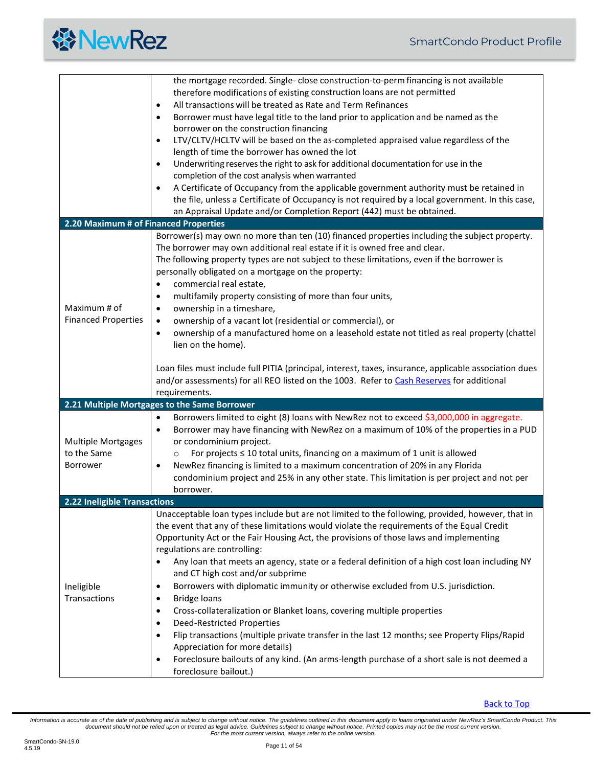<span id="page-10-2"></span><span id="page-10-1"></span><span id="page-10-0"></span>

|                                                             | the mortgage recorded. Single-close construction-to-perm financing is not available<br>therefore modifications of existing construction loans are not permitted<br>All transactions will be treated as Rate and Term Refinances<br>$\bullet$<br>Borrower must have legal title to the land prior to application and be named as the<br>$\bullet$                                                                                                                                                                                                                                                                                                                                                                                                                                                                                                                                                                                                                                                                       |
|-------------------------------------------------------------|------------------------------------------------------------------------------------------------------------------------------------------------------------------------------------------------------------------------------------------------------------------------------------------------------------------------------------------------------------------------------------------------------------------------------------------------------------------------------------------------------------------------------------------------------------------------------------------------------------------------------------------------------------------------------------------------------------------------------------------------------------------------------------------------------------------------------------------------------------------------------------------------------------------------------------------------------------------------------------------------------------------------|
|                                                             | borrower on the construction financing<br>LTV/CLTV/HCLTV will be based on the as-completed appraised value regardless of the<br>$\bullet$<br>length of time the borrower has owned the lot<br>Underwriting reserves the right to ask for additional documentation for use in the<br>$\bullet$<br>completion of the cost analysis when warranted<br>A Certificate of Occupancy from the applicable government authority must be retained in<br>$\bullet$<br>the file, unless a Certificate of Occupancy is not required by a local government. In this case,<br>an Appraisal Update and/or Completion Report (442) must be obtained.                                                                                                                                                                                                                                                                                                                                                                                    |
| 2.20 Maximum # of Financed Properties                       |                                                                                                                                                                                                                                                                                                                                                                                                                                                                                                                                                                                                                                                                                                                                                                                                                                                                                                                                                                                                                        |
| Maximum # of<br><b>Financed Properties</b>                  | Borrower(s) may own no more than ten (10) financed properties including the subject property.<br>The borrower may own additional real estate if it is owned free and clear.<br>The following property types are not subject to these limitations, even if the borrower is<br>personally obligated on a mortgage on the property:<br>commercial real estate,<br>$\bullet$<br>multifamily property consisting of more than four units,<br>$\bullet$<br>ownership in a timeshare,<br>$\bullet$<br>ownership of a vacant lot (residential or commercial), or<br>$\bullet$<br>ownership of a manufactured home on a leasehold estate not titled as real property (chattel<br>$\bullet$<br>lien on the home).<br>Loan files must include full PITIA (principal, interest, taxes, insurance, applicable association dues<br>and/or assessments) for all REO listed on the 1003. Refer to Cash Reserves for additional                                                                                                         |
|                                                             | requirements.                                                                                                                                                                                                                                                                                                                                                                                                                                                                                                                                                                                                                                                                                                                                                                                                                                                                                                                                                                                                          |
|                                                             | 2.21 Multiple Mortgages to the Same Borrower                                                                                                                                                                                                                                                                                                                                                                                                                                                                                                                                                                                                                                                                                                                                                                                                                                                                                                                                                                           |
| <b>Multiple Mortgages</b><br>to the Same<br><b>Borrower</b> | Borrowers limited to eight (8) loans with NewRez not to exceed \$3,000,000 in aggregate.<br>$\bullet$<br>Borrower may have financing with NewRez on a maximum of 10% of the properties in a PUD<br>$\bullet$<br>or condominium project.<br>For projects $\leq 10$ total units, financing on a maximum of 1 unit is allowed<br>$\circ$<br>NewRez financing is limited to a maximum concentration of 20% in any Florida<br>$\bullet$<br>condominium project and 25% in any other state. This limitation is per project and not per<br>borrower.                                                                                                                                                                                                                                                                                                                                                                                                                                                                          |
| 2.22 Ineligible Transactions                                |                                                                                                                                                                                                                                                                                                                                                                                                                                                                                                                                                                                                                                                                                                                                                                                                                                                                                                                                                                                                                        |
| Ineligible<br>Transactions                                  | Unacceptable loan types include but are not limited to the following, provided, however, that in<br>the event that any of these limitations would violate the requirements of the Equal Credit<br>Opportunity Act or the Fair Housing Act, the provisions of those laws and implementing<br>regulations are controlling:<br>Any loan that meets an agency, state or a federal definition of a high cost loan including NY<br>and CT high cost and/or subprime<br>Borrowers with diplomatic immunity or otherwise excluded from U.S. jurisdiction.<br>$\bullet$<br><b>Bridge loans</b><br>٠<br>Cross-collateralization or Blanket loans, covering multiple properties<br>$\bullet$<br><b>Deed-Restricted Properties</b><br>$\bullet$<br>Flip transactions (multiple private transfer in the last 12 months; see Property Flips/Rapid<br>$\bullet$<br>Appreciation for more details)<br>Foreclosure bailouts of any kind. (An arms-length purchase of a short sale is not deemed a<br>$\bullet$<br>foreclosure bailout.) |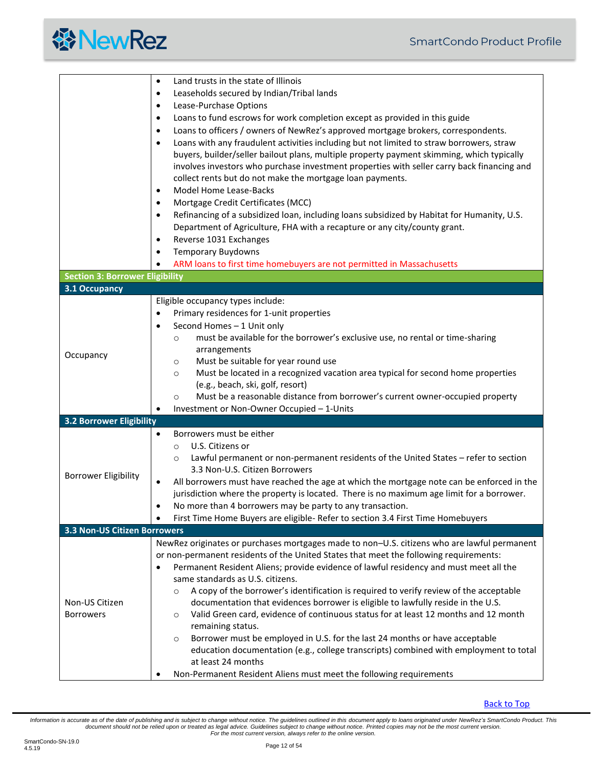<span id="page-11-3"></span><span id="page-11-2"></span><span id="page-11-1"></span><span id="page-11-0"></span>

|                                        | Land trusts in the state of Illinois<br>$\bullet$                                                       |
|----------------------------------------|---------------------------------------------------------------------------------------------------------|
|                                        | Leaseholds secured by Indian/Tribal lands<br>$\bullet$                                                  |
|                                        | Lease-Purchase Options<br>$\bullet$                                                                     |
|                                        | Loans to fund escrows for work completion except as provided in this guide<br>$\bullet$                 |
|                                        | Loans to officers / owners of NewRez's approved mortgage brokers, correspondents.<br>$\bullet$          |
|                                        | Loans with any fraudulent activities including but not limited to straw borrowers, straw<br>$\bullet$   |
|                                        | buyers, builder/seller bailout plans, multiple property payment skimming, which typically               |
|                                        | involves investors who purchase investment properties with seller carry back financing and              |
|                                        | collect rents but do not make the mortgage loan payments.                                               |
|                                        | Model Home Lease-Backs<br>$\bullet$                                                                     |
|                                        | Mortgage Credit Certificates (MCC)<br>$\bullet$                                                         |
|                                        | Refinancing of a subsidized loan, including loans subsidized by Habitat for Humanity, U.S.<br>$\bullet$ |
|                                        | Department of Agriculture, FHA with a recapture or any city/county grant.                               |
|                                        | Reverse 1031 Exchanges<br>٠                                                                             |
|                                        | <b>Temporary Buydowns</b><br>$\bullet$                                                                  |
|                                        |                                                                                                         |
|                                        | ARM loans to first time homebuyers are not permitted in Massachusetts                                   |
| <b>Section 3: Borrower Eligibility</b> |                                                                                                         |
| 3.1 Occupancy                          |                                                                                                         |
|                                        | Eligible occupancy types include:                                                                       |
|                                        | Primary residences for 1-unit properties<br>$\bullet$                                                   |
|                                        | Second Homes - 1 Unit only<br>$\bullet$                                                                 |
|                                        | must be available for the borrower's exclusive use, no rental or time-sharing<br>$\circ$                |
| Occupancy                              | arrangements<br>Must be suitable for year round use                                                     |
|                                        | $\circ$<br>Must be located in a recognized vacation area typical for second home properties             |
|                                        | $\circ$<br>(e.g., beach, ski, golf, resort)                                                             |
|                                        | Must be a reasonable distance from borrower's current owner-occupied property<br>$\circ$                |
|                                        | Investment or Non-Owner Occupied - 1-Units                                                              |
| <b>3.2 Borrower Eligibility</b>        |                                                                                                         |
|                                        | Borrowers must be either<br>$\bullet$                                                                   |
|                                        | U.S. Citizens or<br>$\circ$                                                                             |
|                                        | Lawful permanent or non-permanent residents of the United States - refer to section<br>$\circ$          |
|                                        | 3.3 Non-U.S. Citizen Borrowers                                                                          |
| <b>Borrower Eligibility</b>            | All borrowers must have reached the age at which the mortgage note can be enforced in the<br>$\bullet$  |
|                                        | jurisdiction where the property is located. There is no maximum age limit for a borrower.               |
|                                        | No more than 4 borrowers may be party to any transaction.                                               |
|                                        | First Time Home Buyers are eligible- Refer to section 3.4 First Time Homebuyers                         |
| <b>3.3 Non-US Citizen Borrowers</b>    |                                                                                                         |
|                                        | NewRez originates or purchases mortgages made to non-U.S. citizens who are lawful permanent             |
|                                        | or non-permanent residents of the United States that meet the following requirements:                   |
|                                        | Permanent Resident Aliens; provide evidence of lawful residency and must meet all the<br>$\bullet$      |
|                                        | same standards as U.S. citizens.                                                                        |
|                                        | A copy of the borrower's identification is required to verify review of the acceptable<br>$\circ$       |
| Non-US Citizen                         | documentation that evidences borrower is eligible to lawfully reside in the U.S.                        |
| <b>Borrowers</b>                       | Valid Green card, evidence of continuous status for at least 12 months and 12 month<br>$\circ$          |
|                                        | remaining status.                                                                                       |
|                                        | Borrower must be employed in U.S. for the last 24 months or have acceptable<br>$\circ$                  |
|                                        | education documentation (e.g., college transcripts) combined with employment to total                   |
|                                        | at least 24 months                                                                                      |
|                                        | Non-Permanent Resident Aliens must meet the following requirements                                      |

[Back to Top](#page-1-0)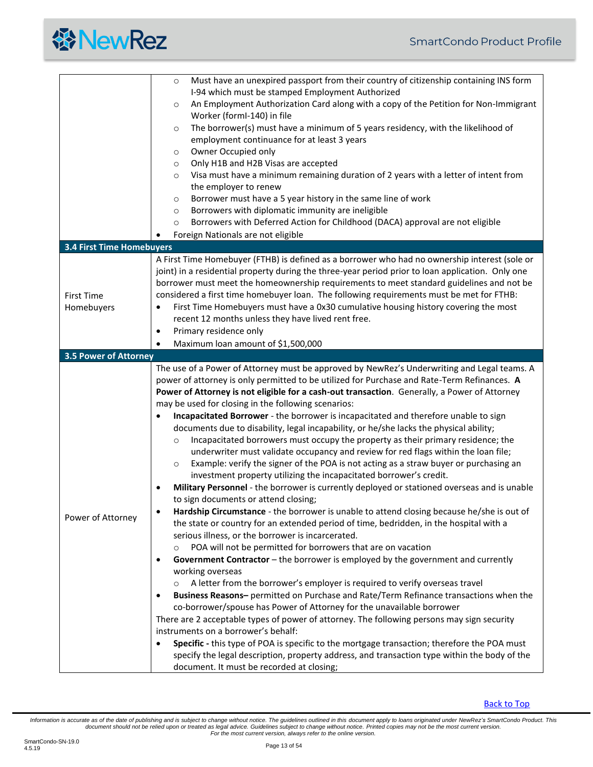<span id="page-12-1"></span><span id="page-12-0"></span>

|                                  | Must have an unexpired passport from their country of citizenship containing INS form<br>$\circ$  |
|----------------------------------|---------------------------------------------------------------------------------------------------|
|                                  | I-94 which must be stamped Employment Authorized                                                  |
|                                  | An Employment Authorization Card along with a copy of the Petition for Non-Immigrant<br>$\circ$   |
|                                  | Worker (formI-140) in file                                                                        |
|                                  | The borrower(s) must have a minimum of 5 years residency, with the likelihood of<br>$\circ$       |
|                                  | employment continuance for at least 3 years                                                       |
|                                  | Owner Occupied only<br>$\circ$                                                                    |
|                                  | Only H1B and H2B Visas are accepted<br>$\circ$                                                    |
|                                  | Visa must have a minimum remaining duration of 2 years with a letter of intent from<br>$\circ$    |
|                                  | the employer to renew                                                                             |
|                                  | Borrower must have a 5 year history in the same line of work<br>$\circ$                           |
|                                  | Borrowers with diplomatic immunity are ineligible<br>$\circ$                                      |
|                                  | Borrowers with Deferred Action for Childhood (DACA) approval are not eligible<br>$\circ$          |
|                                  | Foreign Nationals are not eligible                                                                |
| <b>3.4 First Time Homebuyers</b> |                                                                                                   |
|                                  | A First Time Homebuyer (FTHB) is defined as a borrower who had no ownership interest (sole or     |
|                                  | joint) in a residential property during the three-year period prior to loan application. Only one |
|                                  | borrower must meet the homeownership requirements to meet standard guidelines and not be          |
| <b>First Time</b>                | considered a first time homebuyer loan. The following requirements must be met for FTHB:          |
| Homebuyers                       | First Time Homebuyers must have a 0x30 cumulative housing history covering the most<br>$\bullet$  |
|                                  | recent 12 months unless they have lived rent free.                                                |
|                                  | Primary residence only<br>$\bullet$                                                               |
|                                  | Maximum loan amount of \$1,500,000<br>$\bullet$                                                   |
| <b>3.5 Power of Attorney</b>     |                                                                                                   |
|                                  | The use of a Power of Attorney must be approved by NewRez's Underwriting and Legal teams. A       |
|                                  | power of attorney is only permitted to be utilized for Purchase and Rate-Term Refinances. A       |
|                                  | Power of Attorney is not eligible for a cash-out transaction. Generally, a Power of Attorney      |
|                                  | may be used for closing in the following scenarios:                                               |
|                                  | Incapacitated Borrower - the borrower is incapacitated and therefore unable to sign               |
|                                  | documents due to disability, legal incapability, or he/she lacks the physical ability;            |
|                                  | Incapacitated borrowers must occupy the property as their primary residence; the<br>$\circ$       |
|                                  | underwriter must validate occupancy and review for red flags within the loan file;                |
|                                  | Example: verify the signer of the POA is not acting as a straw buyer or purchasing an<br>$\circ$  |
|                                  | investment property utilizing the incapacitated borrower's credit.                                |
|                                  | Military Personnel - the borrower is currently deployed or stationed overseas and is unable<br>٠  |
|                                  | to sign documents or attend closing;                                                              |
| Power of Attorney                | Hardship Circumstance - the borrower is unable to attend closing because he/she is out of         |
|                                  | the state or country for an extended period of time, bedridden, in the hospital with a            |
|                                  | serious illness, or the borrower is incarcerated.                                                 |
|                                  | POA will not be permitted for borrowers that are on vacation<br>$\circ$                           |
|                                  | Government Contractor - the borrower is employed by the government and currently<br>$\bullet$     |
|                                  | working overseas                                                                                  |
|                                  | A letter from the borrower's employer is required to verify overseas travel                       |
|                                  | Business Reasons- permitted on Purchase and Rate/Term Refinance transactions when the<br>٠        |
|                                  | co-borrower/spouse has Power of Attorney for the unavailable borrower                             |
|                                  | There are 2 acceptable types of power of attorney. The following persons may sign security        |
|                                  | instruments on a borrower's behalf:                                                               |
|                                  | Specific - this type of POA is specific to the mortgage transaction; therefore the POA must       |
|                                  | specify the legal description, property address, and transaction type within the body of the      |
|                                  | document. It must be recorded at closing;                                                         |

[Back to Top](#page-1-0)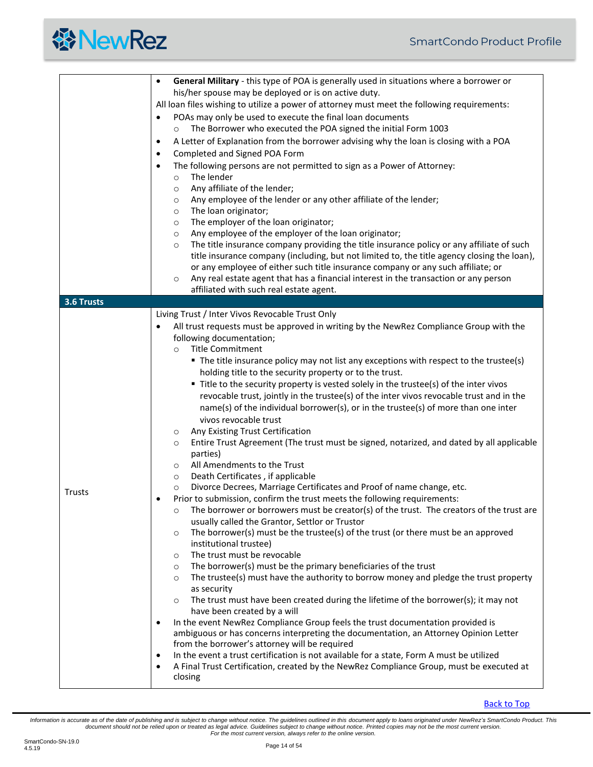<span id="page-13-0"></span>

|               | General Military - this type of POA is generally used in situations where a borrower or<br>$\bullet$ |  |  |  |  |  |  |
|---------------|------------------------------------------------------------------------------------------------------|--|--|--|--|--|--|
|               | his/her spouse may be deployed or is on active duty.                                                 |  |  |  |  |  |  |
|               | All loan files wishing to utilize a power of attorney must meet the following requirements:          |  |  |  |  |  |  |
|               | POAs may only be used to execute the final loan documents<br>$\bullet$                               |  |  |  |  |  |  |
|               |                                                                                                      |  |  |  |  |  |  |
|               | The Borrower who executed the POA signed the initial Form 1003<br>$\circ$                            |  |  |  |  |  |  |
|               | A Letter of Explanation from the borrower advising why the loan is closing with a POA<br>$\bullet$   |  |  |  |  |  |  |
|               | Completed and Signed POA Form<br>$\bullet$                                                           |  |  |  |  |  |  |
|               | The following persons are not permitted to sign as a Power of Attorney:<br>$\bullet$                 |  |  |  |  |  |  |
|               |                                                                                                      |  |  |  |  |  |  |
|               | The lender<br>$\circ$                                                                                |  |  |  |  |  |  |
|               | Any affiliate of the lender;<br>$\circ$                                                              |  |  |  |  |  |  |
|               | Any employee of the lender or any other affiliate of the lender;<br>$\circ$                          |  |  |  |  |  |  |
|               | The loan originator;<br>$\circ$                                                                      |  |  |  |  |  |  |
|               | The employer of the loan originator;<br>$\circ$                                                      |  |  |  |  |  |  |
|               | Any employee of the employer of the loan originator;<br>$\circ$                                      |  |  |  |  |  |  |
|               | The title insurance company providing the title insurance policy or any affiliate of such<br>$\circ$ |  |  |  |  |  |  |
|               | title insurance company (including, but not limited to, the title agency closing the loan),          |  |  |  |  |  |  |
|               |                                                                                                      |  |  |  |  |  |  |
|               | or any employee of either such title insurance company or any such affiliate; or                     |  |  |  |  |  |  |
|               | Any real estate agent that has a financial interest in the transaction or any person<br>$\circ$      |  |  |  |  |  |  |
|               | affiliated with such real estate agent.                                                              |  |  |  |  |  |  |
| 3.6 Trusts    |                                                                                                      |  |  |  |  |  |  |
|               | Living Trust / Inter Vivos Revocable Trust Only                                                      |  |  |  |  |  |  |
|               | All trust requests must be approved in writing by the NewRez Compliance Group with the<br>$\bullet$  |  |  |  |  |  |  |
|               | following documentation;                                                                             |  |  |  |  |  |  |
|               | <b>Title Commitment</b><br>$\circ$                                                                   |  |  |  |  |  |  |
|               |                                                                                                      |  |  |  |  |  |  |
|               | • The title insurance policy may not list any exceptions with respect to the trustee(s)              |  |  |  |  |  |  |
|               | holding title to the security property or to the trust.                                              |  |  |  |  |  |  |
|               | • Title to the security property is vested solely in the trustee(s) of the inter vivos               |  |  |  |  |  |  |
|               | revocable trust, jointly in the trustee(s) of the inter vivos revocable trust and in the             |  |  |  |  |  |  |
|               | name(s) of the individual borrower(s), or in the trustee(s) of more than one inter                   |  |  |  |  |  |  |
|               | vivos revocable trust                                                                                |  |  |  |  |  |  |
|               | Any Existing Trust Certification                                                                     |  |  |  |  |  |  |
|               | O                                                                                                    |  |  |  |  |  |  |
|               | Entire Trust Agreement (The trust must be signed, notarized, and dated by all applicable<br>$\circ$  |  |  |  |  |  |  |
|               | parties)                                                                                             |  |  |  |  |  |  |
|               | All Amendments to the Trust<br>$\circ$                                                               |  |  |  |  |  |  |
|               | Death Certificates, if applicable<br>$\circ$                                                         |  |  |  |  |  |  |
|               | Divorce Decrees, Marriage Certificates and Proof of name change, etc.<br>$\circ$                     |  |  |  |  |  |  |
| <b>Trusts</b> | Prior to submission, confirm the trust meets the following requirements:<br>$\bullet$                |  |  |  |  |  |  |
|               | The borrower or borrowers must be creator(s) of the trust. The creators of the trust are<br>$\circ$  |  |  |  |  |  |  |
|               | usually called the Grantor, Settlor or Trustor                                                       |  |  |  |  |  |  |
|               |                                                                                                      |  |  |  |  |  |  |
|               | The borrower(s) must be the trustee(s) of the trust (or there must be an approved<br>$\circ$         |  |  |  |  |  |  |
|               | institutional trustee)                                                                               |  |  |  |  |  |  |
|               | The trust must be revocable<br>$\circ$                                                               |  |  |  |  |  |  |
|               | The borrower(s) must be the primary beneficiaries of the trust<br>$\circ$                            |  |  |  |  |  |  |
|               | The trustee(s) must have the authority to borrow money and pledge the trust property<br>$\circ$      |  |  |  |  |  |  |
|               | as security                                                                                          |  |  |  |  |  |  |
|               | The trust must have been created during the lifetime of the borrower(s); it may not<br>$\circ$       |  |  |  |  |  |  |
|               | have been created by a will                                                                          |  |  |  |  |  |  |
|               | In the event NewRez Compliance Group feels the trust documentation provided is                       |  |  |  |  |  |  |
|               | $\bullet$                                                                                            |  |  |  |  |  |  |
|               | ambiguous or has concerns interpreting the documentation, an Attorney Opinion Letter                 |  |  |  |  |  |  |
|               | from the borrower's attorney will be required                                                        |  |  |  |  |  |  |
|               | In the event a trust certification is not available for a state, Form A must be utilized<br>٠        |  |  |  |  |  |  |
|               | A Final Trust Certification, created by the NewRez Compliance Group, must be executed at             |  |  |  |  |  |  |
|               | closing                                                                                              |  |  |  |  |  |  |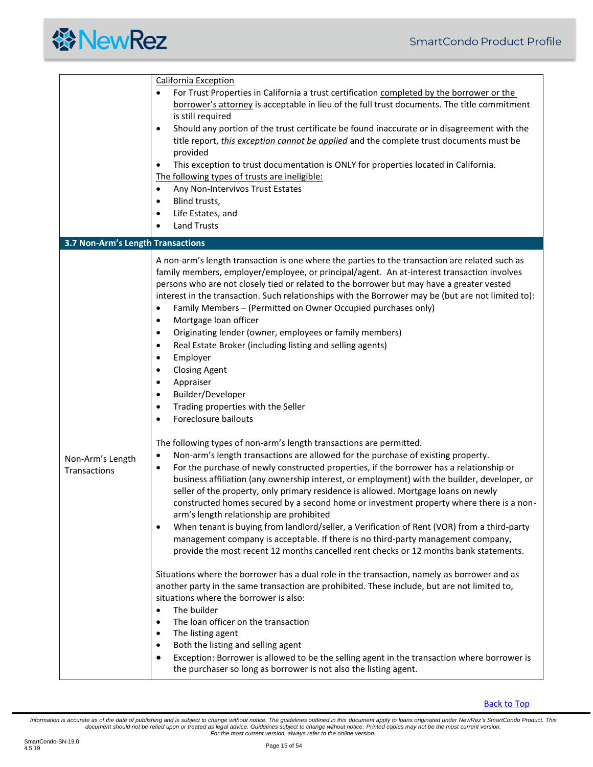<span id="page-14-0"></span>

|                                   | <b>California Exception</b>                                                                                                                                                                                                                                                                                                                                                                                                                                                                                                                                                                                                                                                                                                                                                                                                                                                           |  |  |  |  |  |  |
|-----------------------------------|---------------------------------------------------------------------------------------------------------------------------------------------------------------------------------------------------------------------------------------------------------------------------------------------------------------------------------------------------------------------------------------------------------------------------------------------------------------------------------------------------------------------------------------------------------------------------------------------------------------------------------------------------------------------------------------------------------------------------------------------------------------------------------------------------------------------------------------------------------------------------------------|--|--|--|--|--|--|
|                                   | For Trust Properties in California a trust certification completed by the borrower or the                                                                                                                                                                                                                                                                                                                                                                                                                                                                                                                                                                                                                                                                                                                                                                                             |  |  |  |  |  |  |
|                                   | borrower's attorney is acceptable in lieu of the full trust documents. The title commitment                                                                                                                                                                                                                                                                                                                                                                                                                                                                                                                                                                                                                                                                                                                                                                                           |  |  |  |  |  |  |
|                                   | is still required                                                                                                                                                                                                                                                                                                                                                                                                                                                                                                                                                                                                                                                                                                                                                                                                                                                                     |  |  |  |  |  |  |
|                                   | Should any portion of the trust certificate be found inaccurate or in disagreement with the<br>$\bullet$                                                                                                                                                                                                                                                                                                                                                                                                                                                                                                                                                                                                                                                                                                                                                                              |  |  |  |  |  |  |
|                                   | title report, this exception cannot be applied and the complete trust documents must be                                                                                                                                                                                                                                                                                                                                                                                                                                                                                                                                                                                                                                                                                                                                                                                               |  |  |  |  |  |  |
|                                   | provided                                                                                                                                                                                                                                                                                                                                                                                                                                                                                                                                                                                                                                                                                                                                                                                                                                                                              |  |  |  |  |  |  |
|                                   | This exception to trust documentation is ONLY for properties located in California.<br>$\bullet$                                                                                                                                                                                                                                                                                                                                                                                                                                                                                                                                                                                                                                                                                                                                                                                      |  |  |  |  |  |  |
|                                   | The following types of trusts are ineligible:                                                                                                                                                                                                                                                                                                                                                                                                                                                                                                                                                                                                                                                                                                                                                                                                                                         |  |  |  |  |  |  |
|                                   | Any Non-Intervivos Trust Estates<br>$\bullet$                                                                                                                                                                                                                                                                                                                                                                                                                                                                                                                                                                                                                                                                                                                                                                                                                                         |  |  |  |  |  |  |
|                                   | Blind trusts,<br>$\bullet$                                                                                                                                                                                                                                                                                                                                                                                                                                                                                                                                                                                                                                                                                                                                                                                                                                                            |  |  |  |  |  |  |
|                                   | Life Estates, and<br>$\bullet$                                                                                                                                                                                                                                                                                                                                                                                                                                                                                                                                                                                                                                                                                                                                                                                                                                                        |  |  |  |  |  |  |
|                                   | <b>Land Trusts</b>                                                                                                                                                                                                                                                                                                                                                                                                                                                                                                                                                                                                                                                                                                                                                                                                                                                                    |  |  |  |  |  |  |
| 3.7 Non-Arm's Length Transactions |                                                                                                                                                                                                                                                                                                                                                                                                                                                                                                                                                                                                                                                                                                                                                                                                                                                                                       |  |  |  |  |  |  |
|                                   | A non-arm's length transaction is one where the parties to the transaction are related such as<br>family members, employer/employee, or principal/agent. An at-interest transaction involves<br>persons who are not closely tied or related to the borrower but may have a greater vested<br>interest in the transaction. Such relationships with the Borrower may be (but are not limited to):<br>Family Members - (Permitted on Owner Occupied purchases only)<br>$\bullet$<br>Mortgage loan officer<br>$\bullet$<br>Originating lender (owner, employees or family members)<br>$\bullet$<br>Real Estate Broker (including listing and selling agents)<br>$\bullet$<br>Employer<br>$\bullet$<br><b>Closing Agent</b><br>$\bullet$<br>Appraiser<br>٠<br>Builder/Developer<br>$\bullet$<br>Trading properties with the Seller<br>$\bullet$<br>Foreclosure bailouts<br>$\bullet$       |  |  |  |  |  |  |
| Non-Arm's Length<br>Transactions  | The following types of non-arm's length transactions are permitted.<br>Non-arm's length transactions are allowed for the purchase of existing property.<br>$\bullet$<br>For the purchase of newly constructed properties, if the borrower has a relationship or<br>$\bullet$<br>business affiliation (any ownership interest, or employment) with the builder, developer, or<br>seller of the property, only primary residence is allowed. Mortgage loans on newly<br>constructed homes secured by a second home or investment property where there is a non-<br>arm's length relationship are prohibited<br>When tenant is buying from landlord/seller, a Verification of Rent (VOR) from a third-party<br>management company is acceptable. If there is no third-party management company,<br>provide the most recent 12 months cancelled rent checks or 12 months bank statements. |  |  |  |  |  |  |
|                                   | Situations where the borrower has a dual role in the transaction, namely as borrower and as<br>another party in the same transaction are prohibited. These include, but are not limited to,<br>situations where the borrower is also:<br>The builder<br>$\bullet$<br>The loan officer on the transaction<br>٠<br>The listing agent<br>$\bullet$<br>Both the listing and selling agent<br>Exception: Borrower is allowed to be the selling agent in the transaction where borrower is<br>the purchaser so long as borrower is not also the listing agent.                                                                                                                                                                                                                                                                                                                              |  |  |  |  |  |  |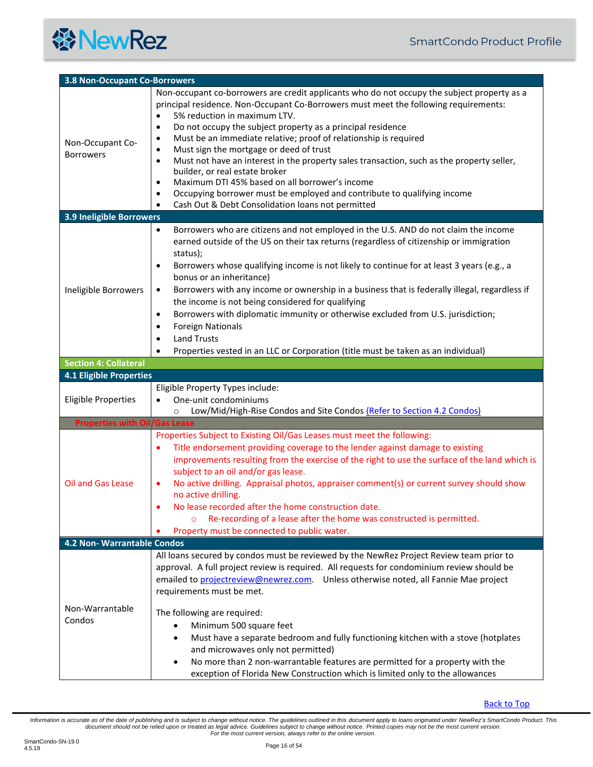<span id="page-15-4"></span><span id="page-15-3"></span><span id="page-15-2"></span><span id="page-15-1"></span><span id="page-15-0"></span>

| <b>3.8 Non-Occupant Co-Borrowers</b> |                                                                                                                                                                                                                                                                                                                                                                                                                                                                                                                                                                                                                                                                                                                                                                                                                    |  |  |  |  |  |  |
|--------------------------------------|--------------------------------------------------------------------------------------------------------------------------------------------------------------------------------------------------------------------------------------------------------------------------------------------------------------------------------------------------------------------------------------------------------------------------------------------------------------------------------------------------------------------------------------------------------------------------------------------------------------------------------------------------------------------------------------------------------------------------------------------------------------------------------------------------------------------|--|--|--|--|--|--|
| Non-Occupant Co-<br><b>Borrowers</b> | Non-occupant co-borrowers are credit applicants who do not occupy the subject property as a<br>principal residence. Non-Occupant Co-Borrowers must meet the following requirements:<br>5% reduction in maximum LTV.<br>$\bullet$<br>Do not occupy the subject property as a principal residence<br>$\bullet$<br>Must be an immediate relative; proof of relationship is required<br>٠<br>Must sign the mortgage or deed of trust<br>$\bullet$<br>Must not have an interest in the property sales transaction, such as the property seller,<br>$\bullet$<br>builder, or real estate broker<br>Maximum DTI 45% based on all borrower's income<br>$\bullet$<br>Occupying borrower must be employed and contribute to qualifying income<br>$\bullet$<br>Cash Out & Debt Consolidation loans not permitted<br>$\bullet$ |  |  |  |  |  |  |
| <b>3.9 Ineligible Borrowers</b>      |                                                                                                                                                                                                                                                                                                                                                                                                                                                                                                                                                                                                                                                                                                                                                                                                                    |  |  |  |  |  |  |
| Ineligible Borrowers                 | Borrowers who are citizens and not employed in the U.S. AND do not claim the income<br>٠<br>earned outside of the US on their tax returns (regardless of citizenship or immigration<br>status);<br>Borrowers whose qualifying income is not likely to continue for at least 3 years (e.g., a<br>٠<br>bonus or an inheritance)<br>Borrowers with any income or ownership in a business that is federally illegal, regardless if<br>$\bullet$<br>the income is not being considered for qualifying<br>Borrowers with diplomatic immunity or otherwise excluded from U.S. jurisdiction;<br>$\bullet$<br><b>Foreign Nationals</b><br>$\bullet$<br><b>Land Trusts</b><br>$\bullet$                                                                                                                                      |  |  |  |  |  |  |
| <b>Section 4: Collateral</b>         | Properties vested in an LLC or Corporation (title must be taken as an individual)                                                                                                                                                                                                                                                                                                                                                                                                                                                                                                                                                                                                                                                                                                                                  |  |  |  |  |  |  |
| <b>4.1 Eligible Properties</b>       |                                                                                                                                                                                                                                                                                                                                                                                                                                                                                                                                                                                                                                                                                                                                                                                                                    |  |  |  |  |  |  |
| <b>Eligible Properties</b>           | Eligible Property Types include:<br>One-unit condominiums<br>Low/Mid/High-Rise Condos and Site Condos (Refer to Section 4.2 Condos)<br>$\circ$                                                                                                                                                                                                                                                                                                                                                                                                                                                                                                                                                                                                                                                                     |  |  |  |  |  |  |
| <b>Properties with Oil/Gas Lease</b> |                                                                                                                                                                                                                                                                                                                                                                                                                                                                                                                                                                                                                                                                                                                                                                                                                    |  |  |  |  |  |  |
| Oil and Gas Lease                    | Properties Subject to Existing Oil/Gas Leases must meet the following:<br>Title endorsement providing coverage to the lender against damage to existing<br>$\bullet$<br>improvements resulting from the exercise of the right to use the surface of the land which is<br>subject to an oil and/or gas lease.<br>No active drilling. Appraisal photos, appraiser comment(s) or current survey should show<br>$\bullet$<br>no active drilling.<br>No lease recorded after the home construction date.<br>Re-recording of a lease after the home was constructed is permitted.<br>$\circ$<br>Property must be connected to public water.                                                                                                                                                                              |  |  |  |  |  |  |
| 4.2 Non- Warrantable Condos          |                                                                                                                                                                                                                                                                                                                                                                                                                                                                                                                                                                                                                                                                                                                                                                                                                    |  |  |  |  |  |  |
| Non-Warrantable<br>Condos            | All loans secured by condos must be reviewed by the NewRez Project Review team prior to<br>approval. A full project review is required. All requests for condominium review should be<br>emailed to projectreview@newrez.com. Unless otherwise noted, all Fannie Mae project<br>requirements must be met.<br>The following are required:<br>Minimum 500 square feet<br>Must have a separate bedroom and fully functioning kitchen with a stove (hotplates<br>$\bullet$<br>and microwaves only not permitted)<br>No more than 2 non-warrantable features are permitted for a property with the<br>exception of Florida New Construction which is limited only to the allowances                                                                                                                                     |  |  |  |  |  |  |

<span id="page-15-5"></span>[Back to Top](#page-1-0)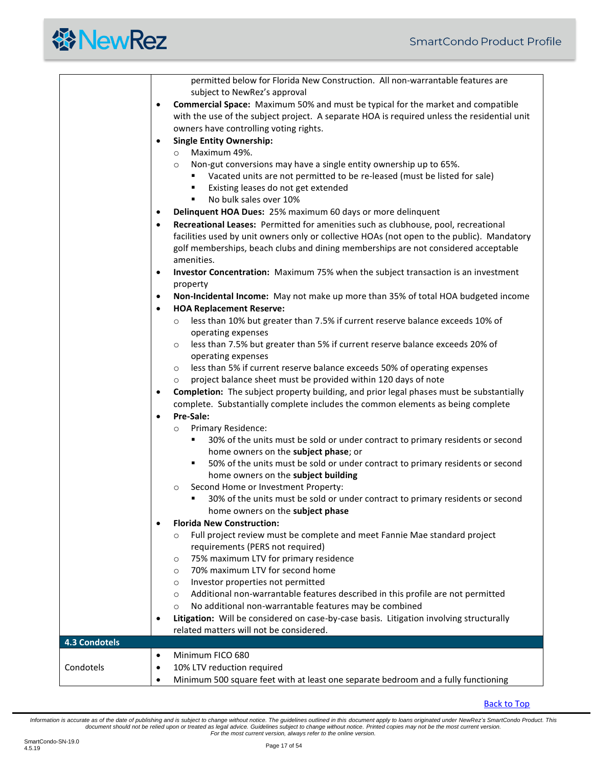|                      | permitted below for Florida New Construction. All non-warrantable features are<br>subject to NewRez's approval |  |  |  |  |  |  |  |
|----------------------|----------------------------------------------------------------------------------------------------------------|--|--|--|--|--|--|--|
|                      | Commercial Space: Maximum 50% and must be typical for the market and compatible<br>$\bullet$                   |  |  |  |  |  |  |  |
|                      | with the use of the subject project. A separate HOA is required unless the residential unit                    |  |  |  |  |  |  |  |
|                      | owners have controlling voting rights.                                                                         |  |  |  |  |  |  |  |
|                      | <b>Single Entity Ownership:</b><br>$\bullet$                                                                   |  |  |  |  |  |  |  |
|                      | Maximum 49%.<br>$\circ$                                                                                        |  |  |  |  |  |  |  |
|                      | Non-gut conversions may have a single entity ownership up to 65%.<br>$\circ$                                   |  |  |  |  |  |  |  |
|                      | Vacated units are not permitted to be re-leased (must be listed for sale)                                      |  |  |  |  |  |  |  |
|                      | Existing leases do not get extended<br>٠                                                                       |  |  |  |  |  |  |  |
|                      | No bulk sales over 10%<br>٠                                                                                    |  |  |  |  |  |  |  |
|                      | Delinquent HOA Dues: 25% maximum 60 days or more delinquent<br>$\bullet$                                       |  |  |  |  |  |  |  |
|                      | Recreational Leases: Permitted for amenities such as clubhouse, pool, recreational<br>$\bullet$                |  |  |  |  |  |  |  |
|                      | facilities used by unit owners only or collective HOAs (not open to the public). Mandatory                     |  |  |  |  |  |  |  |
|                      | golf memberships, beach clubs and dining memberships are not considered acceptable                             |  |  |  |  |  |  |  |
|                      | amenities.                                                                                                     |  |  |  |  |  |  |  |
|                      | Investor Concentration: Maximum 75% when the subject transaction is an investment<br>$\bullet$                 |  |  |  |  |  |  |  |
|                      | property                                                                                                       |  |  |  |  |  |  |  |
|                      | Non-Incidental Income: May not make up more than 35% of total HOA budgeted income<br>$\bullet$                 |  |  |  |  |  |  |  |
|                      | <b>HOA Replacement Reserve:</b><br>$\bullet$                                                                   |  |  |  |  |  |  |  |
|                      | less than 10% but greater than 7.5% if current reserve balance exceeds 10% of<br>$\circ$                       |  |  |  |  |  |  |  |
|                      | operating expenses                                                                                             |  |  |  |  |  |  |  |
|                      | less than 7.5% but greater than 5% if current reserve balance exceeds 20% of<br>$\circ$                        |  |  |  |  |  |  |  |
|                      | operating expenses                                                                                             |  |  |  |  |  |  |  |
|                      | less than 5% if current reserve balance exceeds 50% of operating expenses<br>$\circ$                           |  |  |  |  |  |  |  |
|                      | project balance sheet must be provided within 120 days of note<br>$\circ$                                      |  |  |  |  |  |  |  |
|                      | <b>Completion:</b> The subject property building, and prior legal phases must be substantially<br>$\bullet$    |  |  |  |  |  |  |  |
|                      | complete. Substantially complete includes the common elements as being complete                                |  |  |  |  |  |  |  |
|                      | Pre-Sale:<br>$\bullet$                                                                                         |  |  |  |  |  |  |  |
|                      | <b>Primary Residence:</b><br>$\circ$                                                                           |  |  |  |  |  |  |  |
|                      | 30% of the units must be sold or under contract to primary residents or second                                 |  |  |  |  |  |  |  |
|                      | home owners on the subject phase; or                                                                           |  |  |  |  |  |  |  |
|                      | 50% of the units must be sold or under contract to primary residents or second<br>٠                            |  |  |  |  |  |  |  |
|                      | home owners on the subject building                                                                            |  |  |  |  |  |  |  |
|                      | Second Home or Investment Property:<br>$\circ$                                                                 |  |  |  |  |  |  |  |
|                      | 30% of the units must be sold or under contract to primary residents or second                                 |  |  |  |  |  |  |  |
|                      | home owners on the subject phase                                                                               |  |  |  |  |  |  |  |
|                      | <b>Florida New Construction:</b>                                                                               |  |  |  |  |  |  |  |
|                      | Full project review must be complete and meet Fannie Mae standard project<br>$\circ$                           |  |  |  |  |  |  |  |
|                      | requirements (PERS not required)                                                                               |  |  |  |  |  |  |  |
|                      | 75% maximum LTV for primary residence<br>$\circ$                                                               |  |  |  |  |  |  |  |
|                      | 70% maximum LTV for second home<br>$\circ$                                                                     |  |  |  |  |  |  |  |
|                      | Investor properties not permitted<br>$\circ$                                                                   |  |  |  |  |  |  |  |
|                      | Additional non-warrantable features described in this profile are not permitted<br>$\circ$                     |  |  |  |  |  |  |  |
|                      | No additional non-warrantable features may be combined<br>$\circ$                                              |  |  |  |  |  |  |  |
|                      | Litigation: Will be considered on case-by-case basis. Litigation involving structurally<br>$\bullet$           |  |  |  |  |  |  |  |
|                      | related matters will not be considered.                                                                        |  |  |  |  |  |  |  |
| <b>4.3 Condotels</b> |                                                                                                                |  |  |  |  |  |  |  |
|                      | Minimum FICO 680<br>$\bullet$                                                                                  |  |  |  |  |  |  |  |
| Condotels            | 10% LTV reduction required<br>$\bullet$                                                                        |  |  |  |  |  |  |  |
|                      | Minimum 500 square feet with at least one separate bedroom and a fully functioning                             |  |  |  |  |  |  |  |

<span id="page-16-0"></span>[Back to Top](#page-1-0)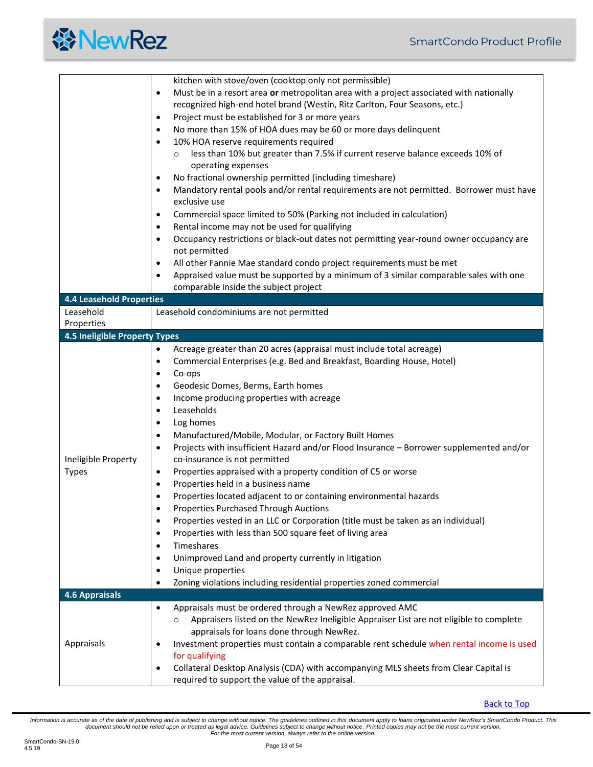<span id="page-17-2"></span><span id="page-17-1"></span><span id="page-17-0"></span>

|                                      | kitchen with stove/oven (cooktop only not permissible)                                                                |  |  |  |  |  |  |  |
|--------------------------------------|-----------------------------------------------------------------------------------------------------------------------|--|--|--|--|--|--|--|
|                                      | Must be in a resort area or metropolitan area with a project associated with nationally<br>$\bullet$                  |  |  |  |  |  |  |  |
|                                      | recognized high-end hotel brand (Westin, Ritz Carlton, Four Seasons, etc.)                                            |  |  |  |  |  |  |  |
|                                      | Project must be established for 3 or more years<br>$\bullet$                                                          |  |  |  |  |  |  |  |
|                                      | No more than 15% of HOA dues may be 60 or more days delinquent<br>$\bullet$                                           |  |  |  |  |  |  |  |
|                                      | 10% HOA reserve requirements required<br>$\bullet$                                                                    |  |  |  |  |  |  |  |
|                                      | less than 10% but greater than 7.5% if current reserve balance exceeds 10% of<br>$\circ$                              |  |  |  |  |  |  |  |
|                                      | operating expenses                                                                                                    |  |  |  |  |  |  |  |
|                                      | No fractional ownership permitted (including timeshare)<br>$\bullet$                                                  |  |  |  |  |  |  |  |
|                                      | Mandatory rental pools and/or rental requirements are not permitted. Borrower must have<br>$\bullet$                  |  |  |  |  |  |  |  |
|                                      | exclusive use                                                                                                         |  |  |  |  |  |  |  |
|                                      | Commercial space limited to 50% (Parking not included in calculation)<br>$\bullet$                                    |  |  |  |  |  |  |  |
|                                      | Rental income may not be used for qualifying<br>$\bullet$                                                             |  |  |  |  |  |  |  |
|                                      | Occupancy restrictions or black-out dates not permitting year-round owner occupancy are<br>$\bullet$                  |  |  |  |  |  |  |  |
|                                      | not permitted                                                                                                         |  |  |  |  |  |  |  |
|                                      | All other Fannie Mae standard condo project requirements must be met<br>$\bullet$                                     |  |  |  |  |  |  |  |
|                                      | Appraised value must be supported by a minimum of 3 similar comparable sales with one<br>$\bullet$                    |  |  |  |  |  |  |  |
|                                      | comparable inside the subject project                                                                                 |  |  |  |  |  |  |  |
| <b>4.4 Leasehold Properties</b>      |                                                                                                                       |  |  |  |  |  |  |  |
| Leasehold                            | Leasehold condominiums are not permitted                                                                              |  |  |  |  |  |  |  |
| Properties                           |                                                                                                                       |  |  |  |  |  |  |  |
| <b>4.5 Ineligible Property Types</b> |                                                                                                                       |  |  |  |  |  |  |  |
|                                      | Acreage greater than 20 acres (appraisal must include total acreage)<br>$\bullet$                                     |  |  |  |  |  |  |  |
|                                      | Commercial Enterprises (e.g. Bed and Breakfast, Boarding House, Hotel)<br>$\bullet$                                   |  |  |  |  |  |  |  |
|                                      | Co-ops<br>$\bullet$                                                                                                   |  |  |  |  |  |  |  |
|                                      | Geodesic Domes, Berms, Earth homes<br>$\bullet$                                                                       |  |  |  |  |  |  |  |
|                                      | Income producing properties with acreage<br>$\bullet$                                                                 |  |  |  |  |  |  |  |
|                                      | Leaseholds<br>$\bullet$                                                                                               |  |  |  |  |  |  |  |
|                                      | Log homes<br>$\bullet$                                                                                                |  |  |  |  |  |  |  |
|                                      | Manufactured/Mobile, Modular, or Factory Built Homes<br>$\bullet$                                                     |  |  |  |  |  |  |  |
|                                      | Projects with insufficient Hazard and/or Flood Insurance - Borrower supplemented and/or<br>$\bullet$                  |  |  |  |  |  |  |  |
| Ineligible Property                  | co-insurance is not permitted                                                                                         |  |  |  |  |  |  |  |
| <b>Types</b>                         | Properties appraised with a property condition of C5 or worse<br>$\bullet$                                            |  |  |  |  |  |  |  |
|                                      | Properties held in a business name<br>$\bullet$<br>Properties located adjacent to or containing environmental hazards |  |  |  |  |  |  |  |
|                                      | $\bullet$<br><b>Properties Purchased Through Auctions</b>                                                             |  |  |  |  |  |  |  |
|                                      | Properties vested in an LLC or Corporation (title must be taken as an individual)<br>$\bullet$                        |  |  |  |  |  |  |  |
|                                      | Properties with less than 500 square feet of living area<br>$\bullet$                                                 |  |  |  |  |  |  |  |
|                                      | Timeshares<br>$\bullet$                                                                                               |  |  |  |  |  |  |  |
|                                      | Unimproved Land and property currently in litigation<br>$\bullet$                                                     |  |  |  |  |  |  |  |
|                                      | Unique properties<br>$\bullet$                                                                                        |  |  |  |  |  |  |  |
|                                      | Zoning violations including residential properties zoned commercial<br>$\bullet$                                      |  |  |  |  |  |  |  |
| <b>4.6 Appraisals</b>                |                                                                                                                       |  |  |  |  |  |  |  |
|                                      | Appraisals must be ordered through a NewRez approved AMC<br>$\bullet$                                                 |  |  |  |  |  |  |  |
|                                      | Appraisers listed on the NewRez Ineligible Appraiser List are not eligible to complete<br>$\circ$                     |  |  |  |  |  |  |  |
|                                      | appraisals for loans done through NewRez.                                                                             |  |  |  |  |  |  |  |
| Appraisals                           | Investment properties must contain a comparable rent schedule when rental income is used<br>$\bullet$                 |  |  |  |  |  |  |  |
|                                      | for qualifying                                                                                                        |  |  |  |  |  |  |  |
|                                      | Collateral Desktop Analysis (CDA) with accompanying MLS sheets from Clear Capital is<br>$\bullet$                     |  |  |  |  |  |  |  |
|                                      | required to support the value of the appraisal.                                                                       |  |  |  |  |  |  |  |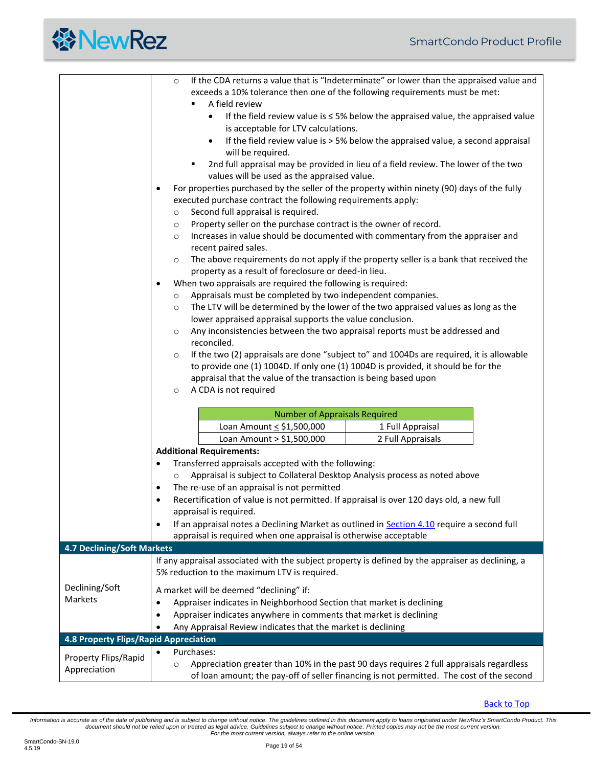<span id="page-18-1"></span><span id="page-18-0"></span>

|                                       | If the CDA returns a value that is "Indeterminate" or lower than the appraised value and<br>$\circ$                                                                                                                                                                                                                                                           |  |  |  |  |  |  |  |  |
|---------------------------------------|---------------------------------------------------------------------------------------------------------------------------------------------------------------------------------------------------------------------------------------------------------------------------------------------------------------------------------------------------------------|--|--|--|--|--|--|--|--|
|                                       | exceeds a 10% tolerance then one of the following requirements must be met:                                                                                                                                                                                                                                                                                   |  |  |  |  |  |  |  |  |
|                                       | A field review                                                                                                                                                                                                                                                                                                                                                |  |  |  |  |  |  |  |  |
|                                       | If the field review value is $\leq$ 5% below the appraised value, the appraised value<br>$\bullet$                                                                                                                                                                                                                                                            |  |  |  |  |  |  |  |  |
|                                       | is acceptable for LTV calculations.                                                                                                                                                                                                                                                                                                                           |  |  |  |  |  |  |  |  |
|                                       | If the field review value is > 5% below the appraised value, a second appraisal<br>$\bullet$                                                                                                                                                                                                                                                                  |  |  |  |  |  |  |  |  |
|                                       | will be required.                                                                                                                                                                                                                                                                                                                                             |  |  |  |  |  |  |  |  |
|                                       | 2nd full appraisal may be provided in lieu of a field review. The lower of the two<br>٠                                                                                                                                                                                                                                                                       |  |  |  |  |  |  |  |  |
|                                       | values will be used as the appraised value.                                                                                                                                                                                                                                                                                                                   |  |  |  |  |  |  |  |  |
|                                       | For properties purchased by the seller of the property within ninety (90) days of the fully<br>$\bullet$                                                                                                                                                                                                                                                      |  |  |  |  |  |  |  |  |
|                                       | executed purchase contract the following requirements apply:                                                                                                                                                                                                                                                                                                  |  |  |  |  |  |  |  |  |
|                                       | Second full appraisal is required.<br>$\circ$                                                                                                                                                                                                                                                                                                                 |  |  |  |  |  |  |  |  |
|                                       | Property seller on the purchase contract is the owner of record.<br>$\circ$<br>Increases in value should be documented with commentary from the appraiser and<br>$\circ$<br>recent paired sales.<br>The above requirements do not apply if the property seller is a bank that received the<br>$\circ$<br>property as a result of foreclosure or deed-in lieu. |  |  |  |  |  |  |  |  |
|                                       |                                                                                                                                                                                                                                                                                                                                                               |  |  |  |  |  |  |  |  |
|                                       |                                                                                                                                                                                                                                                                                                                                                               |  |  |  |  |  |  |  |  |
|                                       |                                                                                                                                                                                                                                                                                                                                                               |  |  |  |  |  |  |  |  |
|                                       |                                                                                                                                                                                                                                                                                                                                                               |  |  |  |  |  |  |  |  |
|                                       | When two appraisals are required the following is required:<br>٠                                                                                                                                                                                                                                                                                              |  |  |  |  |  |  |  |  |
|                                       | Appraisals must be completed by two independent companies.<br>$\circ$                                                                                                                                                                                                                                                                                         |  |  |  |  |  |  |  |  |
|                                       | The LTV will be determined by the lower of the two appraised values as long as the<br>$\circ$                                                                                                                                                                                                                                                                 |  |  |  |  |  |  |  |  |
|                                       | lower appraised appraisal supports the value conclusion.                                                                                                                                                                                                                                                                                                      |  |  |  |  |  |  |  |  |
|                                       | Any inconsistencies between the two appraisal reports must be addressed and<br>$\circ$                                                                                                                                                                                                                                                                        |  |  |  |  |  |  |  |  |
|                                       | reconciled.                                                                                                                                                                                                                                                                                                                                                   |  |  |  |  |  |  |  |  |
|                                       | If the two (2) appraisals are done "subject to" and 1004Ds are required, it is allowable<br>$\circ$                                                                                                                                                                                                                                                           |  |  |  |  |  |  |  |  |
|                                       | to provide one (1) 1004D. If only one (1) 1004D is provided, it should be for the                                                                                                                                                                                                                                                                             |  |  |  |  |  |  |  |  |
|                                       | appraisal that the value of the transaction is being based upon                                                                                                                                                                                                                                                                                               |  |  |  |  |  |  |  |  |
|                                       | A CDA is not required<br>$\circ$                                                                                                                                                                                                                                                                                                                              |  |  |  |  |  |  |  |  |
|                                       |                                                                                                                                                                                                                                                                                                                                                               |  |  |  |  |  |  |  |  |
|                                       | <b>Number of Appraisals Required</b>                                                                                                                                                                                                                                                                                                                          |  |  |  |  |  |  |  |  |
|                                       | Loan Amount < \$1,500,000<br>1 Full Appraisal                                                                                                                                                                                                                                                                                                                 |  |  |  |  |  |  |  |  |
|                                       | Loan Amount > \$1,500,000<br>2 Full Appraisals<br><b>Additional Requirements:</b>                                                                                                                                                                                                                                                                             |  |  |  |  |  |  |  |  |
|                                       |                                                                                                                                                                                                                                                                                                                                                               |  |  |  |  |  |  |  |  |
|                                       |                                                                                                                                                                                                                                                                                                                                                               |  |  |  |  |  |  |  |  |
|                                       | Transferred appraisals accepted with the following:<br>٠                                                                                                                                                                                                                                                                                                      |  |  |  |  |  |  |  |  |
|                                       | Appraisal is subject to Collateral Desktop Analysis process as noted above                                                                                                                                                                                                                                                                                    |  |  |  |  |  |  |  |  |
|                                       | The re-use of an appraisal is not permitted<br>$\bullet$                                                                                                                                                                                                                                                                                                      |  |  |  |  |  |  |  |  |
|                                       | Recertification of value is not permitted. If appraisal is over 120 days old, a new full<br>$\bullet$                                                                                                                                                                                                                                                         |  |  |  |  |  |  |  |  |
|                                       | appraisal is required.                                                                                                                                                                                                                                                                                                                                        |  |  |  |  |  |  |  |  |
|                                       | If an appraisal notes a Declining Market as outlined in <b>Section 4.10</b> require a second full<br>$\bullet$                                                                                                                                                                                                                                                |  |  |  |  |  |  |  |  |
|                                       | appraisal is required when one appraisal is otherwise acceptable                                                                                                                                                                                                                                                                                              |  |  |  |  |  |  |  |  |
| <b>4.7 Declining/Soft Markets</b>     |                                                                                                                                                                                                                                                                                                                                                               |  |  |  |  |  |  |  |  |
|                                       | If any appraisal associated with the subject property is defined by the appraiser as declining, a                                                                                                                                                                                                                                                             |  |  |  |  |  |  |  |  |
|                                       | 5% reduction to the maximum LTV is required.                                                                                                                                                                                                                                                                                                                  |  |  |  |  |  |  |  |  |
| Declining/Soft                        | A market will be deemed "declining" if:                                                                                                                                                                                                                                                                                                                       |  |  |  |  |  |  |  |  |
| Markets                               | Appraiser indicates in Neighborhood Section that market is declining<br>٠                                                                                                                                                                                                                                                                                     |  |  |  |  |  |  |  |  |
|                                       | Appraiser indicates anywhere in comments that market is declining<br>٠                                                                                                                                                                                                                                                                                        |  |  |  |  |  |  |  |  |
|                                       | Any Appraisal Review indicates that the market is declining                                                                                                                                                                                                                                                                                                   |  |  |  |  |  |  |  |  |
| 4.8 Property Flips/Rapid Appreciation |                                                                                                                                                                                                                                                                                                                                                               |  |  |  |  |  |  |  |  |
|                                       | Purchases:                                                                                                                                                                                                                                                                                                                                                    |  |  |  |  |  |  |  |  |
| Property Flips/Rapid<br>Appreciation  | Appreciation greater than 10% in the past 90 days requires 2 full appraisals regardless<br>$\circ$                                                                                                                                                                                                                                                            |  |  |  |  |  |  |  |  |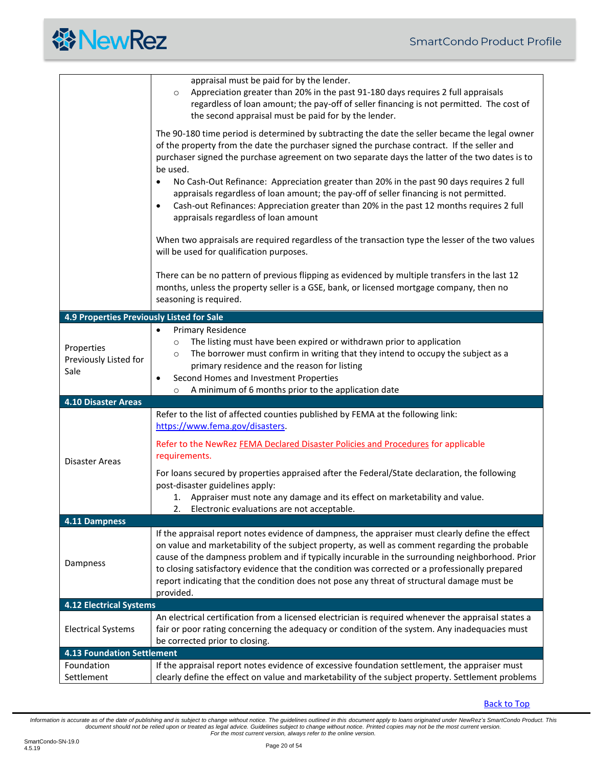<span id="page-19-4"></span><span id="page-19-3"></span><span id="page-19-2"></span><span id="page-19-1"></span><span id="page-19-0"></span>

|                                             | appraisal must be paid for by the lender.<br>Appreciation greater than 20% in the past 91-180 days requires 2 full appraisals<br>$\circ$<br>regardless of loan amount; the pay-off of seller financing is not permitted. The cost of<br>the second appraisal must be paid for by the lender.                                                                                                                                                                                                                      |  |  |  |  |  |
|---------------------------------------------|-------------------------------------------------------------------------------------------------------------------------------------------------------------------------------------------------------------------------------------------------------------------------------------------------------------------------------------------------------------------------------------------------------------------------------------------------------------------------------------------------------------------|--|--|--|--|--|
|                                             | The 90-180 time period is determined by subtracting the date the seller became the legal owner<br>of the property from the date the purchaser signed the purchase contract. If the seller and<br>purchaser signed the purchase agreement on two separate days the latter of the two dates is to<br>be used.                                                                                                                                                                                                       |  |  |  |  |  |
|                                             | No Cash-Out Refinance: Appreciation greater than 20% in the past 90 days requires 2 full<br>$\bullet$<br>appraisals regardless of loan amount; the pay-off of seller financing is not permitted.<br>Cash-out Refinances: Appreciation greater than 20% in the past 12 months requires 2 full<br>٠<br>appraisals regardless of loan amount                                                                                                                                                                         |  |  |  |  |  |
|                                             | When two appraisals are required regardless of the transaction type the lesser of the two values<br>will be used for qualification purposes.                                                                                                                                                                                                                                                                                                                                                                      |  |  |  |  |  |
|                                             | There can be no pattern of previous flipping as evidenced by multiple transfers in the last 12<br>months, unless the property seller is a GSE, bank, or licensed mortgage company, then no<br>seasoning is required.                                                                                                                                                                                                                                                                                              |  |  |  |  |  |
| 4.9 Properties Previously Listed for Sale   |                                                                                                                                                                                                                                                                                                                                                                                                                                                                                                                   |  |  |  |  |  |
| Properties<br>Previously Listed for<br>Sale | Primary Residence<br>$\bullet$<br>The listing must have been expired or withdrawn prior to application<br>$\circ$<br>The borrower must confirm in writing that they intend to occupy the subject as a<br>$\circ$<br>primary residence and the reason for listing<br>Second Homes and Investment Properties<br>$\bullet$                                                                                                                                                                                           |  |  |  |  |  |
|                                             | A minimum of 6 months prior to the application date<br>$\circ$                                                                                                                                                                                                                                                                                                                                                                                                                                                    |  |  |  |  |  |
| 4.10 Disaster Areas                         | Refer to the list of affected counties published by FEMA at the following link:                                                                                                                                                                                                                                                                                                                                                                                                                                   |  |  |  |  |  |
|                                             | https://www.fema.gov/disasters.                                                                                                                                                                                                                                                                                                                                                                                                                                                                                   |  |  |  |  |  |
| Disaster Areas                              | Refer to the NewRez FEMA Declared Disaster Policies and Procedures for applicable<br>requirements.                                                                                                                                                                                                                                                                                                                                                                                                                |  |  |  |  |  |
|                                             | For loans secured by properties appraised after the Federal/State declaration, the following<br>post-disaster guidelines apply:<br>1. Appraiser must note any damage and its effect on marketability and value.                                                                                                                                                                                                                                                                                                   |  |  |  |  |  |
|                                             |                                                                                                                                                                                                                                                                                                                                                                                                                                                                                                                   |  |  |  |  |  |
|                                             | 2.                                                                                                                                                                                                                                                                                                                                                                                                                                                                                                                |  |  |  |  |  |
|                                             | Electronic evaluations are not acceptable.                                                                                                                                                                                                                                                                                                                                                                                                                                                                        |  |  |  |  |  |
| 4.11 Dampness<br>Dampness                   | If the appraisal report notes evidence of dampness, the appraiser must clearly define the effect<br>on value and marketability of the subject property, as well as comment regarding the probable<br>cause of the dampness problem and if typically incurable in the surrounding neighborhood. Prior<br>to closing satisfactory evidence that the condition was corrected or a professionally prepared<br>report indicating that the condition does not pose any threat of structural damage must be<br>provided. |  |  |  |  |  |
| <b>4.12 Electrical Systems</b>              |                                                                                                                                                                                                                                                                                                                                                                                                                                                                                                                   |  |  |  |  |  |
| <b>Electrical Systems</b>                   | An electrical certification from a licensed electrician is required whenever the appraisal states a<br>fair or poor rating concerning the adequacy or condition of the system. Any inadequacies must<br>be corrected prior to closing.                                                                                                                                                                                                                                                                            |  |  |  |  |  |
| <b>4.13 Foundation Settlement</b>           |                                                                                                                                                                                                                                                                                                                                                                                                                                                                                                                   |  |  |  |  |  |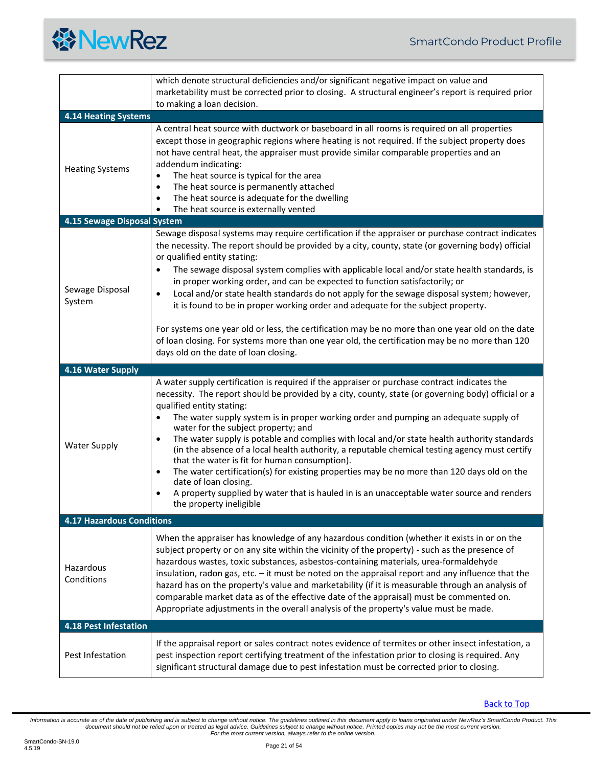<span id="page-20-3"></span><span id="page-20-2"></span><span id="page-20-1"></span><span id="page-20-0"></span>

|                                  | which denote structural deficiencies and/or significant negative impact on value and                                                                                                                                                                                                                                                                                                                                                                                                                                                                                                                                                                                                                                                                                                                                                                                                            |  |  |  |  |  |  |  |
|----------------------------------|-------------------------------------------------------------------------------------------------------------------------------------------------------------------------------------------------------------------------------------------------------------------------------------------------------------------------------------------------------------------------------------------------------------------------------------------------------------------------------------------------------------------------------------------------------------------------------------------------------------------------------------------------------------------------------------------------------------------------------------------------------------------------------------------------------------------------------------------------------------------------------------------------|--|--|--|--|--|--|--|
|                                  | marketability must be corrected prior to closing. A structural engineer's report is required prior                                                                                                                                                                                                                                                                                                                                                                                                                                                                                                                                                                                                                                                                                                                                                                                              |  |  |  |  |  |  |  |
|                                  | to making a loan decision.                                                                                                                                                                                                                                                                                                                                                                                                                                                                                                                                                                                                                                                                                                                                                                                                                                                                      |  |  |  |  |  |  |  |
| <b>4.14 Heating Systems</b>      |                                                                                                                                                                                                                                                                                                                                                                                                                                                                                                                                                                                                                                                                                                                                                                                                                                                                                                 |  |  |  |  |  |  |  |
| <b>Heating Systems</b>           | A central heat source with ductwork or baseboard in all rooms is required on all properties<br>except those in geographic regions where heating is not required. If the subject property does<br>not have central heat, the appraiser must provide similar comparable properties and an<br>addendum indicating:<br>The heat source is typical for the area<br>$\bullet$<br>The heat source is permanently attached<br>$\bullet$<br>The heat source is adequate for the dwelling<br>٠<br>The heat source is externally vented<br>٠                                                                                                                                                                                                                                                                                                                                                               |  |  |  |  |  |  |  |
| 4.15 Sewage Disposal System      |                                                                                                                                                                                                                                                                                                                                                                                                                                                                                                                                                                                                                                                                                                                                                                                                                                                                                                 |  |  |  |  |  |  |  |
| Sewage Disposal<br>System        | Sewage disposal systems may require certification if the appraiser or purchase contract indicates<br>the necessity. The report should be provided by a city, county, state (or governing body) official<br>or qualified entity stating:<br>The sewage disposal system complies with applicable local and/or state health standards, is<br>$\bullet$<br>in proper working order, and can be expected to function satisfactorily; or<br>Local and/or state health standards do not apply for the sewage disposal system; however,<br>$\bullet$<br>it is found to be in proper working order and adequate for the subject property.<br>For systems one year old or less, the certification may be no more than one year old on the date<br>of loan closing. For systems more than one year old, the certification may be no more than 120<br>days old on the date of loan closing.                 |  |  |  |  |  |  |  |
| 4.16 Water Supply                |                                                                                                                                                                                                                                                                                                                                                                                                                                                                                                                                                                                                                                                                                                                                                                                                                                                                                                 |  |  |  |  |  |  |  |
| <b>Water Supply</b>              | A water supply certification is required if the appraiser or purchase contract indicates the<br>necessity. The report should be provided by a city, county, state (or governing body) official or a<br>qualified entity stating:<br>The water supply system is in proper working order and pumping an adequate supply of<br>water for the subject property; and<br>The water supply is potable and complies with local and/or state health authority standards<br>$\bullet$<br>(in the absence of a local health authority, a reputable chemical testing agency must certify<br>that the water is fit for human consumption).<br>The water certification(s) for existing properties may be no more than 120 days old on the<br>$\bullet$<br>date of loan closing.<br>A property supplied by water that is hauled in is an unacceptable water source and renders<br>٠<br>the property ineligible |  |  |  |  |  |  |  |
| <b>4.17 Hazardous Conditions</b> |                                                                                                                                                                                                                                                                                                                                                                                                                                                                                                                                                                                                                                                                                                                                                                                                                                                                                                 |  |  |  |  |  |  |  |
| Hazardous<br>Conditions          | When the appraiser has knowledge of any hazardous condition (whether it exists in or on the<br>subject property or on any site within the vicinity of the property) - such as the presence of<br>hazardous wastes, toxic substances, asbestos-containing materials, urea-formaldehyde<br>insulation, radon gas, etc. - it must be noted on the appraisal report and any influence that the<br>hazard has on the property's value and marketability (if it is measurable through an analysis of<br>comparable market data as of the effective date of the appraisal) must be commented on.<br>Appropriate adjustments in the overall analysis of the property's value must be made.                                                                                                                                                                                                              |  |  |  |  |  |  |  |
| <b>4.18 Pest Infestation</b>     |                                                                                                                                                                                                                                                                                                                                                                                                                                                                                                                                                                                                                                                                                                                                                                                                                                                                                                 |  |  |  |  |  |  |  |
| Pest Infestation                 | If the appraisal report or sales contract notes evidence of termites or other insect infestation, a<br>pest inspection report certifying treatment of the infestation prior to closing is required. Any<br>significant structural damage due to pest infestation must be corrected prior to closing.                                                                                                                                                                                                                                                                                                                                                                                                                                                                                                                                                                                            |  |  |  |  |  |  |  |

<span id="page-20-4"></span>[Back to Top](#page-1-0)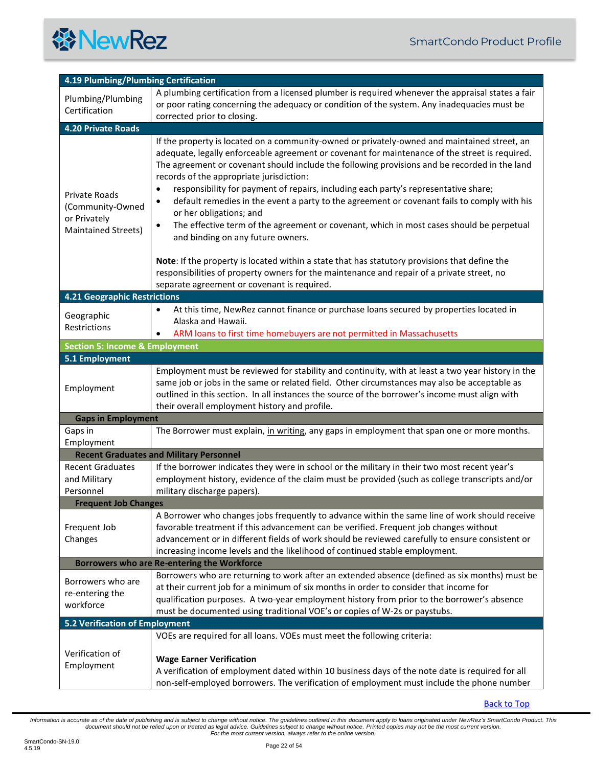

<span id="page-21-9"></span><span id="page-21-8"></span><span id="page-21-7"></span><span id="page-21-6"></span><span id="page-21-5"></span><span id="page-21-4"></span><span id="page-21-3"></span><span id="page-21-2"></span><span id="page-21-1"></span><span id="page-21-0"></span>

| 4.19 Plumbing/Plumbing Certification                                            |                                                                                                                                                                                                                                                                                                                                                                                                                                                                                                                                                                                                                                                                                                                                                                                                                                                                                                                                                                            |  |  |  |  |  |  |
|---------------------------------------------------------------------------------|----------------------------------------------------------------------------------------------------------------------------------------------------------------------------------------------------------------------------------------------------------------------------------------------------------------------------------------------------------------------------------------------------------------------------------------------------------------------------------------------------------------------------------------------------------------------------------------------------------------------------------------------------------------------------------------------------------------------------------------------------------------------------------------------------------------------------------------------------------------------------------------------------------------------------------------------------------------------------|--|--|--|--|--|--|
| Plumbing/Plumbing<br>Certification                                              | A plumbing certification from a licensed plumber is required whenever the appraisal states a fair<br>or poor rating concerning the adequacy or condition of the system. Any inadequacies must be<br>corrected prior to closing.                                                                                                                                                                                                                                                                                                                                                                                                                                                                                                                                                                                                                                                                                                                                            |  |  |  |  |  |  |
| 4.20 Private Roads                                                              |                                                                                                                                                                                                                                                                                                                                                                                                                                                                                                                                                                                                                                                                                                                                                                                                                                                                                                                                                                            |  |  |  |  |  |  |
| Private Roads<br>(Community-Owned<br>or Privately<br><b>Maintained Streets)</b> | If the property is located on a community-owned or privately-owned and maintained street, an<br>adequate, legally enforceable agreement or covenant for maintenance of the street is required.<br>The agreement or covenant should include the following provisions and be recorded in the land<br>records of the appropriate jurisdiction:<br>responsibility for payment of repairs, including each party's representative share;<br>٠<br>default remedies in the event a party to the agreement or covenant fails to comply with his<br>$\bullet$<br>or her obligations; and<br>The effective term of the agreement or covenant, which in most cases should be perpetual<br>$\bullet$<br>and binding on any future owners.<br>Note: If the property is located within a state that has statutory provisions that define the<br>responsibilities of property owners for the maintenance and repair of a private street, no<br>separate agreement or covenant is required. |  |  |  |  |  |  |
| <b>4.21 Geographic Restrictions</b>                                             |                                                                                                                                                                                                                                                                                                                                                                                                                                                                                                                                                                                                                                                                                                                                                                                                                                                                                                                                                                            |  |  |  |  |  |  |
| Geographic<br>Restrictions                                                      | At this time, NewRez cannot finance or purchase loans secured by properties located in<br>$\bullet$<br>Alaska and Hawaii.<br>ARM loans to first time homebuyers are not permitted in Massachusetts                                                                                                                                                                                                                                                                                                                                                                                                                                                                                                                                                                                                                                                                                                                                                                         |  |  |  |  |  |  |
| <b>Section 5: Income &amp; Employment</b>                                       |                                                                                                                                                                                                                                                                                                                                                                                                                                                                                                                                                                                                                                                                                                                                                                                                                                                                                                                                                                            |  |  |  |  |  |  |
| 5.1 Employment                                                                  |                                                                                                                                                                                                                                                                                                                                                                                                                                                                                                                                                                                                                                                                                                                                                                                                                                                                                                                                                                            |  |  |  |  |  |  |
| Employment                                                                      | Employment must be reviewed for stability and continuity, with at least a two year history in the<br>same job or jobs in the same or related field. Other circumstances may also be acceptable as<br>outlined in this section. In all instances the source of the borrower's income must align with<br>their overall employment history and profile.                                                                                                                                                                                                                                                                                                                                                                                                                                                                                                                                                                                                                       |  |  |  |  |  |  |
| <b>Gaps in Employment</b>                                                       |                                                                                                                                                                                                                                                                                                                                                                                                                                                                                                                                                                                                                                                                                                                                                                                                                                                                                                                                                                            |  |  |  |  |  |  |
| Gaps in<br>Employment                                                           | The Borrower must explain, in writing, any gaps in employment that span one or more months.                                                                                                                                                                                                                                                                                                                                                                                                                                                                                                                                                                                                                                                                                                                                                                                                                                                                                |  |  |  |  |  |  |
|                                                                                 | <b>Recent Graduates and Military Personnel</b>                                                                                                                                                                                                                                                                                                                                                                                                                                                                                                                                                                                                                                                                                                                                                                                                                                                                                                                             |  |  |  |  |  |  |
| <b>Recent Graduates</b><br>and Military<br>Personnel                            | If the borrower indicates they were in school or the military in their two most recent year's<br>employment history, evidence of the claim must be provided (such as college transcripts and/or<br>military discharge papers).                                                                                                                                                                                                                                                                                                                                                                                                                                                                                                                                                                                                                                                                                                                                             |  |  |  |  |  |  |
| <b>Frequent Job Changes</b>                                                     |                                                                                                                                                                                                                                                                                                                                                                                                                                                                                                                                                                                                                                                                                                                                                                                                                                                                                                                                                                            |  |  |  |  |  |  |
| Frequent Job<br>Changes                                                         | A Borrower who changes jobs frequently to advance within the same line of work should receive<br>favorable treatment if this advancement can be verified. Frequent job changes without<br>advancement or in different fields of work should be reviewed carefully to ensure consistent or<br>increasing income levels and the likelihood of continued stable employment.                                                                                                                                                                                                                                                                                                                                                                                                                                                                                                                                                                                                   |  |  |  |  |  |  |
|                                                                                 | Borrowers who are Re-entering the Workforce                                                                                                                                                                                                                                                                                                                                                                                                                                                                                                                                                                                                                                                                                                                                                                                                                                                                                                                                |  |  |  |  |  |  |
| Borrowers who are<br>re-entering the<br>workforce                               | Borrowers who are returning to work after an extended absence (defined as six months) must be<br>at their current job for a minimum of six months in order to consider that income for<br>qualification purposes. A two-year employment history from prior to the borrower's absence<br>must be documented using traditional VOE's or copies of W-2s or paystubs.                                                                                                                                                                                                                                                                                                                                                                                                                                                                                                                                                                                                          |  |  |  |  |  |  |
| <b>5.2 Verification of Employment</b>                                           |                                                                                                                                                                                                                                                                                                                                                                                                                                                                                                                                                                                                                                                                                                                                                                                                                                                                                                                                                                            |  |  |  |  |  |  |
| Verification of<br>Employment                                                   | VOEs are required for all loans. VOEs must meet the following criteria:<br><b>Wage Earner Verification</b><br>A verification of employment dated within 10 business days of the note date is required for all<br>non-self-employed borrowers. The verification of employment must include the phone number                                                                                                                                                                                                                                                                                                                                                                                                                                                                                                                                                                                                                                                                 |  |  |  |  |  |  |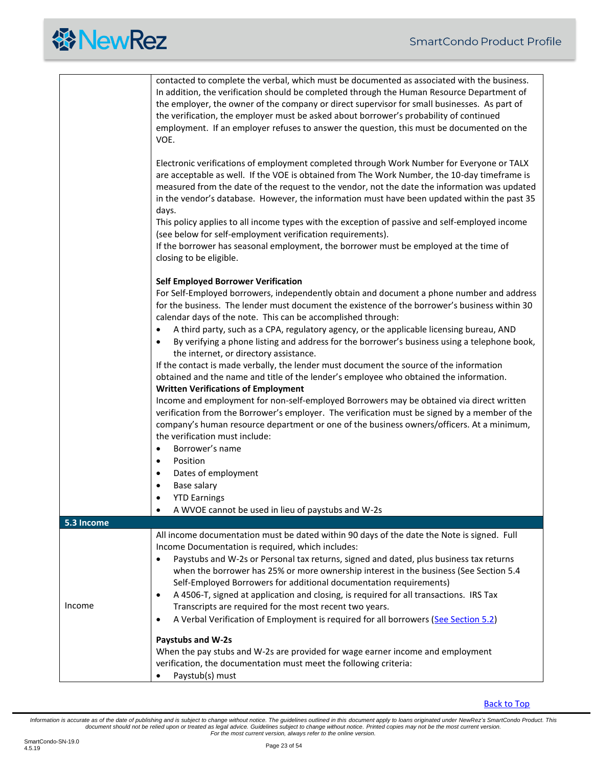<span id="page-22-0"></span>

|            | contacted to complete the verbal, which must be documented as associated with the business.<br>In addition, the verification should be completed through the Human Resource Department of<br>the employer, the owner of the company or direct supervisor for small businesses. As part of<br>the verification, the employer must be asked about borrower's probability of continued<br>employment. If an employer refuses to answer the question, this must be documented on the<br>VOE.                                                                                                                                                                                                    |  |  |  |  |  |
|------------|---------------------------------------------------------------------------------------------------------------------------------------------------------------------------------------------------------------------------------------------------------------------------------------------------------------------------------------------------------------------------------------------------------------------------------------------------------------------------------------------------------------------------------------------------------------------------------------------------------------------------------------------------------------------------------------------|--|--|--|--|--|
|            | Electronic verifications of employment completed through Work Number for Everyone or TALX<br>are acceptable as well. If the VOE is obtained from The Work Number, the 10-day timeframe is<br>measured from the date of the request to the vendor, not the date the information was updated<br>in the vendor's database. However, the information must have been updated within the past 35<br>days.<br>This policy applies to all income types with the exception of passive and self-employed income                                                                                                                                                                                       |  |  |  |  |  |
|            | (see below for self-employment verification requirements).<br>If the borrower has seasonal employment, the borrower must be employed at the time of<br>closing to be eligible.                                                                                                                                                                                                                                                                                                                                                                                                                                                                                                              |  |  |  |  |  |
|            | <b>Self Employed Borrower Verification</b><br>For Self-Employed borrowers, independently obtain and document a phone number and address<br>for the business. The lender must document the existence of the borrower's business within 30<br>calendar days of the note. This can be accomplished through:                                                                                                                                                                                                                                                                                                                                                                                    |  |  |  |  |  |
|            | A third party, such as a CPA, regulatory agency, or the applicable licensing bureau, AND<br>$\bullet$<br>By verifying a phone listing and address for the borrower's business using a telephone book,<br>$\bullet$<br>the internet, or directory assistance.<br>If the contact is made verbally, the lender must document the source of the information                                                                                                                                                                                                                                                                                                                                     |  |  |  |  |  |
|            | obtained and the name and title of the lender's employee who obtained the information.<br><b>Written Verifications of Employment</b><br>Income and employment for non-self-employed Borrowers may be obtained via direct written                                                                                                                                                                                                                                                                                                                                                                                                                                                            |  |  |  |  |  |
|            | verification from the Borrower's employer. The verification must be signed by a member of the<br>company's human resource department or one of the business owners/officers. At a minimum,<br>the verification must include:                                                                                                                                                                                                                                                                                                                                                                                                                                                                |  |  |  |  |  |
|            | Borrower's name<br>$\bullet$<br>Position<br>$\bullet$                                                                                                                                                                                                                                                                                                                                                                                                                                                                                                                                                                                                                                       |  |  |  |  |  |
|            | Dates of employment<br>$\bullet$<br>Base salary<br>$\bullet$                                                                                                                                                                                                                                                                                                                                                                                                                                                                                                                                                                                                                                |  |  |  |  |  |
|            | <b>YTD Earnings</b><br>$\bullet$<br>A WVOE cannot be used in lieu of paystubs and W-2s                                                                                                                                                                                                                                                                                                                                                                                                                                                                                                                                                                                                      |  |  |  |  |  |
| 5.3 Income |                                                                                                                                                                                                                                                                                                                                                                                                                                                                                                                                                                                                                                                                                             |  |  |  |  |  |
| Income     | All income documentation must be dated within 90 days of the date the Note is signed. Full<br>Income Documentation is required, which includes:<br>Paystubs and W-2s or Personal tax returns, signed and dated, plus business tax returns<br>$\bullet$<br>when the borrower has 25% or more ownership interest in the business (See Section 5.4<br>Self-Employed Borrowers for additional documentation requirements)<br>A 4506-T, signed at application and closing, is required for all transactions. IRS Tax<br>$\bullet$<br>Transcripts are required for the most recent two years.<br>A Verbal Verification of Employment is required for all borrowers (See Section 5.2)<br>$\bullet$ |  |  |  |  |  |
|            | Paystubs and W-2s<br>When the pay stubs and W-2s are provided for wage earner income and employment<br>verification, the documentation must meet the following criteria:<br>Paystub(s) must                                                                                                                                                                                                                                                                                                                                                                                                                                                                                                 |  |  |  |  |  |

[Back to Top](#page-1-0)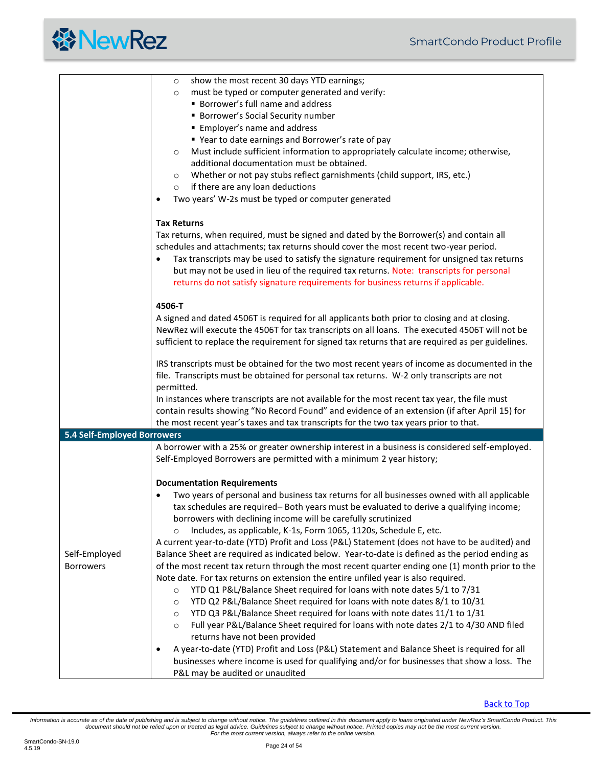<span id="page-23-0"></span>

|                             | show the most recent 30 days YTD earnings;<br>$\circ$                                             |  |  |  |  |  |  |  |
|-----------------------------|---------------------------------------------------------------------------------------------------|--|--|--|--|--|--|--|
|                             | must be typed or computer generated and verify:<br>$\circ$                                        |  |  |  |  |  |  |  |
|                             | <b>Borrower's full name and address</b>                                                           |  |  |  |  |  |  |  |
|                             | <b>Borrower's Social Security number</b>                                                          |  |  |  |  |  |  |  |
|                             |                                                                                                   |  |  |  |  |  |  |  |
|                             | <b>Employer's name and address</b>                                                                |  |  |  |  |  |  |  |
|                             | ■ Year to date earnings and Borrower's rate of pay                                                |  |  |  |  |  |  |  |
|                             | Must include sufficient information to appropriately calculate income; otherwise,<br>$\circ$      |  |  |  |  |  |  |  |
|                             | additional documentation must be obtained.                                                        |  |  |  |  |  |  |  |
|                             | Whether or not pay stubs reflect garnishments (child support, IRS, etc.)<br>$\circ$               |  |  |  |  |  |  |  |
|                             | if there are any loan deductions<br>$\circ$                                                       |  |  |  |  |  |  |  |
|                             | Two years' W-2s must be typed or computer generated<br>$\bullet$                                  |  |  |  |  |  |  |  |
|                             | <b>Tax Returns</b>                                                                                |  |  |  |  |  |  |  |
|                             |                                                                                                   |  |  |  |  |  |  |  |
|                             | Tax returns, when required, must be signed and dated by the Borrower(s) and contain all           |  |  |  |  |  |  |  |
|                             | schedules and attachments; tax returns should cover the most recent two-year period.              |  |  |  |  |  |  |  |
|                             | Tax transcripts may be used to satisfy the signature requirement for unsigned tax returns         |  |  |  |  |  |  |  |
|                             | but may not be used in lieu of the required tax returns. Note: transcripts for personal           |  |  |  |  |  |  |  |
|                             | returns do not satisfy signature requirements for business returns if applicable.                 |  |  |  |  |  |  |  |
|                             | 4506-T                                                                                            |  |  |  |  |  |  |  |
|                             | A signed and dated 4506T is required for all applicants both prior to closing and at closing.     |  |  |  |  |  |  |  |
|                             | NewRez will execute the 4506T for tax transcripts on all loans. The executed 4506T will not be    |  |  |  |  |  |  |  |
|                             | sufficient to replace the requirement for signed tax returns that are required as per guidelines. |  |  |  |  |  |  |  |
|                             |                                                                                                   |  |  |  |  |  |  |  |
|                             | IRS transcripts must be obtained for the two most recent years of income as documented in the     |  |  |  |  |  |  |  |
|                             | file. Transcripts must be obtained for personal tax returns. W-2 only transcripts are not         |  |  |  |  |  |  |  |
|                             | permitted.                                                                                        |  |  |  |  |  |  |  |
|                             | In instances where transcripts are not available for the most recent tax year, the file must      |  |  |  |  |  |  |  |
|                             | contain results showing "No Record Found" and evidence of an extension (if after April 15) for    |  |  |  |  |  |  |  |
|                             | the most recent year's taxes and tax transcripts for the two tax years prior to that.             |  |  |  |  |  |  |  |
| 5.4 Self-Employed Borrowers |                                                                                                   |  |  |  |  |  |  |  |
|                             | A borrower with a 25% or greater ownership interest in a business is considered self-employed.    |  |  |  |  |  |  |  |
|                             | Self-Employed Borrowers are permitted with a minimum 2 year history;                              |  |  |  |  |  |  |  |
|                             |                                                                                                   |  |  |  |  |  |  |  |
|                             | <b>Documentation Requirements</b>                                                                 |  |  |  |  |  |  |  |
|                             | Two years of personal and business tax returns for all businesses owned with all applicable       |  |  |  |  |  |  |  |
|                             | tax schedules are required- Both years must be evaluated to derive a qualifying income;           |  |  |  |  |  |  |  |
|                             | borrowers with declining income will be carefully scrutinized                                     |  |  |  |  |  |  |  |
|                             | Includes, as applicable, K-1s, Form 1065, 1120s, Schedule E, etc.                                 |  |  |  |  |  |  |  |
|                             | A current year-to-date (YTD) Profit and Loss (P&L) Statement (does not have to be audited) and    |  |  |  |  |  |  |  |
| Self-Employed               | Balance Sheet are required as indicated below. Year-to-date is defined as the period ending as    |  |  |  |  |  |  |  |
| <b>Borrowers</b>            | of the most recent tax return through the most recent quarter ending one (1) month prior to the   |  |  |  |  |  |  |  |
|                             | Note date. For tax returns on extension the entire unfiled year is also required.                 |  |  |  |  |  |  |  |
|                             | YTD Q1 P&L/Balance Sheet required for loans with note dates 5/1 to 7/31<br>$\circ$                |  |  |  |  |  |  |  |
|                             | YTD Q2 P&L/Balance Sheet required for loans with note dates 8/1 to 10/31<br>$\circ$               |  |  |  |  |  |  |  |
|                             | YTD Q3 P&L/Balance Sheet required for loans with note dates 11/1 to 1/31                          |  |  |  |  |  |  |  |
|                             | $\circ$                                                                                           |  |  |  |  |  |  |  |
|                             | Full year P&L/Balance Sheet required for loans with note dates 2/1 to 4/30 AND filed<br>$\circ$   |  |  |  |  |  |  |  |
|                             | returns have not been provided                                                                    |  |  |  |  |  |  |  |
|                             | A year-to-date (YTD) Profit and Loss (P&L) Statement and Balance Sheet is required for all        |  |  |  |  |  |  |  |
|                             | businesses where income is used for qualifying and/or for businesses that show a loss. The        |  |  |  |  |  |  |  |
|                             | P&L may be audited or unaudited                                                                   |  |  |  |  |  |  |  |

[Back to Top](#page-1-0)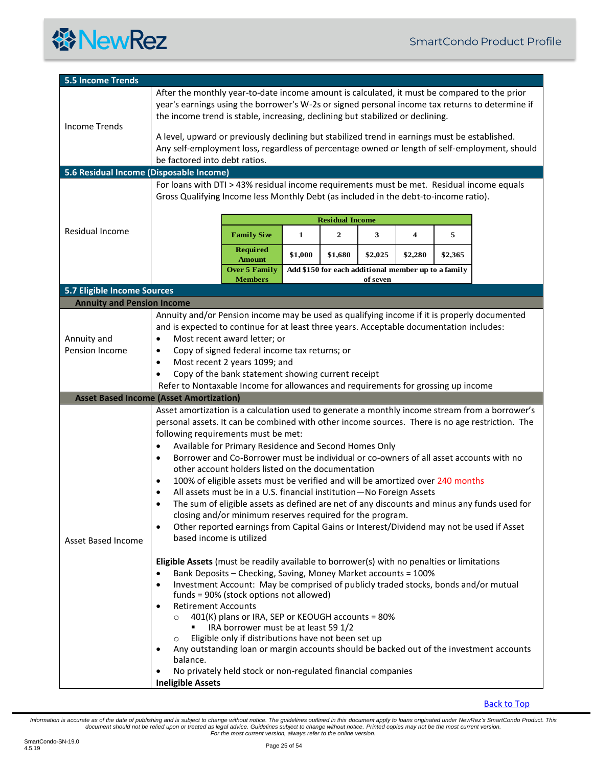

<span id="page-24-2"></span><span id="page-24-1"></span><span id="page-24-0"></span>

| <b>5.5 Income Trends</b>                       |                                                                                                                                                                                                                                                                                                                                                                                                                                                                                                                                                                                                                                                                                                                                                                                                                                                                                                                                                 |                                                                                                                                                                                   |         |                                                     |          |         |         |  |
|------------------------------------------------|-------------------------------------------------------------------------------------------------------------------------------------------------------------------------------------------------------------------------------------------------------------------------------------------------------------------------------------------------------------------------------------------------------------------------------------------------------------------------------------------------------------------------------------------------------------------------------------------------------------------------------------------------------------------------------------------------------------------------------------------------------------------------------------------------------------------------------------------------------------------------------------------------------------------------------------------------|-----------------------------------------------------------------------------------------------------------------------------------------------------------------------------------|---------|-----------------------------------------------------|----------|---------|---------|--|
| <b>Income Trends</b>                           | After the monthly year-to-date income amount is calculated, it must be compared to the prior<br>year's earnings using the borrower's W-2s or signed personal income tax returns to determine if<br>the income trend is stable, increasing, declining but stabilized or declining.                                                                                                                                                                                                                                                                                                                                                                                                                                                                                                                                                                                                                                                               |                                                                                                                                                                                   |         |                                                     |          |         |         |  |
|                                                | A level, upward or previously declining but stabilized trend in earnings must be established.<br>Any self-employment loss, regardless of percentage owned or length of self-employment, should<br>be factored into debt ratios.                                                                                                                                                                                                                                                                                                                                                                                                                                                                                                                                                                                                                                                                                                                 |                                                                                                                                                                                   |         |                                                     |          |         |         |  |
| 5.6 Residual Income (Disposable Income)        |                                                                                                                                                                                                                                                                                                                                                                                                                                                                                                                                                                                                                                                                                                                                                                                                                                                                                                                                                 |                                                                                                                                                                                   |         |                                                     |          |         |         |  |
|                                                |                                                                                                                                                                                                                                                                                                                                                                                                                                                                                                                                                                                                                                                                                                                                                                                                                                                                                                                                                 | For loans with DTI > 43% residual income requirements must be met. Residual income equals<br>Gross Qualifying Income less Monthly Debt (as included in the debt-to-income ratio). |         |                                                     |          |         |         |  |
|                                                |                                                                                                                                                                                                                                                                                                                                                                                                                                                                                                                                                                                                                                                                                                                                                                                                                                                                                                                                                 |                                                                                                                                                                                   |         | <b>Residual Income</b>                              |          |         |         |  |
| Residual Income                                |                                                                                                                                                                                                                                                                                                                                                                                                                                                                                                                                                                                                                                                                                                                                                                                                                                                                                                                                                 | <b>Family Size</b>                                                                                                                                                                | 1       | $\mathbf{2}$                                        | 3        | 4       | 5       |  |
|                                                |                                                                                                                                                                                                                                                                                                                                                                                                                                                                                                                                                                                                                                                                                                                                                                                                                                                                                                                                                 | Required<br><b>Amount</b>                                                                                                                                                         | \$1,000 | \$1,680                                             | \$2,025  | \$2,280 | \$2,365 |  |
|                                                |                                                                                                                                                                                                                                                                                                                                                                                                                                                                                                                                                                                                                                                                                                                                                                                                                                                                                                                                                 | <b>Over 5 Family</b><br><b>Members</b>                                                                                                                                            |         | Add \$150 for each additional member up to a family | of seven |         |         |  |
| 5.7 Eligible Income Sources                    |                                                                                                                                                                                                                                                                                                                                                                                                                                                                                                                                                                                                                                                                                                                                                                                                                                                                                                                                                 |                                                                                                                                                                                   |         |                                                     |          |         |         |  |
| <b>Annuity and Pension Income</b>              |                                                                                                                                                                                                                                                                                                                                                                                                                                                                                                                                                                                                                                                                                                                                                                                                                                                                                                                                                 |                                                                                                                                                                                   |         |                                                     |          |         |         |  |
| Annuity and<br>Pension Income                  | Annuity and/or Pension income may be used as qualifying income if it is properly documented<br>and is expected to continue for at least three years. Acceptable documentation includes:<br>Most recent award letter; or<br>$\bullet$<br>Copy of signed federal income tax returns; or<br>٠<br>Most recent 2 years 1099; and<br>$\bullet$<br>Copy of the bank statement showing current receipt<br>$\bullet$<br>Refer to Nontaxable Income for allowances and requirements for grossing up income                                                                                                                                                                                                                                                                                                                                                                                                                                                |                                                                                                                                                                                   |         |                                                     |          |         |         |  |
| <b>Asset Based Income (Asset Amortization)</b> |                                                                                                                                                                                                                                                                                                                                                                                                                                                                                                                                                                                                                                                                                                                                                                                                                                                                                                                                                 |                                                                                                                                                                                   |         |                                                     |          |         |         |  |
| <b>Asset Based Income</b>                      | Asset amortization is a calculation used to generate a monthly income stream from a borrower's<br>personal assets. It can be combined with other income sources. There is no age restriction. The<br>following requirements must be met:<br>Available for Primary Residence and Second Homes Only<br>٠<br>Borrower and Co-Borrower must be individual or co-owners of all asset accounts with no<br>$\bullet$<br>other account holders listed on the documentation<br>100% of eligible assets must be verified and will be amortized over 240 months<br>$\bullet$<br>All assets must be in a U.S. financial institution-No Foreign Assets<br>٠<br>The sum of eligible assets as defined are net of any discounts and minus any funds used for<br>closing and/or minimum reserves required for the program.<br>Other reported earnings from Capital Gains or Interest/Dividend may not be used if Asset<br>$\bullet$<br>based income is utilized |                                                                                                                                                                                   |         |                                                     |          |         |         |  |
|                                                | Eligible Assets (must be readily available to borrower(s) with no penalties or limitations<br>Bank Deposits - Checking, Saving, Money Market accounts = 100%<br>٠<br>Investment Account: May be comprised of publicly traded stocks, bonds and/or mutual<br>$\bullet$<br>funds = 90% (stock options not allowed)<br><b>Retirement Accounts</b><br>$\bullet$<br>401(K) plans or IRA, SEP or KEOUGH accounts = 80%<br>$\circ$<br>IRA borrower must be at least 59 1/2<br>Eligible only if distributions have not been set up<br>$\circ$<br>Any outstanding loan or margin accounts should be backed out of the investment accounts<br>٠<br>balance.<br>No privately held stock or non-regulated financial companies<br><b>Ineligible Assets</b>                                                                                                                                                                                                   |                                                                                                                                                                                   |         |                                                     |          |         |         |  |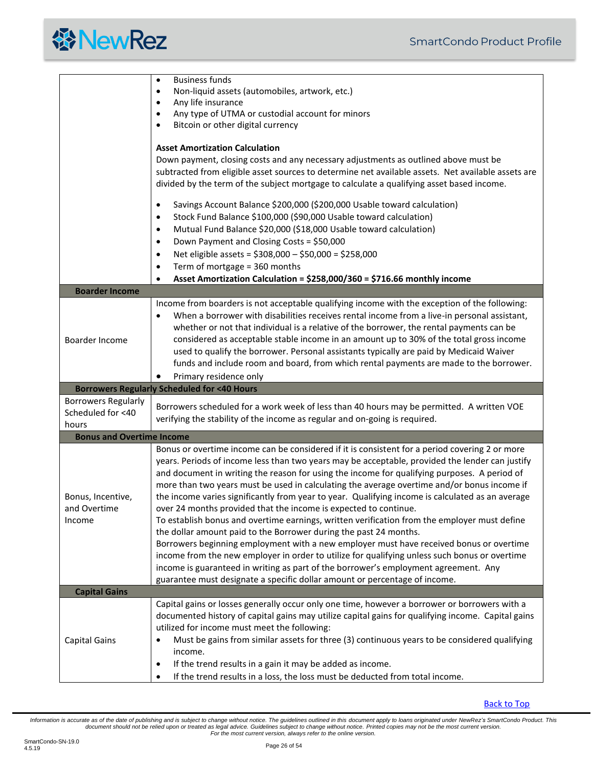

<span id="page-25-3"></span><span id="page-25-2"></span><span id="page-25-1"></span><span id="page-25-0"></span>

|                                  | <b>Business funds</b><br>$\bullet$                                                                                                                                                 |
|----------------------------------|------------------------------------------------------------------------------------------------------------------------------------------------------------------------------------|
|                                  | Non-liquid assets (automobiles, artwork, etc.)<br>$\bullet$                                                                                                                        |
|                                  | Any life insurance<br>Any type of UTMA or custodial account for minors<br>$\bullet$                                                                                                |
|                                  | Bitcoin or other digital currency<br>$\bullet$                                                                                                                                     |
|                                  |                                                                                                                                                                                    |
|                                  | <b>Asset Amortization Calculation</b>                                                                                                                                              |
|                                  | Down payment, closing costs and any necessary adjustments as outlined above must be                                                                                                |
|                                  | subtracted from eligible asset sources to determine net available assets. Net available assets are                                                                                 |
|                                  | divided by the term of the subject mortgage to calculate a qualifying asset based income.                                                                                          |
|                                  | Savings Account Balance \$200,000 (\$200,000 Usable toward calculation)<br>$\bullet$                                                                                               |
|                                  | Stock Fund Balance \$100,000 (\$90,000 Usable toward calculation)<br>$\bullet$                                                                                                     |
|                                  | Mutual Fund Balance \$20,000 (\$18,000 Usable toward calculation)<br>$\bullet$                                                                                                     |
|                                  | Down Payment and Closing Costs = \$50,000<br>$\bullet$                                                                                                                             |
|                                  | Net eligible assets = \$308,000 - \$50,000 = \$258,000<br>$\bullet$                                                                                                                |
|                                  | Term of mortgage = 360 months<br>$\bullet$                                                                                                                                         |
|                                  | Asset Amortization Calculation = \$258,000/360 = \$716.66 monthly income<br>$\bullet$                                                                                              |
| <b>Boarder Income</b>            |                                                                                                                                                                                    |
|                                  | Income from boarders is not acceptable qualifying income with the exception of the following:                                                                                      |
|                                  | When a borrower with disabilities receives rental income from a live-in personal assistant,<br>$\bullet$                                                                           |
|                                  | whether or not that individual is a relative of the borrower, the rental payments can be                                                                                           |
| Boarder Income                   | considered as acceptable stable income in an amount up to 30% of the total gross income<br>used to qualify the borrower. Personal assistants typically are paid by Medicaid Waiver |
|                                  | funds and include room and board, from which rental payments are made to the borrower.                                                                                             |
|                                  |                                                                                                                                                                                    |
|                                  |                                                                                                                                                                                    |
|                                  | Primary residence only                                                                                                                                                             |
| <b>Borrowers Regularly</b>       | <b>Borrowers Regularly Scheduled for &lt;40 Hours</b>                                                                                                                              |
| Scheduled for <40                | Borrowers scheduled for a work week of less than 40 hours may be permitted. A written VOE                                                                                          |
| hours                            | verifying the stability of the income as regular and on-going is required.                                                                                                         |
| <b>Bonus and Overtime Income</b> |                                                                                                                                                                                    |
|                                  | Bonus or overtime income can be considered if it is consistent for a period covering 2 or more                                                                                     |
|                                  | years. Periods of income less than two years may be acceptable, provided the lender can justify                                                                                    |
|                                  | and document in writing the reason for using the income for qualifying purposes. A period of                                                                                       |
|                                  | more than two years must be used in calculating the average overtime and/or bonus income if                                                                                        |
| Bonus, Incentive,                | the income varies significantly from year to year. Qualifying income is calculated as an average                                                                                   |
| and Overtime                     | over 24 months provided that the income is expected to continue.                                                                                                                   |
| Income                           | To establish bonus and overtime earnings, written verification from the employer must define                                                                                       |
|                                  | the dollar amount paid to the Borrower during the past 24 months.                                                                                                                  |
|                                  | Borrowers beginning employment with a new employer must have received bonus or overtime                                                                                            |
|                                  | income from the new employer in order to utilize for qualifying unless such bonus or overtime                                                                                      |
|                                  | income is guaranteed in writing as part of the borrower's employment agreement. Any                                                                                                |
|                                  | guarantee must designate a specific dollar amount or percentage of income.                                                                                                         |
| <b>Capital Gains</b>             | Capital gains or losses generally occur only one time, however a borrower or borrowers with a                                                                                      |
|                                  | documented history of capital gains may utilize capital gains for qualifying income. Capital gains                                                                                 |
|                                  | utilized for income must meet the following:                                                                                                                                       |
| <b>Capital Gains</b>             | Must be gains from similar assets for three (3) continuous years to be considered qualifying<br>$\bullet$                                                                          |
|                                  | income.                                                                                                                                                                            |
|                                  | If the trend results in a gain it may be added as income.<br>$\bullet$                                                                                                             |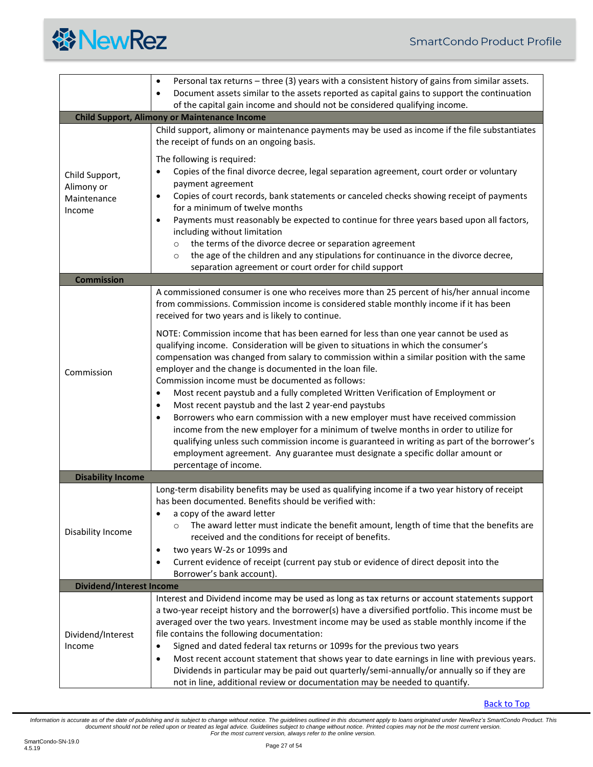<span id="page-26-2"></span><span id="page-26-1"></span><span id="page-26-0"></span>

|                                                       | Personal tax returns - three (3) years with a consistent history of gains from similar assets.<br>$\bullet$<br>Document assets similar to the assets reported as capital gains to support the continuation<br>$\bullet$                                                                                                                                                                                                                                                                                                                                                                                                                                                                                        |  |
|-------------------------------------------------------|----------------------------------------------------------------------------------------------------------------------------------------------------------------------------------------------------------------------------------------------------------------------------------------------------------------------------------------------------------------------------------------------------------------------------------------------------------------------------------------------------------------------------------------------------------------------------------------------------------------------------------------------------------------------------------------------------------------|--|
|                                                       | of the capital gain income and should not be considered qualifying income.                                                                                                                                                                                                                                                                                                                                                                                                                                                                                                                                                                                                                                     |  |
| <b>Child Support, Alimony or Maintenance Income</b>   |                                                                                                                                                                                                                                                                                                                                                                                                                                                                                                                                                                                                                                                                                                                |  |
|                                                       | Child support, alimony or maintenance payments may be used as income if the file substantiates<br>the receipt of funds on an ongoing basis.                                                                                                                                                                                                                                                                                                                                                                                                                                                                                                                                                                    |  |
| Child Support,<br>Alimony or<br>Maintenance<br>Income | The following is required:<br>Copies of the final divorce decree, legal separation agreement, court order or voluntary<br>$\bullet$<br>payment agreement<br>Copies of court records, bank statements or canceled checks showing receipt of payments<br>$\bullet$<br>for a minimum of twelve months<br>Payments must reasonably be expected to continue for three years based upon all factors,<br>$\bullet$<br>including without limitation<br>the terms of the divorce decree or separation agreement<br>$\circ$<br>the age of the children and any stipulations for continuance in the divorce decree,<br>$\circ$<br>separation agreement or court order for child support                                   |  |
| <b>Commission</b>                                     |                                                                                                                                                                                                                                                                                                                                                                                                                                                                                                                                                                                                                                                                                                                |  |
|                                                       | A commissioned consumer is one who receives more than 25 percent of his/her annual income<br>from commissions. Commission income is considered stable monthly income if it has been<br>received for two years and is likely to continue.                                                                                                                                                                                                                                                                                                                                                                                                                                                                       |  |
| Commission                                            | NOTE: Commission income that has been earned for less than one year cannot be used as<br>qualifying income. Consideration will be given to situations in which the consumer's<br>compensation was changed from salary to commission within a similar position with the same<br>employer and the change is documented in the loan file.<br>Commission income must be documented as follows:                                                                                                                                                                                                                                                                                                                     |  |
|                                                       | Most recent paystub and a fully completed Written Verification of Employment or<br>$\bullet$<br>Most recent paystub and the last 2 year-end paystubs<br>$\bullet$<br>Borrowers who earn commission with a new employer must have received commission<br>$\bullet$<br>income from the new employer for a minimum of twelve months in order to utilize for<br>qualifying unless such commission income is guaranteed in writing as part of the borrower's<br>employment agreement. Any guarantee must designate a specific dollar amount or<br>percentage of income.                                                                                                                                             |  |
| <b>Disability Income</b>                              |                                                                                                                                                                                                                                                                                                                                                                                                                                                                                                                                                                                                                                                                                                                |  |
| Disability Income                                     | Long-term disability benefits may be used as qualifying income if a two year history of receipt<br>has been documented. Benefits should be verified with:<br>a copy of the award letter<br>٠<br>The award letter must indicate the benefit amount, length of time that the benefits are<br>$\circ$<br>received and the conditions for receipt of benefits.<br>two years W-2s or 1099s and<br>٠<br>Current evidence of receipt (current pay stub or evidence of direct deposit into the<br>$\bullet$<br>Borrower's bank account).                                                                                                                                                                               |  |
| <b>Dividend/Interest Income</b>                       |                                                                                                                                                                                                                                                                                                                                                                                                                                                                                                                                                                                                                                                                                                                |  |
| Dividend/Interest<br>Income                           | Interest and Dividend income may be used as long as tax returns or account statements support<br>a two-year receipt history and the borrower(s) have a diversified portfolio. This income must be<br>averaged over the two years. Investment income may be used as stable monthly income if the<br>file contains the following documentation:<br>Signed and dated federal tax returns or 1099s for the previous two years<br>٠<br>Most recent account statement that shows year to date earnings in line with previous years.<br>٠<br>Dividends in particular may be paid out quarterly/semi-annually/or annually so if they are<br>not in line, additional review or documentation may be needed to quantify. |  |

<span id="page-26-3"></span>[Back to Top](#page-1-0)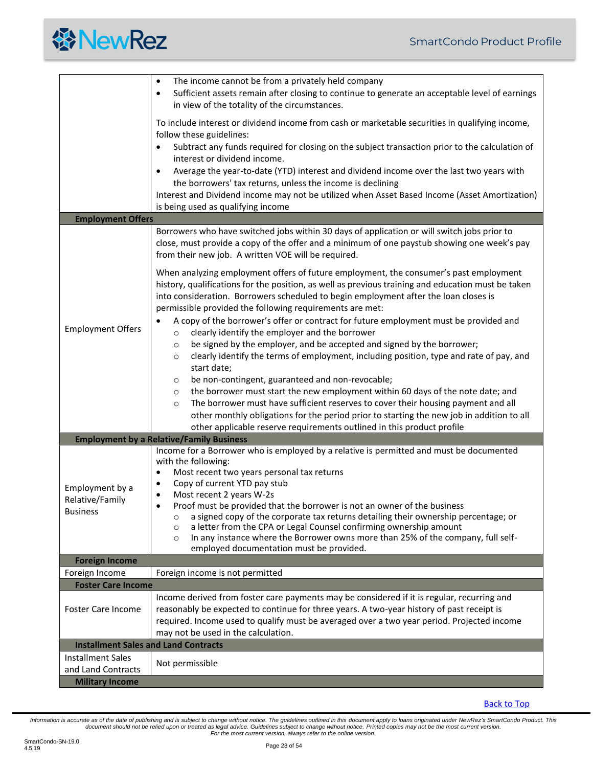<span id="page-27-1"></span><span id="page-27-0"></span>

|                                                                          | The income cannot be from a privately held company<br>$\bullet$<br>Sufficient assets remain after closing to continue to generate an acceptable level of earnings<br>$\bullet$<br>in view of the totality of the circumstances.                                                                                                                                                                                                                                                                                                                                                                                                                                                                                                                            |
|--------------------------------------------------------------------------|------------------------------------------------------------------------------------------------------------------------------------------------------------------------------------------------------------------------------------------------------------------------------------------------------------------------------------------------------------------------------------------------------------------------------------------------------------------------------------------------------------------------------------------------------------------------------------------------------------------------------------------------------------------------------------------------------------------------------------------------------------|
|                                                                          | To include interest or dividend income from cash or marketable securities in qualifying income,<br>follow these guidelines:<br>Subtract any funds required for closing on the subject transaction prior to the calculation of                                                                                                                                                                                                                                                                                                                                                                                                                                                                                                                              |
|                                                                          | interest or dividend income.<br>Average the year-to-date (YTD) interest and dividend income over the last two years with                                                                                                                                                                                                                                                                                                                                                                                                                                                                                                                                                                                                                                   |
|                                                                          | the borrowers' tax returns, unless the income is declining<br>Interest and Dividend income may not be utilized when Asset Based Income (Asset Amortization)<br>is being used as qualifying income                                                                                                                                                                                                                                                                                                                                                                                                                                                                                                                                                          |
| <b>Employment Offers</b>                                                 |                                                                                                                                                                                                                                                                                                                                                                                                                                                                                                                                                                                                                                                                                                                                                            |
| <b>Employment Offers</b>                                                 | Borrowers who have switched jobs within 30 days of application or will switch jobs prior to<br>close, must provide a copy of the offer and a minimum of one paystub showing one week's pay<br>from their new job. A written VOE will be required.<br>When analyzing employment offers of future employment, the consumer's past employment<br>history, qualifications for the position, as well as previous training and education must be taken<br>into consideration. Borrowers scheduled to begin employment after the loan closes is<br>permissible provided the following requirements are met:<br>A copy of the borrower's offer or contract for future employment must be provided and<br>clearly identify the employer and the borrower<br>$\circ$ |
|                                                                          | be signed by the employer, and be accepted and signed by the borrower;<br>$\circ$<br>clearly identify the terms of employment, including position, type and rate of pay, and<br>$\circ$<br>start date;<br>be non-contingent, guaranteed and non-revocable;<br>$\circ$<br>the borrower must start the new employment within 60 days of the note date; and<br>$\circ$<br>The borrower must have sufficient reserves to cover their housing payment and all<br>$\circ$<br>other monthly obligations for the period prior to starting the new job in addition to all<br>other applicable reserve requirements outlined in this product profile                                                                                                                 |
|                                                                          | <b>Employment by a Relative/Family Business</b>                                                                                                                                                                                                                                                                                                                                                                                                                                                                                                                                                                                                                                                                                                            |
| Employment by a<br>Relative/Family<br><b>Business</b>                    | Income for a Borrower who is employed by a relative is permitted and must be documented<br>with the following:<br>Most recent two years personal tax returns<br>٠<br>Copy of current YTD pay stub<br>٠<br>Most recent 2 years W-2s<br>$\bullet$<br>Proof must be provided that the borrower is not an owner of the business<br>a signed copy of the corporate tax returns detailing their ownership percentage; or<br>$\circ$<br>a letter from the CPA or Legal Counsel confirming ownership amount<br>$\circ$<br>In any instance where the Borrower owns more than 25% of the company, full self-<br>$\circ$<br>employed documentation must be provided.                                                                                                  |
| <b>Foreign Income</b>                                                    |                                                                                                                                                                                                                                                                                                                                                                                                                                                                                                                                                                                                                                                                                                                                                            |
| Foreign Income                                                           | Foreign income is not permitted                                                                                                                                                                                                                                                                                                                                                                                                                                                                                                                                                                                                                                                                                                                            |
| <b>Foster Care Income</b><br><b>Foster Care Income</b>                   | Income derived from foster care payments may be considered if it is regular, recurring and<br>reasonably be expected to continue for three years. A two-year history of past receipt is<br>required. Income used to qualify must be averaged over a two year period. Projected income<br>may not be used in the calculation.                                                                                                                                                                                                                                                                                                                                                                                                                               |
| <b>Installment Sales and Land Contracts</b>                              |                                                                                                                                                                                                                                                                                                                                                                                                                                                                                                                                                                                                                                                                                                                                                            |
| <b>Installment Sales</b><br>and Land Contracts<br><b>Military Income</b> | Not permissible                                                                                                                                                                                                                                                                                                                                                                                                                                                                                                                                                                                                                                                                                                                                            |

<span id="page-27-5"></span><span id="page-27-4"></span><span id="page-27-3"></span><span id="page-27-2"></span>[Back to Top](#page-1-0)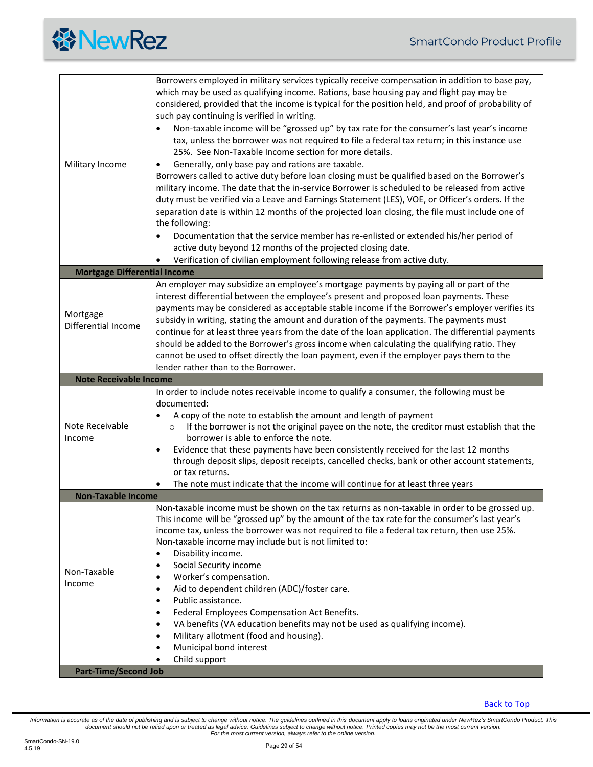<span id="page-28-3"></span><span id="page-28-2"></span><span id="page-28-1"></span><span id="page-28-0"></span>

| Military Income                     | Borrowers employed in military services typically receive compensation in addition to base pay,<br>which may be used as qualifying income. Rations, base housing pay and flight pay may be<br>considered, provided that the income is typical for the position held, and proof of probability of<br>such pay continuing is verified in writing.<br>Non-taxable income will be "grossed up" by tax rate for the consumer's last year's income<br>tax, unless the borrower was not required to file a federal tax return; in this instance use<br>25%. See Non-Taxable Income section for more details.<br>Generally, only base pay and rations are taxable.<br>$\bullet$<br>Borrowers called to active duty before loan closing must be qualified based on the Borrower's<br>military income. The date that the in-service Borrower is scheduled to be released from active<br>duty must be verified via a Leave and Earnings Statement (LES), VOE, or Officer's orders. If the<br>separation date is within 12 months of the projected loan closing, the file must include one of<br>the following:<br>Documentation that the service member has re-enlisted or extended his/her period of<br>active duty beyond 12 months of the projected closing date.<br>Verification of civilian employment following release from active duty. |
|-------------------------------------|--------------------------------------------------------------------------------------------------------------------------------------------------------------------------------------------------------------------------------------------------------------------------------------------------------------------------------------------------------------------------------------------------------------------------------------------------------------------------------------------------------------------------------------------------------------------------------------------------------------------------------------------------------------------------------------------------------------------------------------------------------------------------------------------------------------------------------------------------------------------------------------------------------------------------------------------------------------------------------------------------------------------------------------------------------------------------------------------------------------------------------------------------------------------------------------------------------------------------------------------------------------------------------------------------------------------------------------|
| <b>Mortgage Differential Income</b> |                                                                                                                                                                                                                                                                                                                                                                                                                                                                                                                                                                                                                                                                                                                                                                                                                                                                                                                                                                                                                                                                                                                                                                                                                                                                                                                                      |
| Mortgage<br>Differential Income     | An employer may subsidize an employee's mortgage payments by paying all or part of the<br>interest differential between the employee's present and proposed loan payments. These<br>payments may be considered as acceptable stable income if the Borrower's employer verifies its<br>subsidy in writing, stating the amount and duration of the payments. The payments must<br>continue for at least three years from the date of the loan application. The differential payments<br>should be added to the Borrower's gross income when calculating the qualifying ratio. They<br>cannot be used to offset directly the loan payment, even if the employer pays them to the<br>lender rather than to the Borrower.                                                                                                                                                                                                                                                                                                                                                                                                                                                                                                                                                                                                                 |
| <b>Note Receivable Income</b>       |                                                                                                                                                                                                                                                                                                                                                                                                                                                                                                                                                                                                                                                                                                                                                                                                                                                                                                                                                                                                                                                                                                                                                                                                                                                                                                                                      |
| Note Receivable<br>Income           | In order to include notes receivable income to qualify a consumer, the following must be<br>documented:<br>A copy of the note to establish the amount and length of payment<br>If the borrower is not the original payee on the note, the creditor must establish that the<br>$\circ$<br>borrower is able to enforce the note.<br>Evidence that these payments have been consistently received for the last 12 months<br>$\bullet$<br>through deposit slips, deposit receipts, cancelled checks, bank or other account statements,<br>or tax returns.<br>The note must indicate that the income will continue for at least three years                                                                                                                                                                                                                                                                                                                                                                                                                                                                                                                                                                                                                                                                                               |
| <b>Non-Taxable Income</b>           |                                                                                                                                                                                                                                                                                                                                                                                                                                                                                                                                                                                                                                                                                                                                                                                                                                                                                                                                                                                                                                                                                                                                                                                                                                                                                                                                      |
| Non-Taxable<br>Income               | Non-taxable income must be shown on the tax returns as non-taxable in order to be grossed up.<br>This income will be "grossed up" by the amount of the tax rate for the consumer's last year's<br>income tax, unless the borrower was not required to file a federal tax return, then use 25%.<br>Non-taxable income may include but is not limited to:<br>Disability income.<br>$\bullet$<br>Social Security income<br>$\bullet$<br>Worker's compensation.<br>$\bullet$<br>Aid to dependent children (ADC)/foster care.<br>$\bullet$<br>Public assistance.<br>$\bullet$<br>Federal Employees Compensation Act Benefits.<br>$\bullet$<br>VA benefits (VA education benefits may not be used as qualifying income).<br>٠<br>Military allotment (food and housing).<br>$\bullet$<br>Municipal bond interest<br>$\bullet$<br>Child support                                                                                                                                                                                                                                                                                                                                                                                                                                                                                              |
| <b>Part-Time/Second Job</b>         |                                                                                                                                                                                                                                                                                                                                                                                                                                                                                                                                                                                                                                                                                                                                                                                                                                                                                                                                                                                                                                                                                                                                                                                                                                                                                                                                      |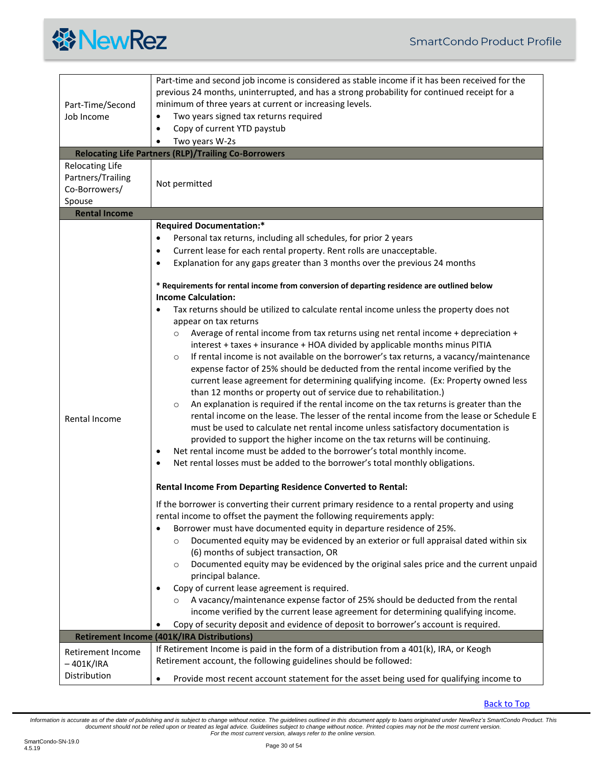<span id="page-29-1"></span><span id="page-29-0"></span>

| Part-Time/Second<br>Job Income                                         | Part-time and second job income is considered as stable income if it has been received for the<br>previous 24 months, uninterrupted, and has a strong probability for continued receipt for a<br>minimum of three years at current or increasing levels.<br>Two years signed tax returns required<br>$\bullet$<br>Copy of current YTD paystub<br>$\bullet$<br>Two years W-2s<br>$\bullet$<br><b>Relocating Life Partners (RLP)/Trailing Co-Borrowers</b>                                                                                                                                                                                                                                                                                                                                                                                                                                                                                                                                                                                                                                                                                                                                                                                                                                                                                                                                                                                                                                                                                                                                                                                                                                     |
|------------------------------------------------------------------------|----------------------------------------------------------------------------------------------------------------------------------------------------------------------------------------------------------------------------------------------------------------------------------------------------------------------------------------------------------------------------------------------------------------------------------------------------------------------------------------------------------------------------------------------------------------------------------------------------------------------------------------------------------------------------------------------------------------------------------------------------------------------------------------------------------------------------------------------------------------------------------------------------------------------------------------------------------------------------------------------------------------------------------------------------------------------------------------------------------------------------------------------------------------------------------------------------------------------------------------------------------------------------------------------------------------------------------------------------------------------------------------------------------------------------------------------------------------------------------------------------------------------------------------------------------------------------------------------------------------------------------------------------------------------------------------------|
| <b>Relocating Life</b><br>Partners/Trailing<br>Co-Borrowers/<br>Spouse | Not permitted                                                                                                                                                                                                                                                                                                                                                                                                                                                                                                                                                                                                                                                                                                                                                                                                                                                                                                                                                                                                                                                                                                                                                                                                                                                                                                                                                                                                                                                                                                                                                                                                                                                                                |
| <b>Rental Income</b>                                                   |                                                                                                                                                                                                                                                                                                                                                                                                                                                                                                                                                                                                                                                                                                                                                                                                                                                                                                                                                                                                                                                                                                                                                                                                                                                                                                                                                                                                                                                                                                                                                                                                                                                                                              |
| Rental Income                                                          | <b>Required Documentation:*</b><br>Personal tax returns, including all schedules, for prior 2 years<br>$\bullet$<br>Current lease for each rental property. Rent rolls are unacceptable.<br>٠<br>Explanation for any gaps greater than 3 months over the previous 24 months<br>$\bullet$<br>* Requirements for rental income from conversion of departing residence are outlined below<br><b>Income Calculation:</b><br>Tax returns should be utilized to calculate rental income unless the property does not<br>appear on tax returns<br>Average of rental income from tax returns using net rental income + depreciation +<br>$\circ$<br>interest + taxes + insurance + HOA divided by applicable months minus PITIA<br>If rental income is not available on the borrower's tax returns, a vacancy/maintenance<br>$\circ$<br>expense factor of 25% should be deducted from the rental income verified by the<br>current lease agreement for determining qualifying income. (Ex: Property owned less<br>than 12 months or property out of service due to rehabilitation.)<br>An explanation is required if the rental income on the tax returns is greater than the<br>$\circ$<br>rental income on the lease. The lesser of the rental income from the lease or Schedule E<br>must be used to calculate net rental income unless satisfactory documentation is<br>provided to support the higher income on the tax returns will be continuing.<br>Net rental income must be added to the borrower's total monthly income.<br>$\bullet$<br>Net rental losses must be added to the borrower's total monthly obligations.<br>٠<br>Rental Income From Departing Residence Converted to Rental: |
|                                                                        | If the borrower is converting their current primary residence to a rental property and using<br>rental income to offset the payment the following requirements apply:<br>Borrower must have documented equity in departure residence of 25%.<br>Documented equity may be evidenced by an exterior or full appraisal dated within six<br>$\circ$<br>(6) months of subject transaction, OR<br>Documented equity may be evidenced by the original sales price and the current unpaid<br>$\circ$<br>principal balance.<br>Copy of current lease agreement is required.<br>A vacancy/maintenance expense factor of 25% should be deducted from the rental<br>income verified by the current lease agreement for determining qualifying income.<br>Copy of security deposit and evidence of deposit to borrower's account is required.                                                                                                                                                                                                                                                                                                                                                                                                                                                                                                                                                                                                                                                                                                                                                                                                                                                             |
|                                                                        | <b>Retirement Income (401K/IRA Distributions)</b>                                                                                                                                                                                                                                                                                                                                                                                                                                                                                                                                                                                                                                                                                                                                                                                                                                                                                                                                                                                                                                                                                                                                                                                                                                                                                                                                                                                                                                                                                                                                                                                                                                            |
| Retirement Income<br>– 401K/IRA                                        | If Retirement Income is paid in the form of a distribution from a 401(k), IRA, or Keogh<br>Retirement account, the following guidelines should be followed:                                                                                                                                                                                                                                                                                                                                                                                                                                                                                                                                                                                                                                                                                                                                                                                                                                                                                                                                                                                                                                                                                                                                                                                                                                                                                                                                                                                                                                                                                                                                  |
| Distribution                                                           | Provide most recent account statement for the asset being used for qualifying income to<br>$\bullet$                                                                                                                                                                                                                                                                                                                                                                                                                                                                                                                                                                                                                                                                                                                                                                                                                                                                                                                                                                                                                                                                                                                                                                                                                                                                                                                                                                                                                                                                                                                                                                                         |

<span id="page-29-2"></span>[Back to Top](#page-1-0)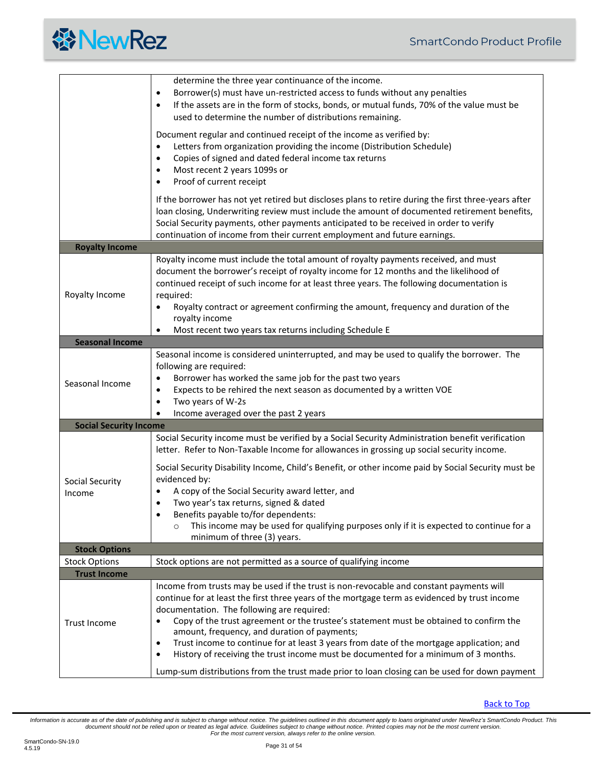<span id="page-30-2"></span><span id="page-30-1"></span><span id="page-30-0"></span>

|                               | determine the three year continuance of the income.<br>Borrower(s) must have un-restricted access to funds without any penalties<br>$\bullet$<br>If the assets are in the form of stocks, bonds, or mutual funds, 70% of the value must be<br>$\bullet$<br>used to determine the number of distributions remaining.<br>Document regular and continued receipt of the income as verified by:<br>Letters from organization providing the income (Distribution Schedule)<br>$\bullet$<br>Copies of signed and dated federal income tax returns<br>٠<br>Most recent 2 years 1099s or<br>٠<br>Proof of current receipt<br>٠                                                         |
|-------------------------------|--------------------------------------------------------------------------------------------------------------------------------------------------------------------------------------------------------------------------------------------------------------------------------------------------------------------------------------------------------------------------------------------------------------------------------------------------------------------------------------------------------------------------------------------------------------------------------------------------------------------------------------------------------------------------------|
|                               | If the borrower has not yet retired but discloses plans to retire during the first three-years after<br>loan closing, Underwriting review must include the amount of documented retirement benefits,<br>Social Security payments, other payments anticipated to be received in order to verify<br>continuation of income from their current employment and future earnings.                                                                                                                                                                                                                                                                                                    |
| <b>Royalty Income</b>         |                                                                                                                                                                                                                                                                                                                                                                                                                                                                                                                                                                                                                                                                                |
| Royalty Income                | Royalty income must include the total amount of royalty payments received, and must<br>document the borrower's receipt of royalty income for 12 months and the likelihood of<br>continued receipt of such income for at least three years. The following documentation is<br>required:<br>Royalty contract or agreement confirming the amount, frequency and duration of the<br>٠<br>royalty income<br>Most recent two years tax returns including Schedule E<br>$\bullet$                                                                                                                                                                                                     |
| <b>Seasonal Income</b>        |                                                                                                                                                                                                                                                                                                                                                                                                                                                                                                                                                                                                                                                                                |
| Seasonal Income               | Seasonal income is considered uninterrupted, and may be used to qualify the borrower. The<br>following are required:<br>Borrower has worked the same job for the past two years<br>٠<br>Expects to be rehired the next season as documented by a written VOE<br>$\bullet$<br>Two years of W-2s<br>$\bullet$<br>Income averaged over the past 2 years<br>$\bullet$                                                                                                                                                                                                                                                                                                              |
| <b>Social Security Income</b> |                                                                                                                                                                                                                                                                                                                                                                                                                                                                                                                                                                                                                                                                                |
| Social Security<br>Income     | Social Security income must be verified by a Social Security Administration benefit verification<br>letter. Refer to Non-Taxable Income for allowances in grossing up social security income.<br>Social Security Disability Income, Child's Benefit, or other income paid by Social Security must be<br>evidenced by:<br>A copy of the Social Security award letter, and<br>Two year's tax returns, signed & dated<br>Benefits payable to/for dependents:<br>٠<br>This income may be used for qualifying purposes only if it is expected to continue for a<br>$\circ$<br>minimum of three (3) years.                                                                           |
| <b>Stock Options</b>          |                                                                                                                                                                                                                                                                                                                                                                                                                                                                                                                                                                                                                                                                                |
| <b>Stock Options</b>          | Stock options are not permitted as a source of qualifying income                                                                                                                                                                                                                                                                                                                                                                                                                                                                                                                                                                                                               |
| <b>Trust Income</b>           |                                                                                                                                                                                                                                                                                                                                                                                                                                                                                                                                                                                                                                                                                |
| <b>Trust Income</b>           | Income from trusts may be used if the trust is non-revocable and constant payments will<br>continue for at least the first three years of the mortgage term as evidenced by trust income<br>documentation. The following are required:<br>Copy of the trust agreement or the trustee's statement must be obtained to confirm the<br>amount, frequency, and duration of payments;<br>Trust income to continue for at least 3 years from date of the mortgage application; and<br>٠<br>History of receiving the trust income must be documented for a minimum of 3 months.<br>٠<br>Lump-sum distributions from the trust made prior to loan closing can be used for down payment |

<span id="page-30-4"></span><span id="page-30-3"></span>[Back to Top](#page-1-0)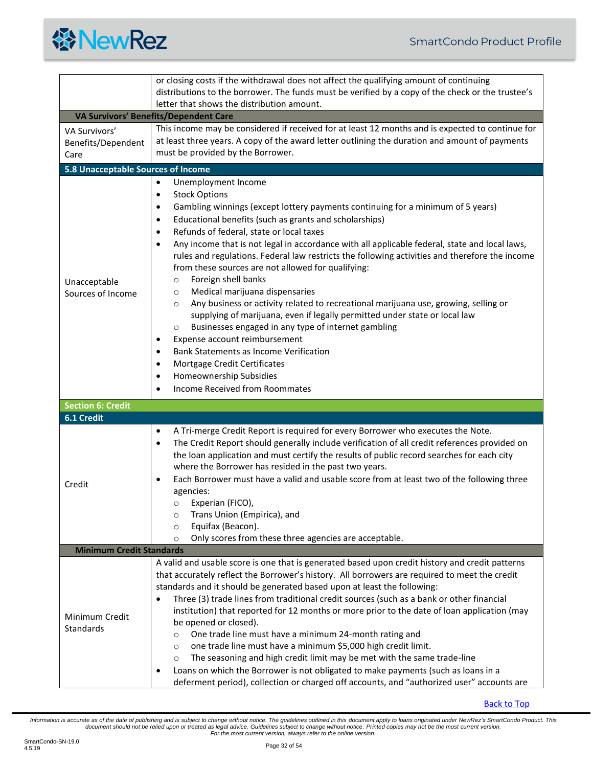# **餐NewRez**

<span id="page-31-4"></span><span id="page-31-3"></span><span id="page-31-2"></span><span id="page-31-1"></span><span id="page-31-0"></span>

|                                                    | or closing costs if the withdrawal does not affect the qualifying amount of continuing<br>distributions to the borrower. The funds must be verified by a copy of the check or the trustee's<br>letter that shows the distribution amount.                                                                                                                                                                                                                                                                                                                                                                                                                                                                                                                                                                                                                                                                                                                                                                                                                                                                                                            |  |
|----------------------------------------------------|------------------------------------------------------------------------------------------------------------------------------------------------------------------------------------------------------------------------------------------------------------------------------------------------------------------------------------------------------------------------------------------------------------------------------------------------------------------------------------------------------------------------------------------------------------------------------------------------------------------------------------------------------------------------------------------------------------------------------------------------------------------------------------------------------------------------------------------------------------------------------------------------------------------------------------------------------------------------------------------------------------------------------------------------------------------------------------------------------------------------------------------------------|--|
| <b>VA Survivors' Benefits/Dependent Care</b>       |                                                                                                                                                                                                                                                                                                                                                                                                                                                                                                                                                                                                                                                                                                                                                                                                                                                                                                                                                                                                                                                                                                                                                      |  |
| <b>VA Survivors'</b><br>Benefits/Dependent<br>Care | This income may be considered if received for at least 12 months and is expected to continue for<br>at least three years. A copy of the award letter outlining the duration and amount of payments<br>must be provided by the Borrower.                                                                                                                                                                                                                                                                                                                                                                                                                                                                                                                                                                                                                                                                                                                                                                                                                                                                                                              |  |
| 5.8 Unacceptable Sources of Income                 |                                                                                                                                                                                                                                                                                                                                                                                                                                                                                                                                                                                                                                                                                                                                                                                                                                                                                                                                                                                                                                                                                                                                                      |  |
| Unacceptable<br>Sources of Income                  | Unemployment Income<br>$\bullet$<br><b>Stock Options</b><br>$\bullet$<br>Gambling winnings (except lottery payments continuing for a minimum of 5 years)<br>$\bullet$<br>Educational benefits (such as grants and scholarships)<br>$\bullet$<br>Refunds of federal, state or local taxes<br>$\bullet$<br>Any income that is not legal in accordance with all applicable federal, state and local laws,<br>$\bullet$<br>rules and regulations. Federal law restricts the following activities and therefore the income<br>from these sources are not allowed for qualifying:<br>Foreign shell banks<br>$\circ$<br>Medical marijuana dispensaries<br>$\circ$<br>Any business or activity related to recreational marijuana use, growing, selling or<br>$\circ$<br>supplying of marijuana, even if legally permitted under state or local law<br>Businesses engaged in any type of internet gambling<br>$\circ$<br>Expense account reimbursement<br>٠<br>Bank Statements as Income Verification<br>$\bullet$<br>Mortgage Credit Certificates<br>$\bullet$<br>Homeownership Subsidies<br>$\bullet$<br><b>Income Received from Roommates</b><br>$\bullet$ |  |
| <b>Section 6: Credit</b>                           |                                                                                                                                                                                                                                                                                                                                                                                                                                                                                                                                                                                                                                                                                                                                                                                                                                                                                                                                                                                                                                                                                                                                                      |  |
| 6.1 Credit                                         |                                                                                                                                                                                                                                                                                                                                                                                                                                                                                                                                                                                                                                                                                                                                                                                                                                                                                                                                                                                                                                                                                                                                                      |  |
| Credit                                             | A Tri-merge Credit Report is required for every Borrower who executes the Note.<br>$\bullet$<br>The Credit Report should generally include verification of all credit references provided on<br>$\bullet$<br>the loan application and must certify the results of public record searches for each city<br>where the Borrower has resided in the past two years.<br>Each Borrower must have a valid and usable score from at least two of the following three<br>$\bullet$<br>agencies:<br>Experian (FICO),<br>$\circ$<br>Trans Union (Empirica), and<br>$\circ$<br>Equifax (Beacon).<br>$\circ$<br>Only scores from these three agencies are acceptable.<br>$\circ$                                                                                                                                                                                                                                                                                                                                                                                                                                                                                  |  |
| <b>Minimum Credit Standards</b>                    |                                                                                                                                                                                                                                                                                                                                                                                                                                                                                                                                                                                                                                                                                                                                                                                                                                                                                                                                                                                                                                                                                                                                                      |  |
| Minimum Credit<br>Standards                        | A valid and usable score is one that is generated based upon credit history and credit patterns<br>that accurately reflect the Borrower's history. All borrowers are required to meet the credit<br>standards and it should be generated based upon at least the following:<br>Three (3) trade lines from traditional credit sources (such as a bank or other financial<br>$\bullet$<br>institution) that reported for 12 months or more prior to the date of loan application (may<br>be opened or closed).<br>One trade line must have a minimum 24-month rating and<br>$\circ$<br>one trade line must have a minimum \$5,000 high credit limit.<br>$\circ$<br>The seasoning and high credit limit may be met with the same trade-line<br>$\circ$<br>Loans on which the Borrower is not obligated to make payments (such as loans in a<br>٠<br>deferment period), collection or charged off accounts, and "authorized user" accounts are                                                                                                                                                                                                           |  |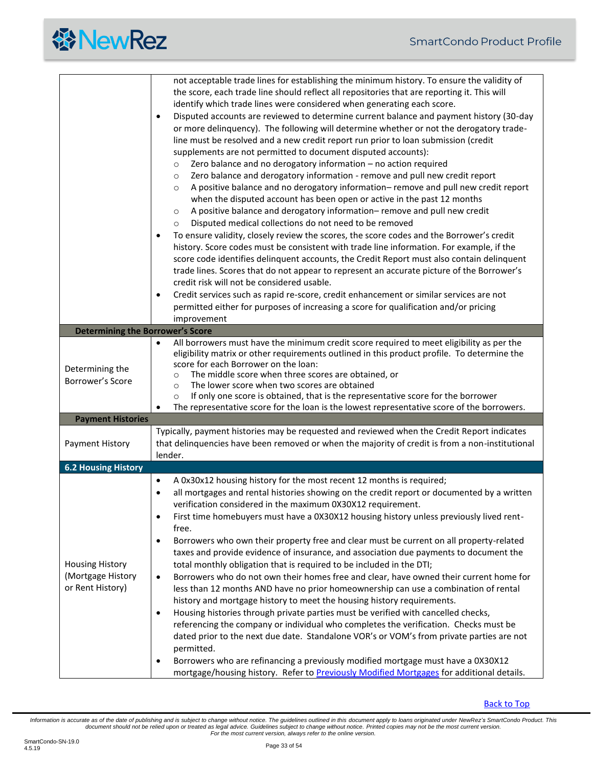<span id="page-32-2"></span><span id="page-32-1"></span><span id="page-32-0"></span>

| <b>Determining the Borrower's Score</b>                         | not acceptable trade lines for establishing the minimum history. To ensure the validity of<br>the score, each trade line should reflect all repositories that are reporting it. This will<br>identify which trade lines were considered when generating each score.<br>Disputed accounts are reviewed to determine current balance and payment history (30-day<br>$\bullet$<br>or more delinquency). The following will determine whether or not the derogatory trade-<br>line must be resolved and a new credit report run prior to loan submission (credit<br>supplements are not permitted to document disputed accounts):<br>Zero balance and no derogatory information - no action required<br>$\circ$<br>Zero balance and derogatory information - remove and pull new credit report<br>$\circ$<br>A positive balance and no derogatory information-remove and pull new credit report<br>$\circ$<br>when the disputed account has been open or active in the past 12 months<br>A positive balance and derogatory information- remove and pull new credit<br>$\circ$<br>Disputed medical collections do not need to be removed<br>$\circ$<br>To ensure validity, closely review the scores, the score codes and the Borrower's credit<br>$\bullet$<br>history. Score codes must be consistent with trade line information. For example, if the<br>score code identifies delinquent accounts, the Credit Report must also contain delinquent<br>trade lines. Scores that do not appear to represent an accurate picture of the Borrower's<br>credit risk will not be considered usable.<br>Credit services such as rapid re-score, credit enhancement or similar services are not<br>$\bullet$<br>permitted either for purposes of increasing a score for qualification and/or pricing<br>improvement<br>All borrowers must have the minimum credit score required to meet eligibility as per the<br>$\bullet$<br>eligibility matrix or other requirements outlined in this product profile. To determine the |
|-----------------------------------------------------------------|-------------------------------------------------------------------------------------------------------------------------------------------------------------------------------------------------------------------------------------------------------------------------------------------------------------------------------------------------------------------------------------------------------------------------------------------------------------------------------------------------------------------------------------------------------------------------------------------------------------------------------------------------------------------------------------------------------------------------------------------------------------------------------------------------------------------------------------------------------------------------------------------------------------------------------------------------------------------------------------------------------------------------------------------------------------------------------------------------------------------------------------------------------------------------------------------------------------------------------------------------------------------------------------------------------------------------------------------------------------------------------------------------------------------------------------------------------------------------------------------------------------------------------------------------------------------------------------------------------------------------------------------------------------------------------------------------------------------------------------------------------------------------------------------------------------------------------------------------------------------------------------------------------------------------------------------------------------------------------------------------------------------|
| Determining the<br>Borrower's Score                             | score for each Borrower on the loan:<br>The middle score when three scores are obtained, or<br>$\circ$<br>The lower score when two scores are obtained<br>$\circ$<br>If only one score is obtained, that is the representative score for the borrower<br>$\circ$<br>The representative score for the loan is the lowest representative score of the borrowers.                                                                                                                                                                                                                                                                                                                                                                                                                                                                                                                                                                                                                                                                                                                                                                                                                                                                                                                                                                                                                                                                                                                                                                                                                                                                                                                                                                                                                                                                                                                                                                                                                                                    |
| <b>Payment Histories</b>                                        |                                                                                                                                                                                                                                                                                                                                                                                                                                                                                                                                                                                                                                                                                                                                                                                                                                                                                                                                                                                                                                                                                                                                                                                                                                                                                                                                                                                                                                                                                                                                                                                                                                                                                                                                                                                                                                                                                                                                                                                                                   |
| Payment History                                                 | Typically, payment histories may be requested and reviewed when the Credit Report indicates<br>that delinquencies have been removed or when the majority of credit is from a non-institutional<br>lender.                                                                                                                                                                                                                                                                                                                                                                                                                                                                                                                                                                                                                                                                                                                                                                                                                                                                                                                                                                                                                                                                                                                                                                                                                                                                                                                                                                                                                                                                                                                                                                                                                                                                                                                                                                                                         |
| <b>6.2 Housing History</b>                                      |                                                                                                                                                                                                                                                                                                                                                                                                                                                                                                                                                                                                                                                                                                                                                                                                                                                                                                                                                                                                                                                                                                                                                                                                                                                                                                                                                                                                                                                                                                                                                                                                                                                                                                                                                                                                                                                                                                                                                                                                                   |
| <b>Housing History</b><br>(Mortgage History<br>or Rent History) | A 0x30x12 housing history for the most recent 12 months is required;<br>$\bullet$<br>all mortgages and rental histories showing on the credit report or documented by a written<br>$\bullet$<br>verification considered in the maximum 0X30X12 requirement.<br>First time homebuyers must have a 0X30X12 housing history unless previously lived rent-<br>$\bullet$<br>free.<br>Borrowers who own their property free and clear must be current on all property-related<br>$\bullet$<br>taxes and provide evidence of insurance, and association due payments to document the<br>total monthly obligation that is required to be included in the DTI;<br>Borrowers who do not own their homes free and clear, have owned their current home for<br>$\bullet$<br>less than 12 months AND have no prior homeownership can use a combination of rental<br>history and mortgage history to meet the housing history requirements.<br>Housing histories through private parties must be verified with cancelled checks,<br>$\bullet$<br>referencing the company or individual who completes the verification. Checks must be<br>dated prior to the next due date. Standalone VOR's or VOM's from private parties are not<br>permitted.<br>Borrowers who are refinancing a previously modified mortgage must have a 0X30X12<br>$\bullet$<br>mortgage/housing history. Refer to Previously Modified Mortgages for additional details.                                                                                                                                                                                                                                                                                                                                                                                                                                                                                                                                                                                    |

[Back to Top](#page-1-0)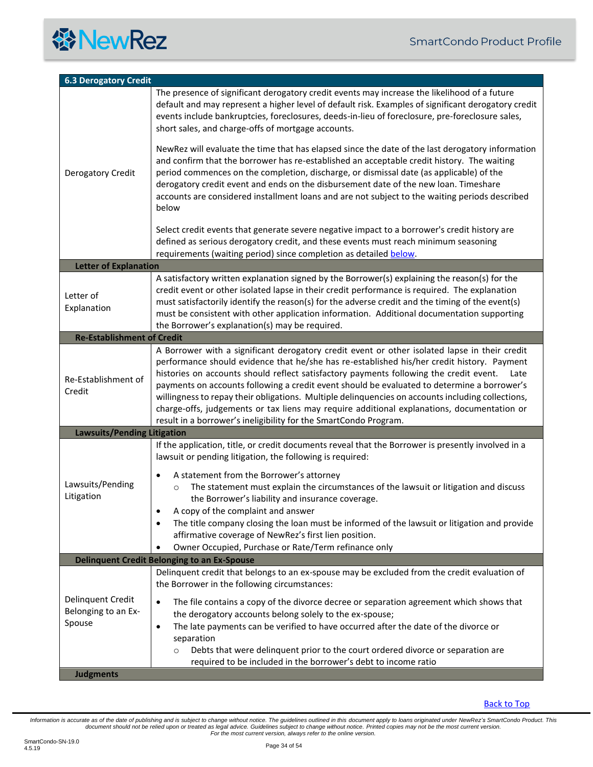<span id="page-33-3"></span><span id="page-33-2"></span><span id="page-33-1"></span><span id="page-33-0"></span>

| <b>6.3 Derogatory Credit</b>                       |                                                                                                                                                                                                                                                                                                                                                                                                                                                                                                                                                                                                                                                                     |
|----------------------------------------------------|---------------------------------------------------------------------------------------------------------------------------------------------------------------------------------------------------------------------------------------------------------------------------------------------------------------------------------------------------------------------------------------------------------------------------------------------------------------------------------------------------------------------------------------------------------------------------------------------------------------------------------------------------------------------|
|                                                    | The presence of significant derogatory credit events may increase the likelihood of a future<br>default and may represent a higher level of default risk. Examples of significant derogatory credit<br>events include bankruptcies, foreclosures, deeds-in-lieu of foreclosure, pre-foreclosure sales,<br>short sales, and charge-offs of mortgage accounts.                                                                                                                                                                                                                                                                                                        |
| Derogatory Credit                                  | NewRez will evaluate the time that has elapsed since the date of the last derogatory information<br>and confirm that the borrower has re-established an acceptable credit history. The waiting<br>period commences on the completion, discharge, or dismissal date (as applicable) of the<br>derogatory credit event and ends on the disbursement date of the new loan. Timeshare<br>accounts are considered installment loans and are not subject to the waiting periods described<br>below                                                                                                                                                                        |
|                                                    | Select credit events that generate severe negative impact to a borrower's credit history are<br>defined as serious derogatory credit, and these events must reach minimum seasoning<br>requirements (waiting period) since completion as detailed below.                                                                                                                                                                                                                                                                                                                                                                                                            |
| <b>Letter of Explanation</b>                       |                                                                                                                                                                                                                                                                                                                                                                                                                                                                                                                                                                                                                                                                     |
| Letter of<br>Explanation                           | A satisfactory written explanation signed by the Borrower(s) explaining the reason(s) for the<br>credit event or other isolated lapse in their credit performance is required. The explanation<br>must satisfactorily identify the reason(s) for the adverse credit and the timing of the event(s)<br>must be consistent with other application information. Additional documentation supporting<br>the Borrower's explanation(s) may be required.                                                                                                                                                                                                                  |
| <b>Re-Establishment of Credit</b>                  |                                                                                                                                                                                                                                                                                                                                                                                                                                                                                                                                                                                                                                                                     |
| Re-Establishment of<br>Credit                      | A Borrower with a significant derogatory credit event or other isolated lapse in their credit<br>performance should evidence that he/she has re-established his/her credit history. Payment<br>histories on accounts should reflect satisfactory payments following the credit event.<br>Late<br>payments on accounts following a credit event should be evaluated to determine a borrower's<br>willingness to repay their obligations. Multiple delinquencies on accounts including collections,<br>charge-offs, judgements or tax liens may require additional explanations, documentation or<br>result in a borrower's ineligibility for the SmartCondo Program. |
| <b>Lawsuits/Pending Litigation</b>                 |                                                                                                                                                                                                                                                                                                                                                                                                                                                                                                                                                                                                                                                                     |
|                                                    | If the application, title, or credit documents reveal that the Borrower is presently involved in a<br>lawsuit or pending litigation, the following is required:                                                                                                                                                                                                                                                                                                                                                                                                                                                                                                     |
| Lawsuits/Pending<br>Litigation                     | A statement from the Borrower's attorney<br>٠<br>The statement must explain the circumstances of the lawsuit or litigation and discuss<br>$\circ$<br>the Borrower's liability and insurance coverage.<br>A copy of the complaint and answer<br>٠<br>The title company closing the loan must be informed of the lawsuit or litigation and provide<br>$\bullet$                                                                                                                                                                                                                                                                                                       |
|                                                    | affirmative coverage of NewRez's first lien position.<br>Owner Occupied, Purchase or Rate/Term refinance only<br>$\bullet$                                                                                                                                                                                                                                                                                                                                                                                                                                                                                                                                          |
|                                                    | <b>Delinquent Credit Belonging to an Ex-Spouse</b>                                                                                                                                                                                                                                                                                                                                                                                                                                                                                                                                                                                                                  |
|                                                    | Delinquent credit that belongs to an ex-spouse may be excluded from the credit evaluation of<br>the Borrower in the following circumstances:                                                                                                                                                                                                                                                                                                                                                                                                                                                                                                                        |
| Delinquent Credit<br>Belonging to an Ex-<br>Spouse | The file contains a copy of the divorce decree or separation agreement which shows that<br>$\bullet$<br>the derogatory accounts belong solely to the ex-spouse;<br>The late payments can be verified to have occurred after the date of the divorce or<br>$\bullet$<br>separation<br>Debts that were delinquent prior to the court ordered divorce or separation are<br>$\circ$<br>required to be included in the borrower's debt to income ratio                                                                                                                                                                                                                   |
| <b>Judgments</b>                                   |                                                                                                                                                                                                                                                                                                                                                                                                                                                                                                                                                                                                                                                                     |

<span id="page-33-5"></span><span id="page-33-4"></span>[Back to Top](#page-1-0)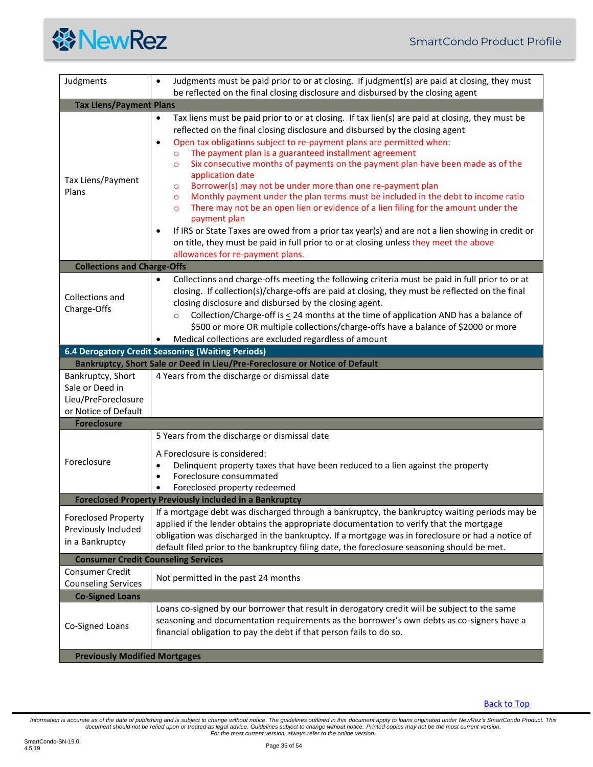<span id="page-34-8"></span><span id="page-34-7"></span><span id="page-34-6"></span><span id="page-34-5"></span><span id="page-34-4"></span><span id="page-34-3"></span><span id="page-34-2"></span><span id="page-34-1"></span><span id="page-34-0"></span>

| Judgments                                                                           | Judgments must be paid prior to or at closing. If judgment(s) are paid at closing, they must<br>$\bullet$<br>be reflected on the final closing disclosure and disbursed by the closing agent                                                                                                                                                                                                                                                                                                                                                                                                                                                                                                                                                                                                                                                                                                                                                                                                             |  |
|-------------------------------------------------------------------------------------|----------------------------------------------------------------------------------------------------------------------------------------------------------------------------------------------------------------------------------------------------------------------------------------------------------------------------------------------------------------------------------------------------------------------------------------------------------------------------------------------------------------------------------------------------------------------------------------------------------------------------------------------------------------------------------------------------------------------------------------------------------------------------------------------------------------------------------------------------------------------------------------------------------------------------------------------------------------------------------------------------------|--|
| <b>Tax Liens/Payment Plans</b>                                                      |                                                                                                                                                                                                                                                                                                                                                                                                                                                                                                                                                                                                                                                                                                                                                                                                                                                                                                                                                                                                          |  |
| Tax Liens/Payment<br>Plans                                                          | Tax liens must be paid prior to or at closing. If tax lien(s) are paid at closing, they must be<br>$\bullet$<br>reflected on the final closing disclosure and disbursed by the closing agent<br>Open tax obligations subject to re-payment plans are permitted when:<br>$\bullet$<br>The payment plan is a guaranteed installment agreement<br>$\circ$<br>Six consecutive months of payments on the payment plan have been made as of the<br>$\circ$<br>application date<br>Borrower(s) may not be under more than one re-payment plan<br>$\circ$<br>Monthly payment under the plan terms must be included in the debt to income ratio<br>$\circ$<br>There may not be an open lien or evidence of a lien filing for the amount under the<br>$\circ$<br>payment plan<br>If IRS or State Taxes are owed from a prior tax year(s) and are not a lien showing in credit or<br>٠<br>on title, they must be paid in full prior to or at closing unless they meet the above<br>allowances for re-payment plans. |  |
| <b>Collections and Charge-Offs</b>                                                  |                                                                                                                                                                                                                                                                                                                                                                                                                                                                                                                                                                                                                                                                                                                                                                                                                                                                                                                                                                                                          |  |
| Collections and<br>Charge-Offs                                                      | Collections and charge-offs meeting the following criteria must be paid in full prior to or at<br>$\bullet$<br>closing. If collection(s)/charge-offs are paid at closing, they must be reflected on the final<br>closing disclosure and disbursed by the closing agent.<br>Collection/Charge-off is < 24 months at the time of application AND has a balance of<br>$\circ$<br>\$500 or more OR multiple collections/charge-offs have a balance of \$2000 or more<br>Medical collections are excluded regardless of amount                                                                                                                                                                                                                                                                                                                                                                                                                                                                                |  |
|                                                                                     | 6.4 Derogatory Credit Seasoning (Waiting Periods)                                                                                                                                                                                                                                                                                                                                                                                                                                                                                                                                                                                                                                                                                                                                                                                                                                                                                                                                                        |  |
|                                                                                     | Bankruptcy, Short Sale or Deed in Lieu/Pre-Foreclosure or Notice of Default                                                                                                                                                                                                                                                                                                                                                                                                                                                                                                                                                                                                                                                                                                                                                                                                                                                                                                                              |  |
| Bankruptcy, Short<br>Sale or Deed in<br>Lieu/PreForeclosure<br>or Notice of Default | 4 Years from the discharge or dismissal date                                                                                                                                                                                                                                                                                                                                                                                                                                                                                                                                                                                                                                                                                                                                                                                                                                                                                                                                                             |  |
| <b>Foreclosure</b>                                                                  |                                                                                                                                                                                                                                                                                                                                                                                                                                                                                                                                                                                                                                                                                                                                                                                                                                                                                                                                                                                                          |  |
| Foreclosure                                                                         | 5 Years from the discharge or dismissal date<br>A Foreclosure is considered:<br>Delinquent property taxes that have been reduced to a lien against the property<br>$\bullet$<br>Foreclosure consummated<br>$\bullet$<br>Foreclosed property redeemed<br>$\bullet$                                                                                                                                                                                                                                                                                                                                                                                                                                                                                                                                                                                                                                                                                                                                        |  |
| <b>Foreclosed Property Previously included in a Bankruptcy</b>                      |                                                                                                                                                                                                                                                                                                                                                                                                                                                                                                                                                                                                                                                                                                                                                                                                                                                                                                                                                                                                          |  |
| <b>Foreclosed Property</b><br>Previously Included<br>in a Bankruptcy                | If a mortgage debt was discharged through a bankruptcy, the bankruptcy waiting periods may be<br>applied if the lender obtains the appropriate documentation to verify that the mortgage<br>obligation was discharged in the bankruptcy. If a mortgage was in foreclosure or had a notice of<br>default filed prior to the bankruptcy filing date, the foreclosure seasoning should be met.                                                                                                                                                                                                                                                                                                                                                                                                                                                                                                                                                                                                              |  |
| <b>Consumer Credit Counseling Services</b>                                          |                                                                                                                                                                                                                                                                                                                                                                                                                                                                                                                                                                                                                                                                                                                                                                                                                                                                                                                                                                                                          |  |
| Consumer Credit<br><b>Counseling Services</b>                                       | Not permitted in the past 24 months                                                                                                                                                                                                                                                                                                                                                                                                                                                                                                                                                                                                                                                                                                                                                                                                                                                                                                                                                                      |  |
| <b>Co-Signed Loans</b>                                                              |                                                                                                                                                                                                                                                                                                                                                                                                                                                                                                                                                                                                                                                                                                                                                                                                                                                                                                                                                                                                          |  |
| Co-Signed Loans                                                                     | Loans co-signed by our borrower that result in derogatory credit will be subject to the same<br>seasoning and documentation requirements as the borrower's own debts as co-signers have a<br>financial obligation to pay the debt if that person fails to do so.                                                                                                                                                                                                                                                                                                                                                                                                                                                                                                                                                                                                                                                                                                                                         |  |
| <b>Previously Modified Mortgages</b>                                                |                                                                                                                                                                                                                                                                                                                                                                                                                                                                                                                                                                                                                                                                                                                                                                                                                                                                                                                                                                                                          |  |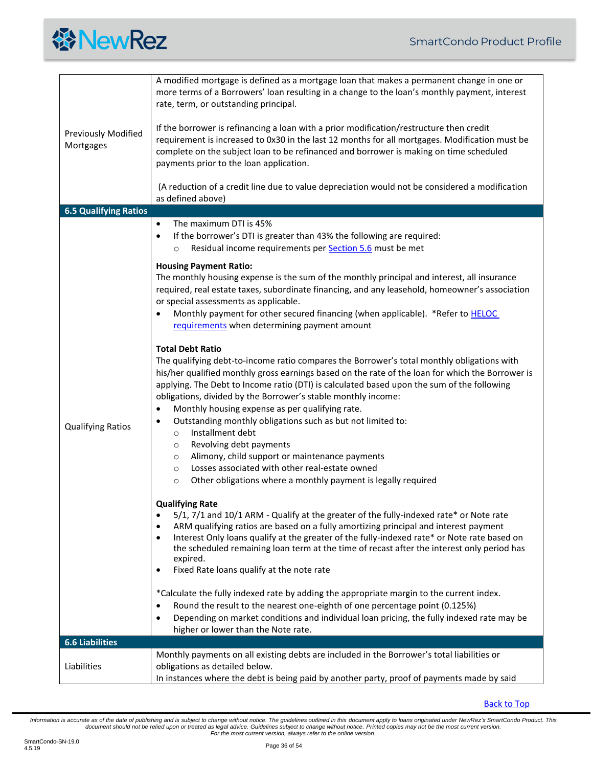<span id="page-35-0"></span>

| <b>Previously Modified</b><br>Mortgages | A modified mortgage is defined as a mortgage loan that makes a permanent change in one or<br>more terms of a Borrowers' loan resulting in a change to the loan's monthly payment, interest<br>rate, term, or outstanding principal.<br>If the borrower is refinancing a loan with a prior modification/restructure then credit<br>requirement is increased to 0x30 in the last 12 months for all mortgages. Modification must be<br>complete on the subject loan to be refinanced and borrower is making on time scheduled<br>payments prior to the loan application.                                                                                                                                                                                                                 |
|-----------------------------------------|---------------------------------------------------------------------------------------------------------------------------------------------------------------------------------------------------------------------------------------------------------------------------------------------------------------------------------------------------------------------------------------------------------------------------------------------------------------------------------------------------------------------------------------------------------------------------------------------------------------------------------------------------------------------------------------------------------------------------------------------------------------------------------------|
|                                         | (A reduction of a credit line due to value depreciation would not be considered a modification<br>as defined above)                                                                                                                                                                                                                                                                                                                                                                                                                                                                                                                                                                                                                                                                   |
| <b>6.5 Qualifying Ratios</b>            |                                                                                                                                                                                                                                                                                                                                                                                                                                                                                                                                                                                                                                                                                                                                                                                       |
|                                         | The maximum DTI is 45%<br>$\bullet$<br>If the borrower's DTI is greater than 43% the following are required:<br>٠<br>Residual income requirements per <b>Section 5.6</b> must be met<br>$\circ$                                                                                                                                                                                                                                                                                                                                                                                                                                                                                                                                                                                       |
| <b>Qualifying Ratios</b>                | <b>Housing Payment Ratio:</b><br>The monthly housing expense is the sum of the monthly principal and interest, all insurance<br>required, real estate taxes, subordinate financing, and any leasehold, homeowner's association<br>or special assessments as applicable.<br>Monthly payment for other secured financing (when applicable). *Refer to <b>HELOC</b><br>٠<br>requirements when determining payment amount                                                                                                                                                                                                                                                                                                                                                                 |
|                                         | <b>Total Debt Ratio</b><br>The qualifying debt-to-income ratio compares the Borrower's total monthly obligations with<br>his/her qualified monthly gross earnings based on the rate of the loan for which the Borrower is<br>applying. The Debt to Income ratio (DTI) is calculated based upon the sum of the following<br>obligations, divided by the Borrower's stable monthly income:<br>Monthly housing expense as per qualifying rate.<br>٠<br>Outstanding monthly obligations such as but not limited to:<br>$\bullet$<br>Installment debt<br>$\circ$<br>Revolving debt payments<br>O<br>Alimony, child support or maintenance payments<br>O<br>Losses associated with other real-estate owned<br>O<br>Other obligations where a monthly payment is legally required<br>$\circ$ |
|                                         | <b>Qualifying Rate</b><br>5/1, 7/1 and 10/1 ARM - Qualify at the greater of the fully-indexed rate* or Note rate<br>٠<br>ARM qualifying ratios are based on a fully amortizing principal and interest payment<br>Interest Only loans qualify at the greater of the fully-indexed rate* or Note rate based on<br>$\bullet$<br>the scheduled remaining loan term at the time of recast after the interest only period has<br>expired.<br>Fixed Rate loans qualify at the note rate<br>٠                                                                                                                                                                                                                                                                                                 |
|                                         | *Calculate the fully indexed rate by adding the appropriate margin to the current index.<br>Round the result to the nearest one-eighth of one percentage point (0.125%)<br>٠<br>Depending on market conditions and individual loan pricing, the fully indexed rate may be<br>$\bullet$<br>higher or lower than the Note rate.                                                                                                                                                                                                                                                                                                                                                                                                                                                         |
| <b>6.6 Liabilities</b>                  |                                                                                                                                                                                                                                                                                                                                                                                                                                                                                                                                                                                                                                                                                                                                                                                       |
| Liabilities                             | Monthly payments on all existing debts are included in the Borrower's total liabilities or<br>obligations as detailed below.<br>In instances where the debt is being paid by another party, proof of payments made by said                                                                                                                                                                                                                                                                                                                                                                                                                                                                                                                                                            |

<span id="page-35-1"></span>[Back to Top](#page-1-0)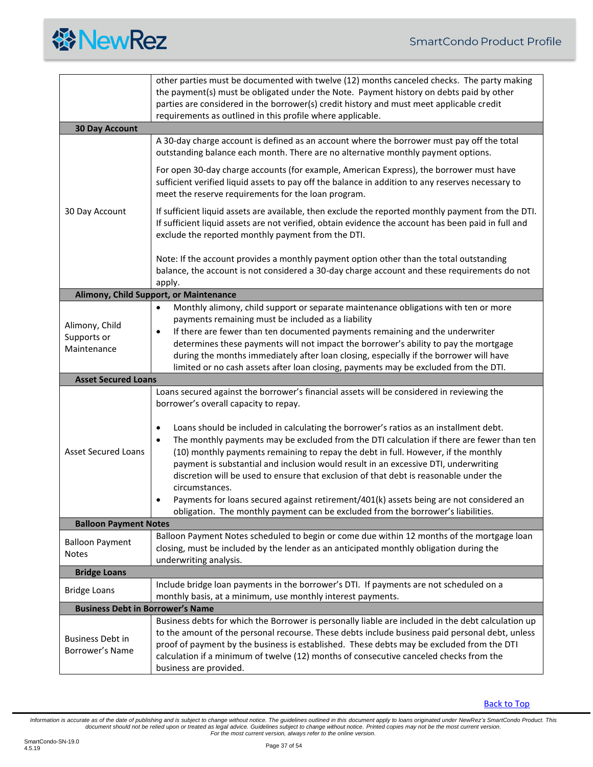<span id="page-36-5"></span><span id="page-36-4"></span><span id="page-36-3"></span><span id="page-36-2"></span><span id="page-36-1"></span><span id="page-36-0"></span>

|                                            | other parties must be documented with twelve (12) months canceled checks. The party making                                                                                                                                                                                                                                                                                                                                                                                                   |
|--------------------------------------------|----------------------------------------------------------------------------------------------------------------------------------------------------------------------------------------------------------------------------------------------------------------------------------------------------------------------------------------------------------------------------------------------------------------------------------------------------------------------------------------------|
|                                            | the payment(s) must be obligated under the Note. Payment history on debts paid by other<br>parties are considered in the borrower(s) credit history and must meet applicable credit                                                                                                                                                                                                                                                                                                          |
|                                            | requirements as outlined in this profile where applicable.                                                                                                                                                                                                                                                                                                                                                                                                                                   |
| <b>30 Day Account</b>                      |                                                                                                                                                                                                                                                                                                                                                                                                                                                                                              |
|                                            | A 30-day charge account is defined as an account where the borrower must pay off the total<br>outstanding balance each month. There are no alternative monthly payment options.                                                                                                                                                                                                                                                                                                              |
|                                            | For open 30-day charge accounts (for example, American Express), the borrower must have<br>sufficient verified liquid assets to pay off the balance in addition to any reserves necessary to<br>meet the reserve requirements for the loan program.                                                                                                                                                                                                                                          |
| 30 Day Account                             | If sufficient liquid assets are available, then exclude the reported monthly payment from the DTI.<br>If sufficient liquid assets are not verified, obtain evidence the account has been paid in full and<br>exclude the reported monthly payment from the DTI.                                                                                                                                                                                                                              |
|                                            | Note: If the account provides a monthly payment option other than the total outstanding<br>balance, the account is not considered a 30-day charge account and these requirements do not<br>apply.                                                                                                                                                                                                                                                                                            |
|                                            | Alimony, Child Support, or Maintenance                                                                                                                                                                                                                                                                                                                                                                                                                                                       |
| Alimony, Child                             | Monthly alimony, child support or separate maintenance obligations with ten or more<br>$\bullet$<br>payments remaining must be included as a liability                                                                                                                                                                                                                                                                                                                                       |
| Supports or                                | If there are fewer than ten documented payments remaining and the underwriter<br>٠                                                                                                                                                                                                                                                                                                                                                                                                           |
| Maintenance                                | determines these payments will not impact the borrower's ability to pay the mortgage                                                                                                                                                                                                                                                                                                                                                                                                         |
|                                            | during the months immediately after loan closing, especially if the borrower will have<br>limited or no cash assets after loan closing, payments may be excluded from the DTI.                                                                                                                                                                                                                                                                                                               |
| <b>Asset Secured Loans</b>                 |                                                                                                                                                                                                                                                                                                                                                                                                                                                                                              |
|                                            | Loans secured against the borrower's financial assets will be considered in reviewing the                                                                                                                                                                                                                                                                                                                                                                                                    |
|                                            | borrower's overall capacity to repay.                                                                                                                                                                                                                                                                                                                                                                                                                                                        |
| <b>Asset Secured Loans</b>                 | Loans should be included in calculating the borrower's ratios as an installment debt.<br>٠<br>The monthly payments may be excluded from the DTI calculation if there are fewer than ten<br>$\bullet$<br>(10) monthly payments remaining to repay the debt in full. However, if the monthly<br>payment is substantial and inclusion would result in an excessive DTI, underwriting<br>discretion will be used to ensure that exclusion of that debt is reasonable under the<br>circumstances. |
|                                            | Payments for loans secured against retirement/401(k) assets being are not considered an<br>٠                                                                                                                                                                                                                                                                                                                                                                                                 |
|                                            | obligation. The monthly payment can be excluded from the borrower's liabilities.                                                                                                                                                                                                                                                                                                                                                                                                             |
| <b>Balloon Payment Notes</b>               |                                                                                                                                                                                                                                                                                                                                                                                                                                                                                              |
| <b>Balloon Payment</b><br><b>Notes</b>     | Balloon Payment Notes scheduled to begin or come due within 12 months of the mortgage loan<br>closing, must be included by the lender as an anticipated monthly obligation during the<br>underwriting analysis.                                                                                                                                                                                                                                                                              |
| <b>Bridge Loans</b>                        |                                                                                                                                                                                                                                                                                                                                                                                                                                                                                              |
| <b>Bridge Loans</b>                        | Include bridge loan payments in the borrower's DTI. If payments are not scheduled on a                                                                                                                                                                                                                                                                                                                                                                                                       |
|                                            | monthly basis, at a minimum, use monthly interest payments.                                                                                                                                                                                                                                                                                                                                                                                                                                  |
| <b>Business Debt in Borrower's Name</b>    | Business debts for which the Borrower is personally liable are included in the debt calculation up                                                                                                                                                                                                                                                                                                                                                                                           |
| <b>Business Debt in</b><br>Borrower's Name | to the amount of the personal recourse. These debts include business paid personal debt, unless<br>proof of payment by the business is established. These debts may be excluded from the DTI<br>calculation if a minimum of twelve (12) months of consecutive canceled checks from the<br>business are provided.                                                                                                                                                                             |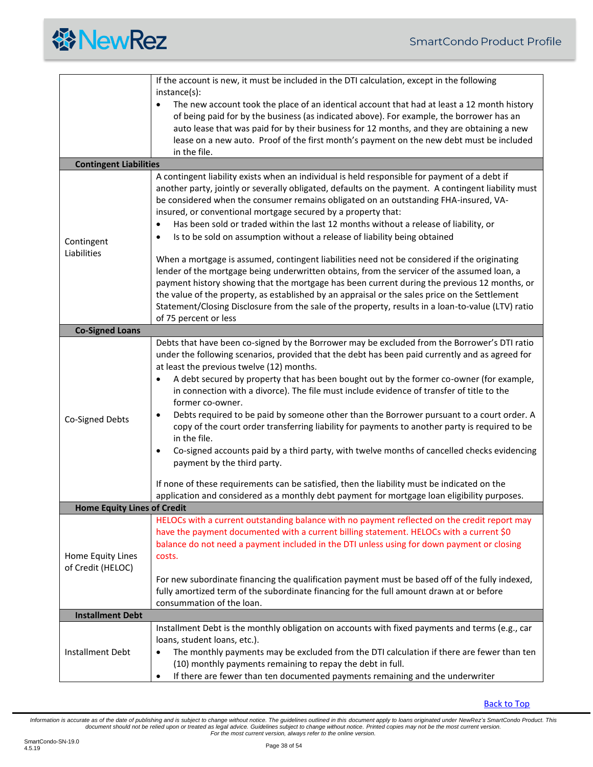<span id="page-37-2"></span><span id="page-37-1"></span><span id="page-37-0"></span>

|                                        | If the account is new, it must be included in the DTI calculation, except in the following                                                                                                                                                                                                                                                                                                                                                                                                                                                                                                                                                                                                                                                                                                                                                                                                                                                                                                                           |  |  |  |  |  |
|----------------------------------------|----------------------------------------------------------------------------------------------------------------------------------------------------------------------------------------------------------------------------------------------------------------------------------------------------------------------------------------------------------------------------------------------------------------------------------------------------------------------------------------------------------------------------------------------------------------------------------------------------------------------------------------------------------------------------------------------------------------------------------------------------------------------------------------------------------------------------------------------------------------------------------------------------------------------------------------------------------------------------------------------------------------------|--|--|--|--|--|
|                                        | $instance(s)$ :                                                                                                                                                                                                                                                                                                                                                                                                                                                                                                                                                                                                                                                                                                                                                                                                                                                                                                                                                                                                      |  |  |  |  |  |
|                                        | The new account took the place of an identical account that had at least a 12 month history<br>$\bullet$<br>of being paid for by the business (as indicated above). For example, the borrower has an<br>auto lease that was paid for by their business for 12 months, and they are obtaining a new                                                                                                                                                                                                                                                                                                                                                                                                                                                                                                                                                                                                                                                                                                                   |  |  |  |  |  |
|                                        | lease on a new auto. Proof of the first month's payment on the new debt must be included<br>in the file.                                                                                                                                                                                                                                                                                                                                                                                                                                                                                                                                                                                                                                                                                                                                                                                                                                                                                                             |  |  |  |  |  |
| <b>Contingent Liabilities</b>          |                                                                                                                                                                                                                                                                                                                                                                                                                                                                                                                                                                                                                                                                                                                                                                                                                                                                                                                                                                                                                      |  |  |  |  |  |
| Contingent<br>Liabilities              | A contingent liability exists when an individual is held responsible for payment of a debt if<br>another party, jointly or severally obligated, defaults on the payment. A contingent liability must<br>be considered when the consumer remains obligated on an outstanding FHA-insured, VA-<br>insured, or conventional mortgage secured by a property that:<br>Has been sold or traded within the last 12 months without a release of liability, or<br>$\bullet$<br>Is to be sold on assumption without a release of liability being obtained<br>When a mortgage is assumed, contingent liabilities need not be considered if the originating<br>lender of the mortgage being underwritten obtains, from the servicer of the assumed loan, a<br>payment history showing that the mortgage has been current during the previous 12 months, or                                                                                                                                                                       |  |  |  |  |  |
|                                        | the value of the property, as established by an appraisal or the sales price on the Settlement<br>Statement/Closing Disclosure from the sale of the property, results in a loan-to-value (LTV) ratio<br>of 75 percent or less                                                                                                                                                                                                                                                                                                                                                                                                                                                                                                                                                                                                                                                                                                                                                                                        |  |  |  |  |  |
| <b>Co-Signed Loans</b>                 |                                                                                                                                                                                                                                                                                                                                                                                                                                                                                                                                                                                                                                                                                                                                                                                                                                                                                                                                                                                                                      |  |  |  |  |  |
| Co-Signed Debts                        | Debts that have been co-signed by the Borrower may be excluded from the Borrower's DTI ratio<br>under the following scenarios, provided that the debt has been paid currently and as agreed for<br>at least the previous twelve (12) months.<br>A debt secured by property that has been bought out by the former co-owner (for example,<br>٠<br>in connection with a divorce). The file must include evidence of transfer of title to the<br>former co-owner.<br>Debts required to be paid by someone other than the Borrower pursuant to a court order. A<br>٠<br>copy of the court order transferring liability for payments to another party is required to be<br>in the file.<br>Co-signed accounts paid by a third party, with twelve months of cancelled checks evidencing<br>٠<br>payment by the third party.<br>If none of these requirements can be satisfied, then the liability must be indicated on the<br>application and considered as a monthly debt payment for mortgage loan eligibility purposes. |  |  |  |  |  |
| <b>Home Equity Lines of Credit</b>     |                                                                                                                                                                                                                                                                                                                                                                                                                                                                                                                                                                                                                                                                                                                                                                                                                                                                                                                                                                                                                      |  |  |  |  |  |
| Home Equity Lines<br>of Credit (HELOC) | HELOCs with a current outstanding balance with no payment reflected on the credit report may<br>have the payment documented with a current billing statement. HELOCs with a current \$0<br>balance do not need a payment included in the DTI unless using for down payment or closing<br>costs.                                                                                                                                                                                                                                                                                                                                                                                                                                                                                                                                                                                                                                                                                                                      |  |  |  |  |  |
|                                        | For new subordinate financing the qualification payment must be based off of the fully indexed,<br>fully amortized term of the subordinate financing for the full amount drawn at or before<br>consummation of the loan.                                                                                                                                                                                                                                                                                                                                                                                                                                                                                                                                                                                                                                                                                                                                                                                             |  |  |  |  |  |
| <b>Installment Debt</b>                |                                                                                                                                                                                                                                                                                                                                                                                                                                                                                                                                                                                                                                                                                                                                                                                                                                                                                                                                                                                                                      |  |  |  |  |  |
| <b>Installment Debt</b>                | Installment Debt is the monthly obligation on accounts with fixed payments and terms (e.g., car<br>loans, student loans, etc.).<br>The monthly payments may be excluded from the DTI calculation if there are fewer than ten<br>٠<br>(10) monthly payments remaining to repay the debt in full.<br>If there are fewer than ten documented payments remaining and the underwriter<br>$\bullet$                                                                                                                                                                                                                                                                                                                                                                                                                                                                                                                                                                                                                        |  |  |  |  |  |

<span id="page-37-3"></span>[Back to Top](#page-1-0)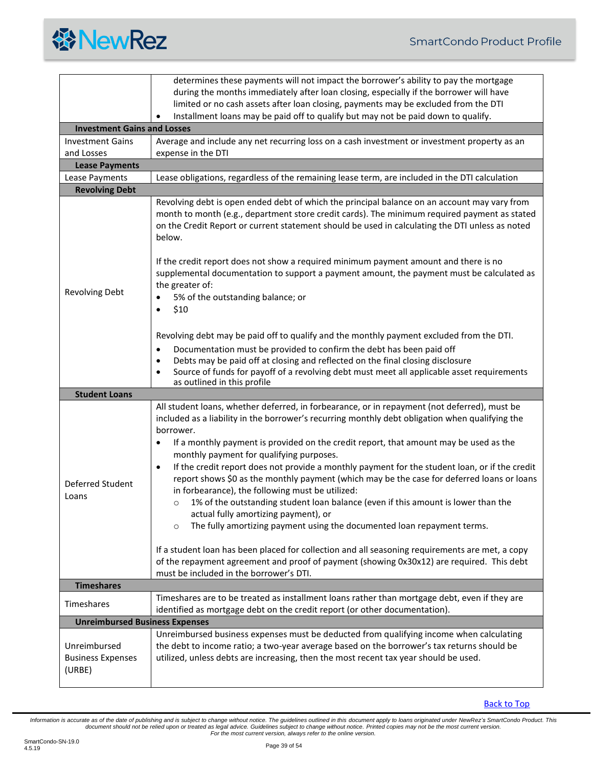

<span id="page-38-5"></span><span id="page-38-4"></span><span id="page-38-3"></span><span id="page-38-2"></span><span id="page-38-1"></span><span id="page-38-0"></span>

|                                                    | determines these payments will not impact the borrower's ability to pay the mortgage                                                                                                                                                                                                                                                                                                                                                                                                                                                                                                                                                                                                                                                                                                                                                                                                                                                                                     |  |  |  |  |
|----------------------------------------------------|--------------------------------------------------------------------------------------------------------------------------------------------------------------------------------------------------------------------------------------------------------------------------------------------------------------------------------------------------------------------------------------------------------------------------------------------------------------------------------------------------------------------------------------------------------------------------------------------------------------------------------------------------------------------------------------------------------------------------------------------------------------------------------------------------------------------------------------------------------------------------------------------------------------------------------------------------------------------------|--|--|--|--|
|                                                    | during the months immediately after loan closing, especially if the borrower will have                                                                                                                                                                                                                                                                                                                                                                                                                                                                                                                                                                                                                                                                                                                                                                                                                                                                                   |  |  |  |  |
|                                                    | limited or no cash assets after loan closing, payments may be excluded from the DTI                                                                                                                                                                                                                                                                                                                                                                                                                                                                                                                                                                                                                                                                                                                                                                                                                                                                                      |  |  |  |  |
|                                                    | Installment loans may be paid off to qualify but may not be paid down to qualify.                                                                                                                                                                                                                                                                                                                                                                                                                                                                                                                                                                                                                                                                                                                                                                                                                                                                                        |  |  |  |  |
| <b>Investment Gains and Losses</b>                 |                                                                                                                                                                                                                                                                                                                                                                                                                                                                                                                                                                                                                                                                                                                                                                                                                                                                                                                                                                          |  |  |  |  |
| <b>Investment Gains</b>                            | Average and include any net recurring loss on a cash investment or investment property as an                                                                                                                                                                                                                                                                                                                                                                                                                                                                                                                                                                                                                                                                                                                                                                                                                                                                             |  |  |  |  |
| and Losses                                         | expense in the DTI                                                                                                                                                                                                                                                                                                                                                                                                                                                                                                                                                                                                                                                                                                                                                                                                                                                                                                                                                       |  |  |  |  |
| <b>Lease Payments</b>                              |                                                                                                                                                                                                                                                                                                                                                                                                                                                                                                                                                                                                                                                                                                                                                                                                                                                                                                                                                                          |  |  |  |  |
| Lease Payments<br><b>Revolving Debt</b>            | Lease obligations, regardless of the remaining lease term, are included in the DTI calculation                                                                                                                                                                                                                                                                                                                                                                                                                                                                                                                                                                                                                                                                                                                                                                                                                                                                           |  |  |  |  |
| <b>Revolving Debt</b>                              | Revolving debt is open ended debt of which the principal balance on an account may vary from<br>month to month (e.g., department store credit cards). The minimum required payment as stated<br>on the Credit Report or current statement should be used in calculating the DTI unless as noted<br>below.<br>If the credit report does not show a required minimum payment amount and there is no<br>supplemental documentation to support a payment amount, the payment must be calculated as<br>the greater of:<br>5% of the outstanding balance; or<br>\$10<br>Revolving debt may be paid off to qualify and the monthly payment excluded from the DTI.<br>Documentation must be provided to confirm the debt has been paid off<br>٠<br>Debts may be paid off at closing and reflected on the final closing disclosure<br>٠<br>Source of funds for payoff of a revolving debt must meet all applicable asset requirements<br>$\bullet$<br>as outlined in this profile |  |  |  |  |
| <b>Student Loans</b>                               |                                                                                                                                                                                                                                                                                                                                                                                                                                                                                                                                                                                                                                                                                                                                                                                                                                                                                                                                                                          |  |  |  |  |
| Deferred Student<br>Loans                          | All student loans, whether deferred, in forbearance, or in repayment (not deferred), must be<br>included as a liability in the borrower's recurring monthly debt obligation when qualifying the<br>borrower.<br>If a monthly payment is provided on the credit report, that amount may be used as the<br>٠<br>monthly payment for qualifying purposes.<br>If the credit report does not provide a monthly payment for the student loan, or if the credit<br>$\bullet$<br>report shows \$0 as the monthly payment (which may be the case for deferred loans or loans<br>in forbearance), the following must be utilized:<br>1% of the outstanding student loan balance (even if this amount is lower than the<br>$\circ$<br>actual fully amortizing payment), or<br>The fully amortizing payment using the documented loan repayment terms.<br>$\circ$                                                                                                                    |  |  |  |  |
|                                                    | If a student loan has been placed for collection and all seasoning requirements are met, a copy<br>of the repayment agreement and proof of payment (showing 0x30x12) are required. This debt<br>must be included in the borrower's DTI.                                                                                                                                                                                                                                                                                                                                                                                                                                                                                                                                                                                                                                                                                                                                  |  |  |  |  |
| <b>Timeshares</b>                                  |                                                                                                                                                                                                                                                                                                                                                                                                                                                                                                                                                                                                                                                                                                                                                                                                                                                                                                                                                                          |  |  |  |  |
| Timeshares                                         | Timeshares are to be treated as installment loans rather than mortgage debt, even if they are<br>identified as mortgage debt on the credit report (or other documentation).                                                                                                                                                                                                                                                                                                                                                                                                                                                                                                                                                                                                                                                                                                                                                                                              |  |  |  |  |
| <b>Unreimbursed Business Expenses</b>              |                                                                                                                                                                                                                                                                                                                                                                                                                                                                                                                                                                                                                                                                                                                                                                                                                                                                                                                                                                          |  |  |  |  |
| Unreimbursed<br><b>Business Expenses</b><br>(URBE) | Unreimbursed business expenses must be deducted from qualifying income when calculating<br>the debt to income ratio; a two-year average based on the borrower's tax returns should be<br>utilized, unless debts are increasing, then the most recent tax year should be used.                                                                                                                                                                                                                                                                                                                                                                                                                                                                                                                                                                                                                                                                                            |  |  |  |  |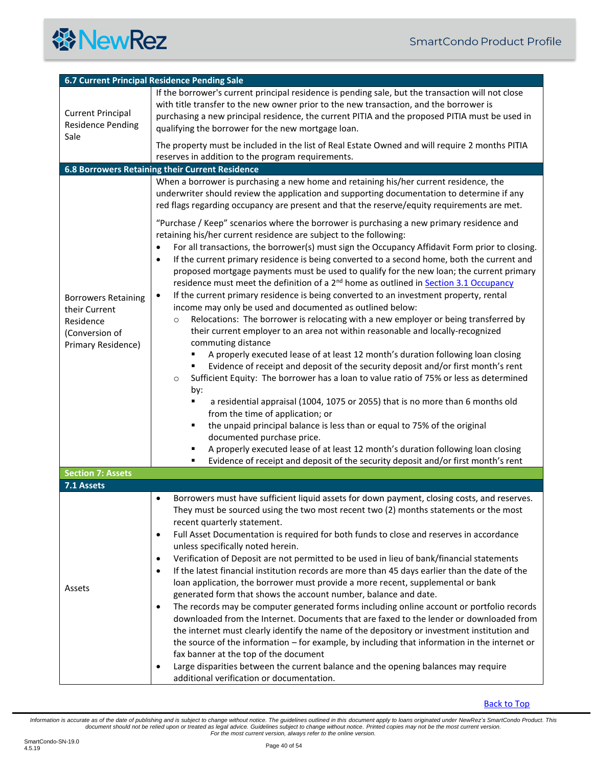<span id="page-39-3"></span><span id="page-39-2"></span><span id="page-39-1"></span><span id="page-39-0"></span>

| 6.7 Current Principal Residence Pending Sale                                                     |                                                                                                                                                                                                                                                                                                                                                                                                                                                                                                                                                                                                                                                                                                                                                                                                                                                                                                                                                                                                                                                                                                                                                                                                                                                                                                                                                                                                                                                                                                                                                                                                                                                                                                                                                                                                                                                                                                                                                            |  |  |  |  |
|--------------------------------------------------------------------------------------------------|------------------------------------------------------------------------------------------------------------------------------------------------------------------------------------------------------------------------------------------------------------------------------------------------------------------------------------------------------------------------------------------------------------------------------------------------------------------------------------------------------------------------------------------------------------------------------------------------------------------------------------------------------------------------------------------------------------------------------------------------------------------------------------------------------------------------------------------------------------------------------------------------------------------------------------------------------------------------------------------------------------------------------------------------------------------------------------------------------------------------------------------------------------------------------------------------------------------------------------------------------------------------------------------------------------------------------------------------------------------------------------------------------------------------------------------------------------------------------------------------------------------------------------------------------------------------------------------------------------------------------------------------------------------------------------------------------------------------------------------------------------------------------------------------------------------------------------------------------------------------------------------------------------------------------------------------------------|--|--|--|--|
| <b>Current Principal</b><br><b>Residence Pending</b>                                             | If the borrower's current principal residence is pending sale, but the transaction will not close<br>with title transfer to the new owner prior to the new transaction, and the borrower is<br>purchasing a new principal residence, the current PITIA and the proposed PITIA must be used in<br>qualifying the borrower for the new mortgage loan.                                                                                                                                                                                                                                                                                                                                                                                                                                                                                                                                                                                                                                                                                                                                                                                                                                                                                                                                                                                                                                                                                                                                                                                                                                                                                                                                                                                                                                                                                                                                                                                                        |  |  |  |  |
| Sale                                                                                             | The property must be included in the list of Real Estate Owned and will require 2 months PITIA                                                                                                                                                                                                                                                                                                                                                                                                                                                                                                                                                                                                                                                                                                                                                                                                                                                                                                                                                                                                                                                                                                                                                                                                                                                                                                                                                                                                                                                                                                                                                                                                                                                                                                                                                                                                                                                             |  |  |  |  |
|                                                                                                  | reserves in addition to the program requirements.                                                                                                                                                                                                                                                                                                                                                                                                                                                                                                                                                                                                                                                                                                                                                                                                                                                                                                                                                                                                                                                                                                                                                                                                                                                                                                                                                                                                                                                                                                                                                                                                                                                                                                                                                                                                                                                                                                          |  |  |  |  |
|                                                                                                  | 6.8 Borrowers Retaining their Current Residence                                                                                                                                                                                                                                                                                                                                                                                                                                                                                                                                                                                                                                                                                                                                                                                                                                                                                                                                                                                                                                                                                                                                                                                                                                                                                                                                                                                                                                                                                                                                                                                                                                                                                                                                                                                                                                                                                                            |  |  |  |  |
| <b>Borrowers Retaining</b><br>their Current<br>Residence<br>(Conversion of<br>Primary Residence) | When a borrower is purchasing a new home and retaining his/her current residence, the<br>underwriter should review the application and supporting documentation to determine if any<br>red flags regarding occupancy are present and that the reserve/equity requirements are met.<br>"Purchase / Keep" scenarios where the borrower is purchasing a new primary residence and<br>retaining his/her current residence are subject to the following:<br>For all transactions, the borrower(s) must sign the Occupancy Affidavit Form prior to closing.<br>$\bullet$<br>If the current primary residence is being converted to a second home, both the current and<br>$\bullet$<br>proposed mortgage payments must be used to qualify for the new loan; the current primary<br>residence must meet the definition of a 2 <sup>nd</sup> home as outlined in Section 3.1 Occupancy<br>If the current primary residence is being converted to an investment property, rental<br>$\bullet$<br>income may only be used and documented as outlined below:<br>Relocations: The borrower is relocating with a new employer or being transferred by<br>$\circ$<br>their current employer to an area not within reasonable and locally-recognized<br>commuting distance<br>A properly executed lease of at least 12 month's duration following loan closing<br>Evidence of receipt and deposit of the security deposit and/or first month's rent<br>Sufficient Equity: The borrower has a loan to value ratio of 75% or less as determined<br>$\circ$<br>by:<br>a residential appraisal (1004, 1075 or 2055) that is no more than 6 months old<br>from the time of application; or<br>the unpaid principal balance is less than or equal to 75% of the original<br>documented purchase price.<br>A properly executed lease of at least 12 month's duration following loan closing<br>Evidence of receipt and deposit of the security deposit and/or first month's rent |  |  |  |  |
| <b>Section 7: Assets</b>                                                                         |                                                                                                                                                                                                                                                                                                                                                                                                                                                                                                                                                                                                                                                                                                                                                                                                                                                                                                                                                                                                                                                                                                                                                                                                                                                                                                                                                                                                                                                                                                                                                                                                                                                                                                                                                                                                                                                                                                                                                            |  |  |  |  |
| 7.1 Assets                                                                                       |                                                                                                                                                                                                                                                                                                                                                                                                                                                                                                                                                                                                                                                                                                                                                                                                                                                                                                                                                                                                                                                                                                                                                                                                                                                                                                                                                                                                                                                                                                                                                                                                                                                                                                                                                                                                                                                                                                                                                            |  |  |  |  |
| Assets                                                                                           | Borrowers must have sufficient liquid assets for down payment, closing costs, and reserves.<br>$\bullet$<br>They must be sourced using the two most recent two (2) months statements or the most<br>recent quarterly statement.<br>Full Asset Documentation is required for both funds to close and reserves in accordance<br>$\bullet$<br>unless specifically noted herein.<br>Verification of Deposit are not permitted to be used in lieu of bank/financial statements<br>$\bullet$<br>If the latest financial institution records are more than 45 days earlier than the date of the<br>$\bullet$<br>loan application, the borrower must provide a more recent, supplemental or bank<br>generated form that shows the account number, balance and date.<br>The records may be computer generated forms including online account or portfolio records<br>$\bullet$<br>downloaded from the Internet. Documents that are faxed to the lender or downloaded from<br>the internet must clearly identify the name of the depository or investment institution and<br>the source of the information - for example, by including that information in the internet or<br>fax banner at the top of the document<br>Large disparities between the current balance and the opening balances may require<br>$\bullet$<br>additional verification or documentation.                                                                                                                                                                                                                                                                                                                                                                                                                                                                                                                                                                                                  |  |  |  |  |

[Back to Top](#page-1-0)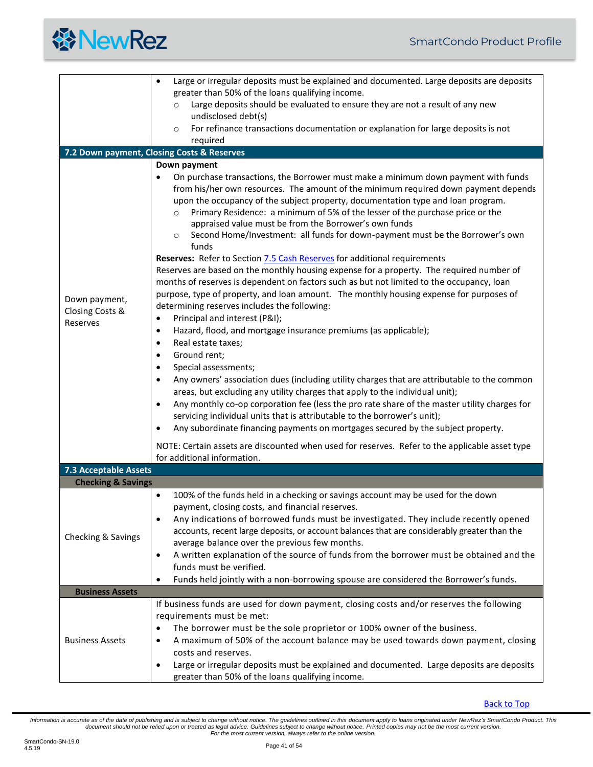

<span id="page-40-3"></span><span id="page-40-2"></span><span id="page-40-1"></span><span id="page-40-0"></span>

|                                              | Large or irregular deposits must be explained and documented. Large deposits are deposits                                                                                                                                                                                                                                                                                                                                                                                                                                                                                                                                                                                                                                                                                                                                                                                                                                                                                                                                                                                                                                                                                                                                                                                                                                                                                                                                                                                                                                                                                                                                                                                                     |  |  |  |  |
|----------------------------------------------|-----------------------------------------------------------------------------------------------------------------------------------------------------------------------------------------------------------------------------------------------------------------------------------------------------------------------------------------------------------------------------------------------------------------------------------------------------------------------------------------------------------------------------------------------------------------------------------------------------------------------------------------------------------------------------------------------------------------------------------------------------------------------------------------------------------------------------------------------------------------------------------------------------------------------------------------------------------------------------------------------------------------------------------------------------------------------------------------------------------------------------------------------------------------------------------------------------------------------------------------------------------------------------------------------------------------------------------------------------------------------------------------------------------------------------------------------------------------------------------------------------------------------------------------------------------------------------------------------------------------------------------------------------------------------------------------------|--|--|--|--|
|                                              | greater than 50% of the loans qualifying income.                                                                                                                                                                                                                                                                                                                                                                                                                                                                                                                                                                                                                                                                                                                                                                                                                                                                                                                                                                                                                                                                                                                                                                                                                                                                                                                                                                                                                                                                                                                                                                                                                                              |  |  |  |  |
|                                              | Large deposits should be evaluated to ensure they are not a result of any new<br>$\circ$<br>undisclosed debt(s)                                                                                                                                                                                                                                                                                                                                                                                                                                                                                                                                                                                                                                                                                                                                                                                                                                                                                                                                                                                                                                                                                                                                                                                                                                                                                                                                                                                                                                                                                                                                                                               |  |  |  |  |
|                                              | For refinance transactions documentation or explanation for large deposits is not<br>$\circ$                                                                                                                                                                                                                                                                                                                                                                                                                                                                                                                                                                                                                                                                                                                                                                                                                                                                                                                                                                                                                                                                                                                                                                                                                                                                                                                                                                                                                                                                                                                                                                                                  |  |  |  |  |
|                                              | required                                                                                                                                                                                                                                                                                                                                                                                                                                                                                                                                                                                                                                                                                                                                                                                                                                                                                                                                                                                                                                                                                                                                                                                                                                                                                                                                                                                                                                                                                                                                                                                                                                                                                      |  |  |  |  |
|                                              | 7.2 Down payment, Closing Costs & Reserves                                                                                                                                                                                                                                                                                                                                                                                                                                                                                                                                                                                                                                                                                                                                                                                                                                                                                                                                                                                                                                                                                                                                                                                                                                                                                                                                                                                                                                                                                                                                                                                                                                                    |  |  |  |  |
|                                              |                                                                                                                                                                                                                                                                                                                                                                                                                                                                                                                                                                                                                                                                                                                                                                                                                                                                                                                                                                                                                                                                                                                                                                                                                                                                                                                                                                                                                                                                                                                                                                                                                                                                                               |  |  |  |  |
| Down payment,<br>Closing Costs &<br>Reserves | Down payment<br>On purchase transactions, the Borrower must make a minimum down payment with funds<br>$\bullet$<br>from his/her own resources. The amount of the minimum required down payment depends<br>upon the occupancy of the subject property, documentation type and loan program.<br>Primary Residence: a minimum of 5% of the lesser of the purchase price or the<br>$\circ$<br>appraised value must be from the Borrower's own funds<br>Second Home/Investment: all funds for down-payment must be the Borrower's own<br>$\circ$<br>funds<br>Reserves: Refer to Section 7.5 Cash Reserves for additional requirements<br>Reserves are based on the monthly housing expense for a property. The required number of<br>months of reserves is dependent on factors such as but not limited to the occupancy, loan<br>purpose, type of property, and loan amount. The monthly housing expense for purposes of<br>determining reserves includes the following:<br>Principal and interest (P&I);<br>$\bullet$<br>Hazard, flood, and mortgage insurance premiums (as applicable);<br>$\bullet$<br>Real estate taxes;<br>$\bullet$<br>Ground rent;<br>$\bullet$<br>Special assessments;<br>$\bullet$<br>Any owners' association dues (including utility charges that are attributable to the common<br>$\bullet$<br>areas, but excluding any utility charges that apply to the individual unit);<br>Any monthly co-op corporation fee (less the pro rate share of the master utility charges for<br>$\bullet$<br>servicing individual units that is attributable to the borrower's unit);<br>Any subordinate financing payments on mortgages secured by the subject property.<br>$\bullet$ |  |  |  |  |
|                                              | NOTE: Certain assets are discounted when used for reserves. Refer to the applicable asset type<br>for additional information.                                                                                                                                                                                                                                                                                                                                                                                                                                                                                                                                                                                                                                                                                                                                                                                                                                                                                                                                                                                                                                                                                                                                                                                                                                                                                                                                                                                                                                                                                                                                                                 |  |  |  |  |
| <b>7.3 Acceptable Assets</b>                 |                                                                                                                                                                                                                                                                                                                                                                                                                                                                                                                                                                                                                                                                                                                                                                                                                                                                                                                                                                                                                                                                                                                                                                                                                                                                                                                                                                                                                                                                                                                                                                                                                                                                                               |  |  |  |  |
| <b>Checking &amp; Savings</b>                |                                                                                                                                                                                                                                                                                                                                                                                                                                                                                                                                                                                                                                                                                                                                                                                                                                                                                                                                                                                                                                                                                                                                                                                                                                                                                                                                                                                                                                                                                                                                                                                                                                                                                               |  |  |  |  |
| Checking & Savings                           | 100% of the funds held in a checking or savings account may be used for the down<br>$\bullet$<br>payment, closing costs, and financial reserves.<br>Any indications of borrowed funds must be investigated. They include recently opened<br>$\bullet$<br>accounts, recent large deposits, or account balances that are considerably greater than the<br>average balance over the previous few months.<br>A written explanation of the source of funds from the borrower must be obtained and the<br>$\bullet$<br>funds must be verified.<br>Funds held jointly with a non-borrowing spouse are considered the Borrower's funds.                                                                                                                                                                                                                                                                                                                                                                                                                                                                                                                                                                                                                                                                                                                                                                                                                                                                                                                                                                                                                                                               |  |  |  |  |
| <b>Business Assets</b>                       |                                                                                                                                                                                                                                                                                                                                                                                                                                                                                                                                                                                                                                                                                                                                                                                                                                                                                                                                                                                                                                                                                                                                                                                                                                                                                                                                                                                                                                                                                                                                                                                                                                                                                               |  |  |  |  |
|                                              | If business funds are used for down payment, closing costs and/or reserves the following                                                                                                                                                                                                                                                                                                                                                                                                                                                                                                                                                                                                                                                                                                                                                                                                                                                                                                                                                                                                                                                                                                                                                                                                                                                                                                                                                                                                                                                                                                                                                                                                      |  |  |  |  |
| <b>Business Assets</b>                       | requirements must be met:                                                                                                                                                                                                                                                                                                                                                                                                                                                                                                                                                                                                                                                                                                                                                                                                                                                                                                                                                                                                                                                                                                                                                                                                                                                                                                                                                                                                                                                                                                                                                                                                                                                                     |  |  |  |  |
|                                              | The borrower must be the sole proprietor or 100% owner of the business.                                                                                                                                                                                                                                                                                                                                                                                                                                                                                                                                                                                                                                                                                                                                                                                                                                                                                                                                                                                                                                                                                                                                                                                                                                                                                                                                                                                                                                                                                                                                                                                                                       |  |  |  |  |
|                                              | A maximum of 50% of the account balance may be used towards down payment, closing<br>costs and reserves.                                                                                                                                                                                                                                                                                                                                                                                                                                                                                                                                                                                                                                                                                                                                                                                                                                                                                                                                                                                                                                                                                                                                                                                                                                                                                                                                                                                                                                                                                                                                                                                      |  |  |  |  |
|                                              | Large or irregular deposits must be explained and documented. Large deposits are deposits<br>$\bullet$<br>greater than 50% of the loans qualifying income.                                                                                                                                                                                                                                                                                                                                                                                                                                                                                                                                                                                                                                                                                                                                                                                                                                                                                                                                                                                                                                                                                                                                                                                                                                                                                                                                                                                                                                                                                                                                    |  |  |  |  |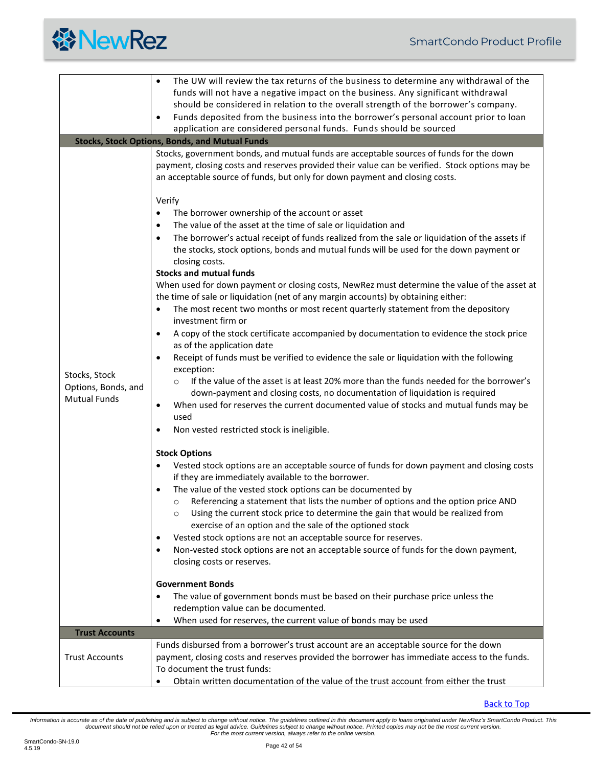

<span id="page-41-1"></span><span id="page-41-0"></span>

|                                                                                      | The UW will review the tax returns of the business to determine any withdrawal of the<br>$\bullet$<br>funds will not have a negative impact on the business. Any significant withdrawal<br>should be considered in relation to the overall strength of the borrower's company.<br>Funds deposited from the business into the borrower's personal account prior to loan<br>$\bullet$<br>application are considered personal funds. Funds should be sourced                                                                                                                                                                                                                                                                                                                                                                                                                                                                                                                                                                                                                                                                                                                                                                                                                                                                                                                                                                                                                                                                                                                                                                                                                                                                                                                                                                                                                                                                                                                                                                                                                                                                                                                                                                                                                                                                                                                                                                                                                                                                                                                                                       |
|--------------------------------------------------------------------------------------|-----------------------------------------------------------------------------------------------------------------------------------------------------------------------------------------------------------------------------------------------------------------------------------------------------------------------------------------------------------------------------------------------------------------------------------------------------------------------------------------------------------------------------------------------------------------------------------------------------------------------------------------------------------------------------------------------------------------------------------------------------------------------------------------------------------------------------------------------------------------------------------------------------------------------------------------------------------------------------------------------------------------------------------------------------------------------------------------------------------------------------------------------------------------------------------------------------------------------------------------------------------------------------------------------------------------------------------------------------------------------------------------------------------------------------------------------------------------------------------------------------------------------------------------------------------------------------------------------------------------------------------------------------------------------------------------------------------------------------------------------------------------------------------------------------------------------------------------------------------------------------------------------------------------------------------------------------------------------------------------------------------------------------------------------------------------------------------------------------------------------------------------------------------------------------------------------------------------------------------------------------------------------------------------------------------------------------------------------------------------------------------------------------------------------------------------------------------------------------------------------------------------------------------------------------------------------------------------------------------------|
|                                                                                      | <b>Stocks, Stock Options, Bonds, and Mutual Funds</b>                                                                                                                                                                                                                                                                                                                                                                                                                                                                                                                                                                                                                                                                                                                                                                                                                                                                                                                                                                                                                                                                                                                                                                                                                                                                                                                                                                                                                                                                                                                                                                                                                                                                                                                                                                                                                                                                                                                                                                                                                                                                                                                                                                                                                                                                                                                                                                                                                                                                                                                                                           |
| Stocks, Stock<br>Options, Bonds, and<br><b>Mutual Funds</b><br><b>Trust Accounts</b> | Stocks, government bonds, and mutual funds are acceptable sources of funds for the down<br>payment, closing costs and reserves provided their value can be verified. Stock options may be<br>an acceptable source of funds, but only for down payment and closing costs.<br>Verify<br>The borrower ownership of the account or asset<br>$\bullet$<br>The value of the asset at the time of sale or liquidation and<br>$\bullet$<br>The borrower's actual receipt of funds realized from the sale or liquidation of the assets if<br>$\bullet$<br>the stocks, stock options, bonds and mutual funds will be used for the down payment or<br>closing costs.<br><b>Stocks and mutual funds</b><br>When used for down payment or closing costs, NewRez must determine the value of the asset at<br>the time of sale or liquidation (net of any margin accounts) by obtaining either:<br>The most recent two months or most recent quarterly statement from the depository<br>$\bullet$<br>investment firm or<br>A copy of the stock certificate accompanied by documentation to evidence the stock price<br>$\bullet$<br>as of the application date<br>Receipt of funds must be verified to evidence the sale or liquidation with the following<br>$\bullet$<br>exception:<br>If the value of the asset is at least 20% more than the funds needed for the borrower's<br>$\circ$<br>down-payment and closing costs, no documentation of liquidation is required<br>When used for reserves the current documented value of stocks and mutual funds may be<br>$\bullet$<br>used<br>Non vested restricted stock is ineligible.<br>$\bullet$<br><b>Stock Options</b><br>Vested stock options are an acceptable source of funds for down payment and closing costs<br>$\bullet$<br>if they are immediately available to the borrower.<br>The value of the vested stock options can be documented by<br>Referencing a statement that lists the number of options and the option price AND<br>$\circ$<br>Using the current stock price to determine the gain that would be realized from<br>$\circ$<br>exercise of an option and the sale of the optioned stock<br>Vested stock options are not an acceptable source for reserves.<br>٠<br>Non-vested stock options are not an acceptable source of funds for the down payment,<br>$\bullet$<br>closing costs or reserves.<br><b>Government Bonds</b><br>The value of government bonds must be based on their purchase price unless the<br>$\bullet$<br>redemption value can be documented.<br>When used for reserves, the current value of bonds may be used<br>$\bullet$ |
| <b>Trust Accounts</b>                                                                | Funds disbursed from a borrower's trust account are an acceptable source for the down<br>payment, closing costs and reserves provided the borrower has immediate access to the funds.                                                                                                                                                                                                                                                                                                                                                                                                                                                                                                                                                                                                                                                                                                                                                                                                                                                                                                                                                                                                                                                                                                                                                                                                                                                                                                                                                                                                                                                                                                                                                                                                                                                                                                                                                                                                                                                                                                                                                                                                                                                                                                                                                                                                                                                                                                                                                                                                                           |
|                                                                                      | To document the trust funds:<br>Obtain written documentation of the value of the trust account from either the trust                                                                                                                                                                                                                                                                                                                                                                                                                                                                                                                                                                                                                                                                                                                                                                                                                                                                                                                                                                                                                                                                                                                                                                                                                                                                                                                                                                                                                                                                                                                                                                                                                                                                                                                                                                                                                                                                                                                                                                                                                                                                                                                                                                                                                                                                                                                                                                                                                                                                                            |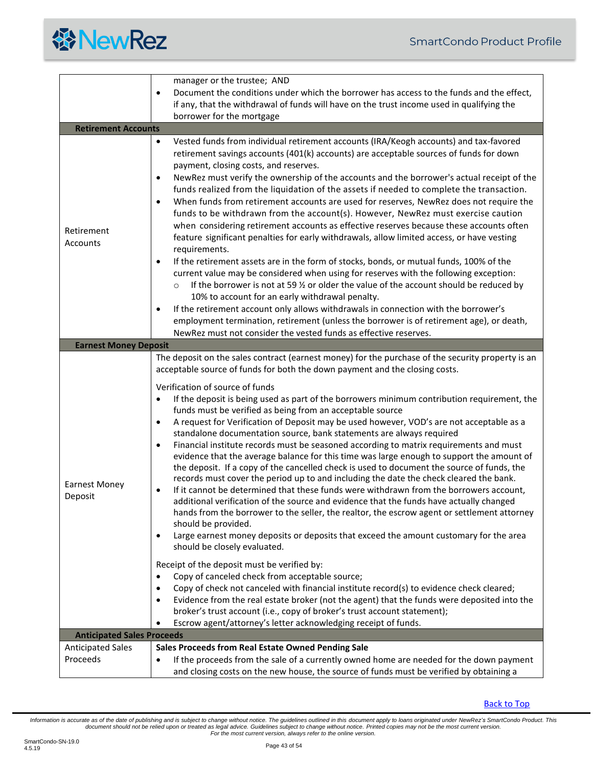

<span id="page-42-2"></span><span id="page-42-1"></span><span id="page-42-0"></span>

|                                   | manager or the trustee; AND                                                                                                                                                                                                                                                                                                                                                                                                                                                                                                                                                                                                                                                                                                                                                                                                                                                                                                                                                                                                                                                                                                                                                                                                                                                                                                                                                                                                                                                                                                                                                                                                                                                                                                                                                                                                     |  |  |  |  |
|-----------------------------------|---------------------------------------------------------------------------------------------------------------------------------------------------------------------------------------------------------------------------------------------------------------------------------------------------------------------------------------------------------------------------------------------------------------------------------------------------------------------------------------------------------------------------------------------------------------------------------------------------------------------------------------------------------------------------------------------------------------------------------------------------------------------------------------------------------------------------------------------------------------------------------------------------------------------------------------------------------------------------------------------------------------------------------------------------------------------------------------------------------------------------------------------------------------------------------------------------------------------------------------------------------------------------------------------------------------------------------------------------------------------------------------------------------------------------------------------------------------------------------------------------------------------------------------------------------------------------------------------------------------------------------------------------------------------------------------------------------------------------------------------------------------------------------------------------------------------------------|--|--|--|--|
|                                   | Document the conditions under which the borrower has access to the funds and the effect,<br>$\bullet$                                                                                                                                                                                                                                                                                                                                                                                                                                                                                                                                                                                                                                                                                                                                                                                                                                                                                                                                                                                                                                                                                                                                                                                                                                                                                                                                                                                                                                                                                                                                                                                                                                                                                                                           |  |  |  |  |
|                                   | if any, that the withdrawal of funds will have on the trust income used in qualifying the                                                                                                                                                                                                                                                                                                                                                                                                                                                                                                                                                                                                                                                                                                                                                                                                                                                                                                                                                                                                                                                                                                                                                                                                                                                                                                                                                                                                                                                                                                                                                                                                                                                                                                                                       |  |  |  |  |
|                                   | borrower for the mortgage                                                                                                                                                                                                                                                                                                                                                                                                                                                                                                                                                                                                                                                                                                                                                                                                                                                                                                                                                                                                                                                                                                                                                                                                                                                                                                                                                                                                                                                                                                                                                                                                                                                                                                                                                                                                       |  |  |  |  |
| <b>Retirement Accounts</b>        |                                                                                                                                                                                                                                                                                                                                                                                                                                                                                                                                                                                                                                                                                                                                                                                                                                                                                                                                                                                                                                                                                                                                                                                                                                                                                                                                                                                                                                                                                                                                                                                                                                                                                                                                                                                                                                 |  |  |  |  |
| Retirement<br>Accounts            | $\bullet$<br>Vested funds from individual retirement accounts (IRA/Keogh accounts) and tax-favored<br>retirement savings accounts (401(k) accounts) are acceptable sources of funds for down<br>payment, closing costs, and reserves.<br>NewRez must verify the ownership of the accounts and the borrower's actual receipt of the<br>$\bullet$<br>funds realized from the liquidation of the assets if needed to complete the transaction.<br>When funds from retirement accounts are used for reserves, NewRez does not require the<br>$\bullet$<br>funds to be withdrawn from the account(s). However, NewRez must exercise caution<br>when considering retirement accounts as effective reserves because these accounts often<br>feature significant penalties for early withdrawals, allow limited access, or have vesting<br>requirements.<br>If the retirement assets are in the form of stocks, bonds, or mutual funds, 100% of the<br>$\bullet$<br>current value may be considered when using for reserves with the following exception:<br>If the borrower is not at 59 $\frac{1}{2}$ or older the value of the account should be reduced by<br>$\circ$<br>10% to account for an early withdrawal penalty.<br>If the retirement account only allows withdrawals in connection with the borrower's<br>٠<br>employment termination, retirement (unless the borrower is of retirement age), or death,                                                                                                                                                                                                                                                                                                                                                                                                                    |  |  |  |  |
|                                   | NewRez must not consider the vested funds as effective reserves.                                                                                                                                                                                                                                                                                                                                                                                                                                                                                                                                                                                                                                                                                                                                                                                                                                                                                                                                                                                                                                                                                                                                                                                                                                                                                                                                                                                                                                                                                                                                                                                                                                                                                                                                                                |  |  |  |  |
| <b>Earnest Money Deposit</b>      |                                                                                                                                                                                                                                                                                                                                                                                                                                                                                                                                                                                                                                                                                                                                                                                                                                                                                                                                                                                                                                                                                                                                                                                                                                                                                                                                                                                                                                                                                                                                                                                                                                                                                                                                                                                                                                 |  |  |  |  |
| <b>Earnest Money</b><br>Deposit   | The deposit on the sales contract (earnest money) for the purchase of the security property is an<br>acceptable source of funds for both the down payment and the closing costs.<br>Verification of source of funds<br>If the deposit is being used as part of the borrowers minimum contribution requirement, the<br>$\bullet$<br>funds must be verified as being from an acceptable source<br>A request for Verification of Deposit may be used however, VOD's are not acceptable as a<br>$\bullet$<br>standalone documentation source, bank statements are always required<br>Financial institute records must be seasoned according to matrix requirements and must<br>$\bullet$<br>evidence that the average balance for this time was large enough to support the amount of<br>the deposit. If a copy of the cancelled check is used to document the source of funds, the<br>records must cover the period up to and including the date the check cleared the bank.<br>If it cannot be determined that these funds were withdrawn from the borrowers account,<br>$\bullet$<br>additional verification of the source and evidence that the funds have actually changed<br>hands from the borrower to the seller, the realtor, the escrow agent or settlement attorney<br>should be provided.<br>Large earnest money deposits or deposits that exceed the amount customary for the area<br>٠<br>should be closely evaluated.<br>Receipt of the deposit must be verified by:<br>Copy of canceled check from acceptable source;<br>٠<br>Copy of check not canceled with financial institute record(s) to evidence check cleared;<br>$\bullet$<br>Evidence from the real estate broker (not the agent) that the funds were deposited into the<br>٠<br>broker's trust account (i.e., copy of broker's trust account statement); |  |  |  |  |
| <b>Anticipated Sales Proceeds</b> | Escrow agent/attorney's letter acknowledging receipt of funds.                                                                                                                                                                                                                                                                                                                                                                                                                                                                                                                                                                                                                                                                                                                                                                                                                                                                                                                                                                                                                                                                                                                                                                                                                                                                                                                                                                                                                                                                                                                                                                                                                                                                                                                                                                  |  |  |  |  |
| <b>Anticipated Sales</b>          | Sales Proceeds from Real Estate Owned Pending Sale                                                                                                                                                                                                                                                                                                                                                                                                                                                                                                                                                                                                                                                                                                                                                                                                                                                                                                                                                                                                                                                                                                                                                                                                                                                                                                                                                                                                                                                                                                                                                                                                                                                                                                                                                                              |  |  |  |  |
| Proceeds                          | If the proceeds from the sale of a currently owned home are needed for the down payment<br>٠<br>and closing costs on the new house, the source of funds must be verified by obtaining a                                                                                                                                                                                                                                                                                                                                                                                                                                                                                                                                                                                                                                                                                                                                                                                                                                                                                                                                                                                                                                                                                                                                                                                                                                                                                                                                                                                                                                                                                                                                                                                                                                         |  |  |  |  |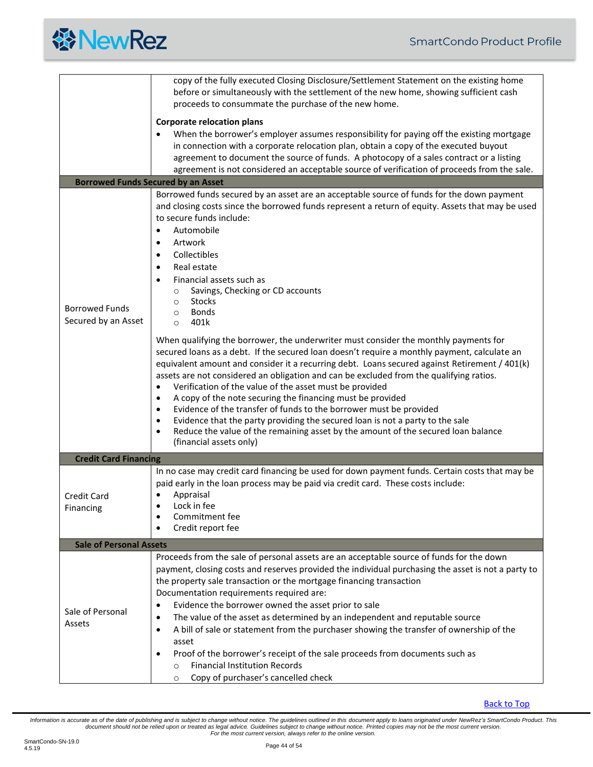|  | <b>餐NewRez</b> |
|--|----------------|
|--|----------------|

<span id="page-43-2"></span><span id="page-43-1"></span><span id="page-43-0"></span>

|                                | copy of the fully executed Closing Disclosure/Settlement Statement on the existing home<br>before or simultaneously with the settlement of the new home, showing sufficient cash<br>proceeds to consummate the purchase of the new home. |  |  |  |  |
|--------------------------------|------------------------------------------------------------------------------------------------------------------------------------------------------------------------------------------------------------------------------------------|--|--|--|--|
|                                | <b>Corporate relocation plans</b>                                                                                                                                                                                                        |  |  |  |  |
|                                |                                                                                                                                                                                                                                          |  |  |  |  |
|                                | When the borrower's employer assumes responsibility for paying off the existing mortgage                                                                                                                                                 |  |  |  |  |
|                                | in connection with a corporate relocation plan, obtain a copy of the executed buyout                                                                                                                                                     |  |  |  |  |
|                                | agreement to document the source of funds. A photocopy of a sales contract or a listing                                                                                                                                                  |  |  |  |  |
|                                | agreement is not considered an acceptable source of verification of proceeds from the sale.                                                                                                                                              |  |  |  |  |
|                                | <b>Borrowed Funds Secured by an Asset</b>                                                                                                                                                                                                |  |  |  |  |
|                                | Borrowed funds secured by an asset are an acceptable source of funds for the down payment                                                                                                                                                |  |  |  |  |
|                                | and closing costs since the borrowed funds represent a return of equity. Assets that may be used                                                                                                                                         |  |  |  |  |
|                                | to secure funds include:                                                                                                                                                                                                                 |  |  |  |  |
|                                | Automobile                                                                                                                                                                                                                               |  |  |  |  |
|                                | Artwork<br>$\bullet$                                                                                                                                                                                                                     |  |  |  |  |
|                                | Collectibles<br>$\bullet$                                                                                                                                                                                                                |  |  |  |  |
|                                | Real estate<br>$\bullet$                                                                                                                                                                                                                 |  |  |  |  |
|                                | Financial assets such as<br>$\bullet$                                                                                                                                                                                                    |  |  |  |  |
|                                | Savings, Checking or CD accounts<br>$\circ$                                                                                                                                                                                              |  |  |  |  |
|                                | <b>Stocks</b><br>$\circ$                                                                                                                                                                                                                 |  |  |  |  |
| <b>Borrowed Funds</b>          | <b>Bonds</b><br>$\circ$                                                                                                                                                                                                                  |  |  |  |  |
| Secured by an Asset            | 401k<br>$\Omega$                                                                                                                                                                                                                         |  |  |  |  |
|                                |                                                                                                                                                                                                                                          |  |  |  |  |
|                                | When qualifying the borrower, the underwriter must consider the monthly payments for                                                                                                                                                     |  |  |  |  |
|                                | secured loans as a debt. If the secured loan doesn't require a monthly payment, calculate an                                                                                                                                             |  |  |  |  |
|                                | equivalent amount and consider it a recurring debt. Loans secured against Retirement / 401(k)                                                                                                                                            |  |  |  |  |
|                                | assets are not considered an obligation and can be excluded from the qualifying ratios.                                                                                                                                                  |  |  |  |  |
|                                | Verification of the value of the asset must be provided                                                                                                                                                                                  |  |  |  |  |
|                                | A copy of the note securing the financing must be provided<br>٠                                                                                                                                                                          |  |  |  |  |
|                                | Evidence of the transfer of funds to the borrower must be provided<br>٠                                                                                                                                                                  |  |  |  |  |
|                                | Evidence that the party providing the secured loan is not a party to the sale<br>٠                                                                                                                                                       |  |  |  |  |
|                                | Reduce the value of the remaining asset by the amount of the secured loan balance<br>$\bullet$                                                                                                                                           |  |  |  |  |
|                                | (financial assets only)                                                                                                                                                                                                                  |  |  |  |  |
| <b>Credit Card Financing</b>   |                                                                                                                                                                                                                                          |  |  |  |  |
|                                | In no case may credit card financing be used for down payment funds. Certain costs that may be                                                                                                                                           |  |  |  |  |
|                                | paid early in the loan process may be paid via credit card. These costs include:                                                                                                                                                         |  |  |  |  |
| <b>Credit Card</b>             | Appraisal                                                                                                                                                                                                                                |  |  |  |  |
| Financing                      | Lock in fee                                                                                                                                                                                                                              |  |  |  |  |
|                                | Commitment fee<br>٠                                                                                                                                                                                                                      |  |  |  |  |
|                                | Credit report fee<br>$\bullet$                                                                                                                                                                                                           |  |  |  |  |
| <b>Sale of Personal Assets</b> |                                                                                                                                                                                                                                          |  |  |  |  |
|                                | Proceeds from the sale of personal assets are an acceptable source of funds for the down                                                                                                                                                 |  |  |  |  |
|                                | payment, closing costs and reserves provided the individual purchasing the asset is not a party to                                                                                                                                       |  |  |  |  |
|                                | the property sale transaction or the mortgage financing transaction                                                                                                                                                                      |  |  |  |  |
|                                | Documentation requirements required are:                                                                                                                                                                                                 |  |  |  |  |
|                                | Evidence the borrower owned the asset prior to sale<br>٠                                                                                                                                                                                 |  |  |  |  |
| Sale of Personal               |                                                                                                                                                                                                                                          |  |  |  |  |
| Assets                         | The value of the asset as determined by an independent and reputable source<br>$\bullet$                                                                                                                                                 |  |  |  |  |
|                                | A bill of sale or statement from the purchaser showing the transfer of ownership of the<br>٠                                                                                                                                             |  |  |  |  |
|                                | asset                                                                                                                                                                                                                                    |  |  |  |  |
|                                | Proof of the borrower's receipt of the sale proceeds from documents such as<br>٠                                                                                                                                                         |  |  |  |  |
|                                | <b>Financial Institution Records</b><br>$\circ$                                                                                                                                                                                          |  |  |  |  |
|                                | Copy of purchaser's cancelled check<br>$\circ$                                                                                                                                                                                           |  |  |  |  |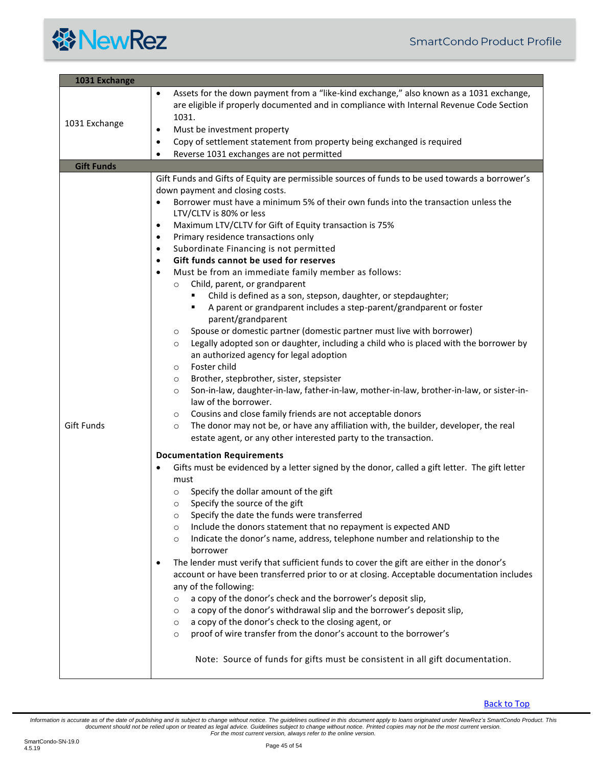

<span id="page-44-1"></span><span id="page-44-0"></span>

| 1031 Exchange     |                                                                                                                                                                                                                                                                                                                                                                                                                                                                                                                                                                                                                                                                                                                                                                                                                                                                                                                                                                                                                                                                                                                                                                                                                                                                                                                                                                                                                                                                                                                                                                                                                                                                                                                                                                                                                                                                                                                                                                                                                                                                                                                                                                                                                                                                                                                                                                                                                                                                                                                                                                                                           |  |  |  |
|-------------------|-----------------------------------------------------------------------------------------------------------------------------------------------------------------------------------------------------------------------------------------------------------------------------------------------------------------------------------------------------------------------------------------------------------------------------------------------------------------------------------------------------------------------------------------------------------------------------------------------------------------------------------------------------------------------------------------------------------------------------------------------------------------------------------------------------------------------------------------------------------------------------------------------------------------------------------------------------------------------------------------------------------------------------------------------------------------------------------------------------------------------------------------------------------------------------------------------------------------------------------------------------------------------------------------------------------------------------------------------------------------------------------------------------------------------------------------------------------------------------------------------------------------------------------------------------------------------------------------------------------------------------------------------------------------------------------------------------------------------------------------------------------------------------------------------------------------------------------------------------------------------------------------------------------------------------------------------------------------------------------------------------------------------------------------------------------------------------------------------------------------------------------------------------------------------------------------------------------------------------------------------------------------------------------------------------------------------------------------------------------------------------------------------------------------------------------------------------------------------------------------------------------------------------------------------------------------------------------------------------------|--|--|--|
| 1031 Exchange     | Assets for the down payment from a "like-kind exchange," also known as a 1031 exchange,<br>are eligible if properly documented and in compliance with Internal Revenue Code Section<br>1031.<br>Must be investment property<br>$\bullet$<br>Copy of settlement statement from property being exchanged is required<br>$\bullet$<br>Reverse 1031 exchanges are not permitted                                                                                                                                                                                                                                                                                                                                                                                                                                                                                                                                                                                                                                                                                                                                                                                                                                                                                                                                                                                                                                                                                                                                                                                                                                                                                                                                                                                                                                                                                                                                                                                                                                                                                                                                                                                                                                                                                                                                                                                                                                                                                                                                                                                                                               |  |  |  |
| <b>Gift Funds</b> |                                                                                                                                                                                                                                                                                                                                                                                                                                                                                                                                                                                                                                                                                                                                                                                                                                                                                                                                                                                                                                                                                                                                                                                                                                                                                                                                                                                                                                                                                                                                                                                                                                                                                                                                                                                                                                                                                                                                                                                                                                                                                                                                                                                                                                                                                                                                                                                                                                                                                                                                                                                                           |  |  |  |
| <b>Gift Funds</b> | Gift Funds and Gifts of Equity are permissible sources of funds to be used towards a borrower's<br>down payment and closing costs.<br>Borrower must have a minimum 5% of their own funds into the transaction unless the<br>LTV/CLTV is 80% or less<br>Maximum LTV/CLTV for Gift of Equity transaction is 75%<br>$\bullet$<br>Primary residence transactions only<br>$\bullet$<br>Subordinate Financing is not permitted<br>$\bullet$<br>Gift funds cannot be used for reserves<br>$\bullet$<br>Must be from an immediate family member as follows:<br>$\bullet$<br>Child, parent, or grandparent<br>$\circ$<br>Child is defined as a son, stepson, daughter, or stepdaughter;<br>A parent or grandparent includes a step-parent/grandparent or foster<br>٠<br>parent/grandparent<br>Spouse or domestic partner (domestic partner must live with borrower)<br>O<br>Legally adopted son or daughter, including a child who is placed with the borrower by<br>$\circ$<br>an authorized agency for legal adoption<br>Foster child<br>$\circ$<br>Brother, stepbrother, sister, stepsister<br>$\circ$<br>Son-in-law, daughter-in-law, father-in-law, mother-in-law, brother-in-law, or sister-in-<br>$\circ$<br>law of the borrower.<br>Cousins and close family friends are not acceptable donors<br>$\circ$<br>The donor may not be, or have any affiliation with, the builder, developer, the real<br>$\circ$<br>estate agent, or any other interested party to the transaction.<br><b>Documentation Requirements</b><br>Gifts must be evidenced by a letter signed by the donor, called a gift letter. The gift letter<br>$\bullet$<br>must<br>Specify the dollar amount of the gift<br>O<br>Specify the source of the gift<br>$\circ$<br>Specify the date the funds were transferred<br>$\circ$<br>Include the donors statement that no repayment is expected AND<br>O<br>Indicate the donor's name, address, telephone number and relationship to the<br>$\circ$<br>borrower<br>The lender must verify that sufficient funds to cover the gift are either in the donor's<br>٠<br>account or have been transferred prior to or at closing. Acceptable documentation includes<br>any of the following:<br>a copy of the donor's check and the borrower's deposit slip,<br>$\circ$<br>a copy of the donor's withdrawal slip and the borrower's deposit slip,<br>$\circ$<br>a copy of the donor's check to the closing agent, or<br>$\circ$<br>proof of wire transfer from the donor's account to the borrower's<br>$\circ$<br>Note: Source of funds for gifts must be consistent in all gift documentation. |  |  |  |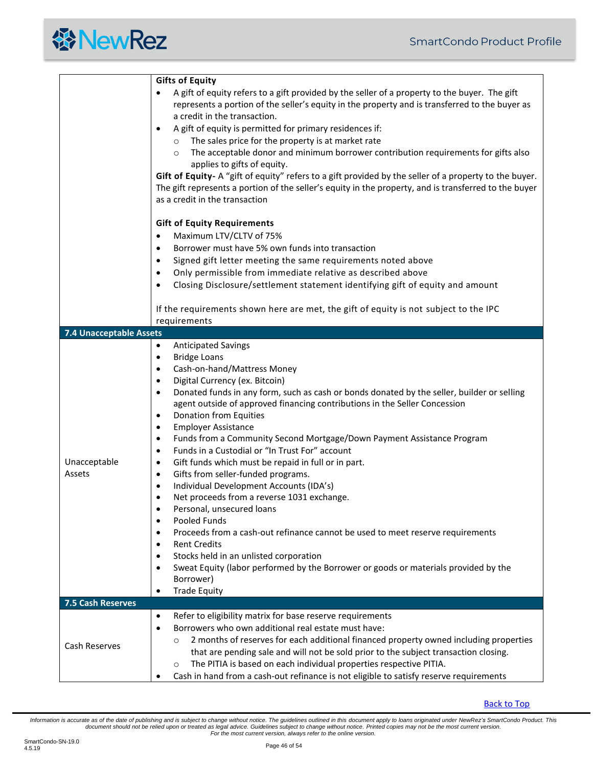<span id="page-45-0"></span>

|                         | <b>Gifts of Equity</b>                                                                                                                                                                                                          |  |  |  |  |
|-------------------------|---------------------------------------------------------------------------------------------------------------------------------------------------------------------------------------------------------------------------------|--|--|--|--|
|                         | A gift of equity refers to a gift provided by the seller of a property to the buyer. The gift<br>represents a portion of the seller's equity in the property and is transferred to the buyer as<br>a credit in the transaction. |  |  |  |  |
|                         | A gift of equity is permitted for primary residences if:<br>$\bullet$                                                                                                                                                           |  |  |  |  |
|                         | The sales price for the property is at market rate                                                                                                                                                                              |  |  |  |  |
|                         | $\circ$                                                                                                                                                                                                                         |  |  |  |  |
|                         | The acceptable donor and minimum borrower contribution requirements for gifts also<br>$\circ$<br>applies to gifts of equity.                                                                                                    |  |  |  |  |
|                         | Gift of Equity-A "gift of equity" refers to a gift provided by the seller of a property to the buyer.                                                                                                                           |  |  |  |  |
|                         | The gift represents a portion of the seller's equity in the property, and is transferred to the buyer                                                                                                                           |  |  |  |  |
|                         | as a credit in the transaction                                                                                                                                                                                                  |  |  |  |  |
|                         | <b>Gift of Equity Requirements</b>                                                                                                                                                                                              |  |  |  |  |
|                         | Maximum LTV/CLTV of 75%<br>$\bullet$                                                                                                                                                                                            |  |  |  |  |
|                         | Borrower must have 5% own funds into transaction<br>$\bullet$                                                                                                                                                                   |  |  |  |  |
|                         | Signed gift letter meeting the same requirements noted above<br>$\bullet$                                                                                                                                                       |  |  |  |  |
|                         | Only permissible from immediate relative as described above<br>$\bullet$                                                                                                                                                        |  |  |  |  |
|                         | Closing Disclosure/settlement statement identifying gift of equity and amount<br>$\bullet$                                                                                                                                      |  |  |  |  |
|                         |                                                                                                                                                                                                                                 |  |  |  |  |
|                         | If the requirements shown here are met, the gift of equity is not subject to the IPC<br>requirements                                                                                                                            |  |  |  |  |
| 7.4 Unacceptable Assets |                                                                                                                                                                                                                                 |  |  |  |  |
|                         | <b>Anticipated Savings</b><br>$\bullet$                                                                                                                                                                                         |  |  |  |  |
|                         | <b>Bridge Loans</b><br>$\bullet$                                                                                                                                                                                                |  |  |  |  |
|                         | Cash-on-hand/Mattress Money<br>$\bullet$                                                                                                                                                                                        |  |  |  |  |
|                         | Digital Currency (ex. Bitcoin)<br>$\bullet$                                                                                                                                                                                     |  |  |  |  |
|                         | Donated funds in any form, such as cash or bonds donated by the seller, builder or selling<br>$\bullet$                                                                                                                         |  |  |  |  |
|                         | agent outside of approved financing contributions in the Seller Concession<br>Donation from Equities<br>$\bullet$                                                                                                               |  |  |  |  |
|                         | <b>Employer Assistance</b><br>$\bullet$                                                                                                                                                                                         |  |  |  |  |
|                         | Funds from a Community Second Mortgage/Down Payment Assistance Program<br>$\bullet$                                                                                                                                             |  |  |  |  |
|                         | Funds in a Custodial or "In Trust For" account<br>$\bullet$                                                                                                                                                                     |  |  |  |  |
| Unacceptable            | Gift funds which must be repaid in full or in part.<br>$\bullet$                                                                                                                                                                |  |  |  |  |
| Assets                  | Gifts from seller-funded programs.<br>$\bullet$                                                                                                                                                                                 |  |  |  |  |
|                         | Individual Development Accounts (IDA's)<br>$\bullet$                                                                                                                                                                            |  |  |  |  |
|                         | Net proceeds from a reverse 1031 exchange.<br>$\bullet$                                                                                                                                                                         |  |  |  |  |
|                         | Personal, unsecured loans                                                                                                                                                                                                       |  |  |  |  |
|                         | Pooled Funds<br>$\bullet$                                                                                                                                                                                                       |  |  |  |  |
|                         | Proceeds from a cash-out refinance cannot be used to meet reserve requirements<br>$\bullet$                                                                                                                                     |  |  |  |  |
|                         | <b>Rent Credits</b><br>$\bullet$                                                                                                                                                                                                |  |  |  |  |
|                         | Stocks held in an unlisted corporation<br>$\bullet$                                                                                                                                                                             |  |  |  |  |
|                         | Sweat Equity (labor performed by the Borrower or goods or materials provided by the<br>$\bullet$                                                                                                                                |  |  |  |  |
|                         | Borrower)                                                                                                                                                                                                                       |  |  |  |  |
|                         | <b>Trade Equity</b><br>$\bullet$                                                                                                                                                                                                |  |  |  |  |
| 7.5 Cash Reserves       |                                                                                                                                                                                                                                 |  |  |  |  |
|                         | Refer to eligibility matrix for base reserve requirements<br>$\bullet$                                                                                                                                                          |  |  |  |  |
| Cash Reserves           | Borrowers who own additional real estate must have:<br>$\bullet$                                                                                                                                                                |  |  |  |  |
|                         | 2 months of reserves for each additional financed property owned including properties<br>O                                                                                                                                      |  |  |  |  |
|                         | that are pending sale and will not be sold prior to the subject transaction closing.                                                                                                                                            |  |  |  |  |
|                         | The PITIA is based on each individual properties respective PITIA.<br>$\circ$                                                                                                                                                   |  |  |  |  |
|                         | Cash in hand from a cash-out refinance is not eligible to satisfy reserve requirements<br>$\bullet$                                                                                                                             |  |  |  |  |

<span id="page-45-1"></span>[Back to Top](#page-1-0)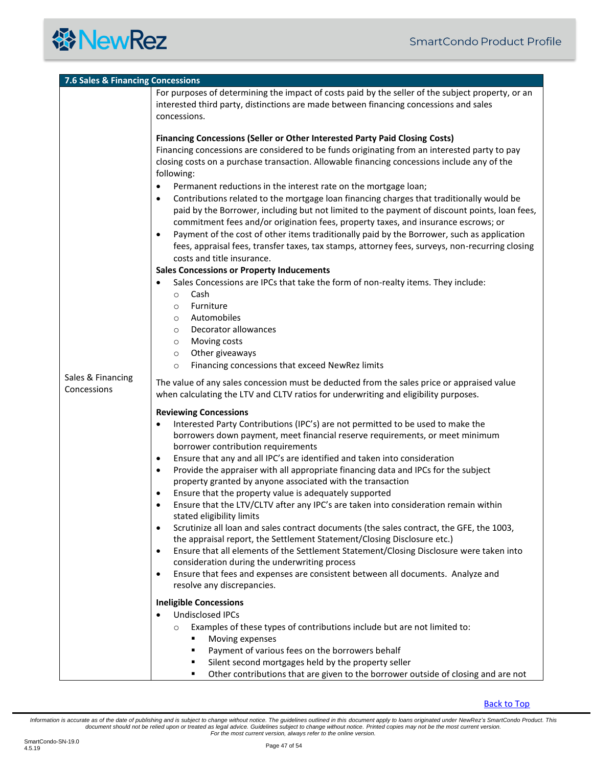

<span id="page-46-0"></span>

| 7.6 Sales & Financing Concessions |                                                                                                                                                                                                                                                                                                                                                                                                                                                                                                                                                                                                                                                                                                                                                                                                                                                                                                                                                                                                                                                                                                                                                                                                                                                                                            |  |  |  |
|-----------------------------------|--------------------------------------------------------------------------------------------------------------------------------------------------------------------------------------------------------------------------------------------------------------------------------------------------------------------------------------------------------------------------------------------------------------------------------------------------------------------------------------------------------------------------------------------------------------------------------------------------------------------------------------------------------------------------------------------------------------------------------------------------------------------------------------------------------------------------------------------------------------------------------------------------------------------------------------------------------------------------------------------------------------------------------------------------------------------------------------------------------------------------------------------------------------------------------------------------------------------------------------------------------------------------------------------|--|--|--|
|                                   | For purposes of determining the impact of costs paid by the seller of the subject property, or an<br>interested third party, distinctions are made between financing concessions and sales<br>concessions.                                                                                                                                                                                                                                                                                                                                                                                                                                                                                                                                                                                                                                                                                                                                                                                                                                                                                                                                                                                                                                                                                 |  |  |  |
| Sales & Financing<br>Concessions  | <b>Financing Concessions (Seller or Other Interested Party Paid Closing Costs)</b><br>Financing concessions are considered to be funds originating from an interested party to pay<br>closing costs on a purchase transaction. Allowable financing concessions include any of the<br>following:<br>Permanent reductions in the interest rate on the mortgage loan;<br>$\bullet$<br>Contributions related to the mortgage loan financing charges that traditionally would be<br>$\bullet$<br>paid by the Borrower, including but not limited to the payment of discount points, loan fees,<br>commitment fees and/or origination fees, property taxes, and insurance escrows; or<br>Payment of the cost of other items traditionally paid by the Borrower, such as application<br>٠<br>fees, appraisal fees, transfer taxes, tax stamps, attorney fees, surveys, non-recurring closing<br>costs and title insurance.<br><b>Sales Concessions or Property Inducements</b><br>Sales Concessions are IPCs that take the form of non-realty items. They include:<br>Cash<br>$\circ$<br>Furniture<br>$\circ$<br>Automobiles<br>$\circ$<br>Decorator allowances<br>$\circ$<br>Moving costs<br>$\circ$<br>Other giveaways<br>$\circ$<br>Financing concessions that exceed NewRez limits<br>$\circ$ |  |  |  |
|                                   | The value of any sales concession must be deducted from the sales price or appraised value<br>when calculating the LTV and CLTV ratios for underwriting and eligibility purposes.                                                                                                                                                                                                                                                                                                                                                                                                                                                                                                                                                                                                                                                                                                                                                                                                                                                                                                                                                                                                                                                                                                          |  |  |  |
|                                   | <b>Reviewing Concessions</b><br>Interested Party Contributions (IPC's) are not permitted to be used to make the<br>$\bullet$<br>borrowers down payment, meet financial reserve requirements, or meet minimum<br>borrower contribution requirements<br>Ensure that any and all IPC's are identified and taken into consideration<br>٠<br>Provide the appraiser with all appropriate financing data and IPCs for the subject<br>٠<br>property granted by anyone associated with the transaction<br>Ensure that the property value is adequately supported<br>٠<br>Ensure that the LTV/CLTV after any IPC's are taken into consideration remain within<br>stated eligibility limits<br>Scrutinize all loan and sales contract documents (the sales contract, the GFE, the 1003,<br>٠<br>the appraisal report, the Settlement Statement/Closing Disclosure etc.)<br>Ensure that all elements of the Settlement Statement/Closing Disclosure were taken into<br>٠<br>consideration during the underwriting process<br>Ensure that fees and expenses are consistent between all documents. Analyze and<br>$\bullet$<br>resolve any discrepancies.                                                                                                                                                |  |  |  |
|                                   | <b>Ineligible Concessions</b><br><b>Undisclosed IPCs</b><br>Examples of these types of contributions include but are not limited to:<br>$\circ$<br>Moving expenses<br>Payment of various fees on the borrowers behalf<br>Silent second mortgages held by the property seller<br>Other contributions that are given to the borrower outside of closing and are not<br>٠                                                                                                                                                                                                                                                                                                                                                                                                                                                                                                                                                                                                                                                                                                                                                                                                                                                                                                                     |  |  |  |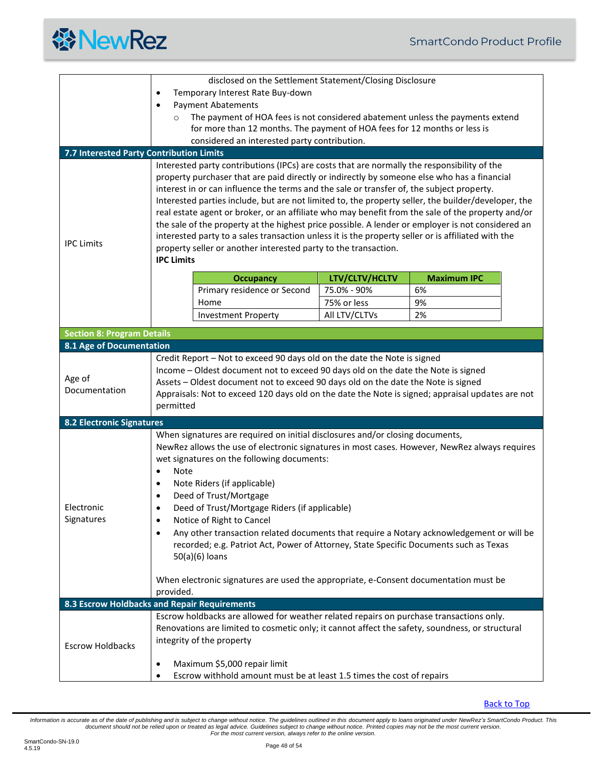

<span id="page-47-4"></span><span id="page-47-3"></span><span id="page-47-2"></span><span id="page-47-1"></span><span id="page-47-0"></span>

|                                                                                                                                                                                                                                                                                                                                                                                                                                                                                                                                                                                                                                                                                                                                                                | disclosed on the Settlement Statement/Closing Disclosure                                                                                                                                                                                                                                                                                                            |                                                                                                    |                                                                       |                                                                                                     |  |
|----------------------------------------------------------------------------------------------------------------------------------------------------------------------------------------------------------------------------------------------------------------------------------------------------------------------------------------------------------------------------------------------------------------------------------------------------------------------------------------------------------------------------------------------------------------------------------------------------------------------------------------------------------------------------------------------------------------------------------------------------------------|---------------------------------------------------------------------------------------------------------------------------------------------------------------------------------------------------------------------------------------------------------------------------------------------------------------------------------------------------------------------|----------------------------------------------------------------------------------------------------|-----------------------------------------------------------------------|-----------------------------------------------------------------------------------------------------|--|
|                                                                                                                                                                                                                                                                                                                                                                                                                                                                                                                                                                                                                                                                                                                                                                | $\bullet$                                                                                                                                                                                                                                                                                                                                                           | Temporary Interest Rate Buy-down                                                                   |                                                                       |                                                                                                     |  |
|                                                                                                                                                                                                                                                                                                                                                                                                                                                                                                                                                                                                                                                                                                                                                                | <b>Payment Abatements</b><br>$\bullet$                                                                                                                                                                                                                                                                                                                              |                                                                                                    |                                                                       |                                                                                                     |  |
|                                                                                                                                                                                                                                                                                                                                                                                                                                                                                                                                                                                                                                                                                                                                                                |                                                                                                                                                                                                                                                                                                                                                                     | The payment of HOA fees is not considered abatement unless the payments extend                     |                                                                       |                                                                                                     |  |
|                                                                                                                                                                                                                                                                                                                                                                                                                                                                                                                                                                                                                                                                                                                                                                |                                                                                                                                                                                                                                                                                                                                                                     | for more than 12 months. The payment of HOA fees for 12 months or less is                          |                                                                       |                                                                                                     |  |
|                                                                                                                                                                                                                                                                                                                                                                                                                                                                                                                                                                                                                                                                                                                                                                |                                                                                                                                                                                                                                                                                                                                                                     | considered an interested party contribution.                                                       |                                                                       |                                                                                                     |  |
| 7.7 Interested Party Contribution Limits                                                                                                                                                                                                                                                                                                                                                                                                                                                                                                                                                                                                                                                                                                                       |                                                                                                                                                                                                                                                                                                                                                                     |                                                                                                    |                                                                       |                                                                                                     |  |
|                                                                                                                                                                                                                                                                                                                                                                                                                                                                                                                                                                                                                                                                                                                                                                |                                                                                                                                                                                                                                                                                                                                                                     | Interested party contributions (IPCs) are costs that are normally the responsibility of the        |                                                                       |                                                                                                     |  |
|                                                                                                                                                                                                                                                                                                                                                                                                                                                                                                                                                                                                                                                                                                                                                                |                                                                                                                                                                                                                                                                                                                                                                     | property purchaser that are paid directly or indirectly by someone else who has a financial        |                                                                       |                                                                                                     |  |
|                                                                                                                                                                                                                                                                                                                                                                                                                                                                                                                                                                                                                                                                                                                                                                |                                                                                                                                                                                                                                                                                                                                                                     | interest in or can influence the terms and the sale or transfer of, the subject property.          |                                                                       |                                                                                                     |  |
|                                                                                                                                                                                                                                                                                                                                                                                                                                                                                                                                                                                                                                                                                                                                                                |                                                                                                                                                                                                                                                                                                                                                                     |                                                                                                    |                                                                       | Interested parties include, but are not limited to, the property seller, the builder/developer, the |  |
|                                                                                                                                                                                                                                                                                                                                                                                                                                                                                                                                                                                                                                                                                                                                                                |                                                                                                                                                                                                                                                                                                                                                                     |                                                                                                    |                                                                       | real estate agent or broker, or an affiliate who may benefit from the sale of the property and/or   |  |
|                                                                                                                                                                                                                                                                                                                                                                                                                                                                                                                                                                                                                                                                                                                                                                |                                                                                                                                                                                                                                                                                                                                                                     |                                                                                                    |                                                                       | the sale of the property at the highest price possible. A lender or employer is not considered an   |  |
| <b>IPC Limits</b>                                                                                                                                                                                                                                                                                                                                                                                                                                                                                                                                                                                                                                                                                                                                              |                                                                                                                                                                                                                                                                                                                                                                     | interested party to a sales transaction unless it is the property seller or is affiliated with the |                                                                       |                                                                                                     |  |
|                                                                                                                                                                                                                                                                                                                                                                                                                                                                                                                                                                                                                                                                                                                                                                |                                                                                                                                                                                                                                                                                                                                                                     | property seller or another interested party to the transaction.                                    |                                                                       |                                                                                                     |  |
|                                                                                                                                                                                                                                                                                                                                                                                                                                                                                                                                                                                                                                                                                                                                                                | <b>IPC Limits</b>                                                                                                                                                                                                                                                                                                                                                   |                                                                                                    |                                                                       |                                                                                                     |  |
|                                                                                                                                                                                                                                                                                                                                                                                                                                                                                                                                                                                                                                                                                                                                                                |                                                                                                                                                                                                                                                                                                                                                                     | <b>Occupancy</b>                                                                                   | LTV/CLTV/HCLTV                                                        | <b>Maximum IPC</b>                                                                                  |  |
|                                                                                                                                                                                                                                                                                                                                                                                                                                                                                                                                                                                                                                                                                                                                                                |                                                                                                                                                                                                                                                                                                                                                                     | Primary residence or Second                                                                        | 75.0% - 90%                                                           | 6%                                                                                                  |  |
|                                                                                                                                                                                                                                                                                                                                                                                                                                                                                                                                                                                                                                                                                                                                                                |                                                                                                                                                                                                                                                                                                                                                                     | Home                                                                                               | 75% or less                                                           | 9%                                                                                                  |  |
|                                                                                                                                                                                                                                                                                                                                                                                                                                                                                                                                                                                                                                                                                                                                                                |                                                                                                                                                                                                                                                                                                                                                                     | <b>Investment Property</b>                                                                         | All LTV/CLTVs                                                         | 2%                                                                                                  |  |
|                                                                                                                                                                                                                                                                                                                                                                                                                                                                                                                                                                                                                                                                                                                                                                |                                                                                                                                                                                                                                                                                                                                                                     |                                                                                                    |                                                                       |                                                                                                     |  |
| <b>Section 8: Program Details</b>                                                                                                                                                                                                                                                                                                                                                                                                                                                                                                                                                                                                                                                                                                                              |                                                                                                                                                                                                                                                                                                                                                                     |                                                                                                    |                                                                       |                                                                                                     |  |
| 8.1 Age of Documentation                                                                                                                                                                                                                                                                                                                                                                                                                                                                                                                                                                                                                                                                                                                                       |                                                                                                                                                                                                                                                                                                                                                                     |                                                                                                    |                                                                       |                                                                                                     |  |
| Age of<br>Documentation                                                                                                                                                                                                                                                                                                                                                                                                                                                                                                                                                                                                                                                                                                                                        | Credit Report - Not to exceed 90 days old on the date the Note is signed<br>Income - Oldest document not to exceed 90 days old on the date the Note is signed<br>Assets - Oldest document not to exceed 90 days old on the date the Note is signed<br>Appraisals: Not to exceed 120 days old on the date the Note is signed; appraisal updates are not<br>permitted |                                                                                                    |                                                                       |                                                                                                     |  |
| <b>8.2 Electronic Signatures</b>                                                                                                                                                                                                                                                                                                                                                                                                                                                                                                                                                                                                                                                                                                                               |                                                                                                                                                                                                                                                                                                                                                                     |                                                                                                    |                                                                       |                                                                                                     |  |
| When signatures are required on initial disclosures and/or closing documents,<br>NewRez allows the use of electronic signatures in most cases. However, NewRez always requires<br>wet signatures on the following documents:<br><b>Note</b><br>$\bullet$<br>Note Riders (if applicable)<br>$\bullet$<br>Deed of Trust/Mortgage<br>٠<br>Electronic<br>Deed of Trust/Mortgage Riders (if applicable)<br>Signatures<br>Notice of Right to Cancel<br>٠<br>Any other transaction related documents that require a Notary acknowledgement or will be<br>$\bullet$<br>recorded; e.g. Patriot Act, Power of Attorney, State Specific Documents such as Texas<br>50(a)(6) loans<br>When electronic signatures are used the appropriate, e-Consent documentation must be |                                                                                                                                                                                                                                                                                                                                                                     |                                                                                                    |                                                                       |                                                                                                     |  |
|                                                                                                                                                                                                                                                                                                                                                                                                                                                                                                                                                                                                                                                                                                                                                                | provided.                                                                                                                                                                                                                                                                                                                                                           |                                                                                                    |                                                                       |                                                                                                     |  |
| 8.3 Escrow Holdbacks and Repair Requirements                                                                                                                                                                                                                                                                                                                                                                                                                                                                                                                                                                                                                                                                                                                   |                                                                                                                                                                                                                                                                                                                                                                     |                                                                                                    |                                                                       |                                                                                                     |  |
|                                                                                                                                                                                                                                                                                                                                                                                                                                                                                                                                                                                                                                                                                                                                                                |                                                                                                                                                                                                                                                                                                                                                                     | Escrow holdbacks are allowed for weather related repairs on purchase transactions only.            |                                                                       |                                                                                                     |  |
|                                                                                                                                                                                                                                                                                                                                                                                                                                                                                                                                                                                                                                                                                                                                                                | Renovations are limited to cosmetic only; it cannot affect the safety, soundness, or structural<br>integrity of the property                                                                                                                                                                                                                                        |                                                                                                    |                                                                       |                                                                                                     |  |
| <b>Escrow Holdbacks</b>                                                                                                                                                                                                                                                                                                                                                                                                                                                                                                                                                                                                                                                                                                                                        |                                                                                                                                                                                                                                                                                                                                                                     |                                                                                                    |                                                                       |                                                                                                     |  |
|                                                                                                                                                                                                                                                                                                                                                                                                                                                                                                                                                                                                                                                                                                                                                                | Maximum \$5,000 repair limit<br>٠                                                                                                                                                                                                                                                                                                                                   |                                                                                                    |                                                                       |                                                                                                     |  |
|                                                                                                                                                                                                                                                                                                                                                                                                                                                                                                                                                                                                                                                                                                                                                                |                                                                                                                                                                                                                                                                                                                                                                     |                                                                                                    | Escrow withhold amount must be at least 1.5 times the cost of repairs |                                                                                                     |  |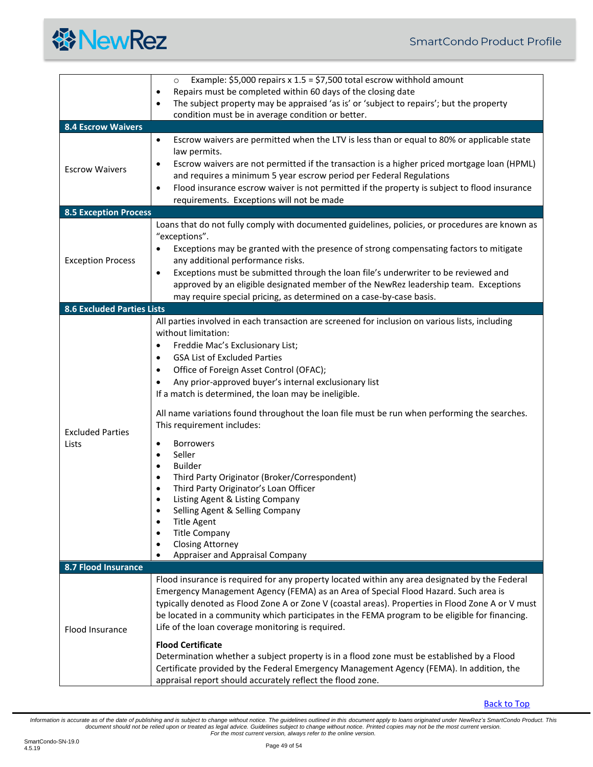

<span id="page-48-3"></span><span id="page-48-2"></span><span id="page-48-1"></span><span id="page-48-0"></span>

|                                   | Example: \$5,000 repairs $x 1.5 = $7,500$ total escrow withhold amount<br>$\circ$                                                                      |  |  |  |
|-----------------------------------|--------------------------------------------------------------------------------------------------------------------------------------------------------|--|--|--|
|                                   | Repairs must be completed within 60 days of the closing date<br>٠                                                                                      |  |  |  |
|                                   | The subject property may be appraised 'as is' or 'subject to repairs'; but the property<br>٠                                                           |  |  |  |
|                                   | condition must be in average condition or better.                                                                                                      |  |  |  |
| <b>8.4 Escrow Waivers</b>         |                                                                                                                                                        |  |  |  |
|                                   | Escrow waivers are permitted when the LTV is less than or equal to 80% or applicable state<br>$\bullet$                                                |  |  |  |
|                                   | law permits.                                                                                                                                           |  |  |  |
| <b>Escrow Waivers</b>             | Escrow waivers are not permitted if the transaction is a higher priced mortgage loan (HPML)<br>٠                                                       |  |  |  |
|                                   | and requires a minimum 5 year escrow period per Federal Regulations                                                                                    |  |  |  |
|                                   | Flood insurance escrow waiver is not permitted if the property is subject to flood insurance<br>$\bullet$<br>requirements. Exceptions will not be made |  |  |  |
| <b>8.5 Exception Process</b>      |                                                                                                                                                        |  |  |  |
|                                   | Loans that do not fully comply with documented guidelines, policies, or procedures are known as                                                        |  |  |  |
|                                   | "exceptions".                                                                                                                                          |  |  |  |
|                                   | Exceptions may be granted with the presence of strong compensating factors to mitigate                                                                 |  |  |  |
| <b>Exception Process</b>          | any additional performance risks.                                                                                                                      |  |  |  |
|                                   | Exceptions must be submitted through the loan file's underwriter to be reviewed and<br>$\bullet$                                                       |  |  |  |
|                                   | approved by an eligible designated member of the NewRez leadership team. Exceptions                                                                    |  |  |  |
|                                   | may require special pricing, as determined on a case-by-case basis.                                                                                    |  |  |  |
| <b>8.6 Excluded Parties Lists</b> |                                                                                                                                                        |  |  |  |
|                                   | All parties involved in each transaction are screened for inclusion on various lists, including                                                        |  |  |  |
|                                   | without limitation:                                                                                                                                    |  |  |  |
|                                   | Freddie Mac's Exclusionary List;<br>٠                                                                                                                  |  |  |  |
|                                   | <b>GSA List of Excluded Parties</b><br>$\bullet$                                                                                                       |  |  |  |
|                                   | Office of Foreign Asset Control (OFAC);<br>٠                                                                                                           |  |  |  |
|                                   | Any prior-approved buyer's internal exclusionary list                                                                                                  |  |  |  |
|                                   | If a match is determined, the loan may be ineligible.                                                                                                  |  |  |  |
|                                   | All name variations found throughout the loan file must be run when performing the searches.                                                           |  |  |  |
|                                   | This requirement includes:                                                                                                                             |  |  |  |
| <b>Excluded Parties</b>           |                                                                                                                                                        |  |  |  |
| Lists                             | <b>Borrowers</b><br>$\bullet$<br>Seller<br>$\bullet$                                                                                                   |  |  |  |
|                                   | <b>Builder</b><br>$\bullet$                                                                                                                            |  |  |  |
|                                   | Third Party Originator (Broker/Correspondent)<br>$\bullet$                                                                                             |  |  |  |
|                                   | Third Party Originator's Loan Officer<br>٠                                                                                                             |  |  |  |
|                                   | Listing Agent & Listing Company                                                                                                                        |  |  |  |
|                                   | Selling Agent & Selling Company                                                                                                                        |  |  |  |
|                                   | <b>Title Agent</b>                                                                                                                                     |  |  |  |
|                                   | <b>Title Company</b><br><b>Closing Attorney</b>                                                                                                        |  |  |  |
|                                   | Appraiser and Appraisal Company                                                                                                                        |  |  |  |
| 8.7 Flood Insurance               |                                                                                                                                                        |  |  |  |
|                                   | Flood insurance is required for any property located within any area designated by the Federal                                                         |  |  |  |
|                                   | Emergency Management Agency (FEMA) as an Area of Special Flood Hazard. Such area is                                                                    |  |  |  |
| Flood Insurance                   | typically denoted as Flood Zone A or Zone V (coastal areas). Properties in Flood Zone A or V must                                                      |  |  |  |
|                                   | be located in a community which participates in the FEMA program to be eligible for financing.                                                         |  |  |  |
|                                   | Life of the loan coverage monitoring is required.                                                                                                      |  |  |  |
|                                   | <b>Flood Certificate</b>                                                                                                                               |  |  |  |
|                                   | Determination whether a subject property is in a flood zone must be established by a Flood                                                             |  |  |  |
|                                   | Certificate provided by the Federal Emergency Management Agency (FEMA). In addition, the                                                               |  |  |  |
|                                   | appraisal report should accurately reflect the flood zone.                                                                                             |  |  |  |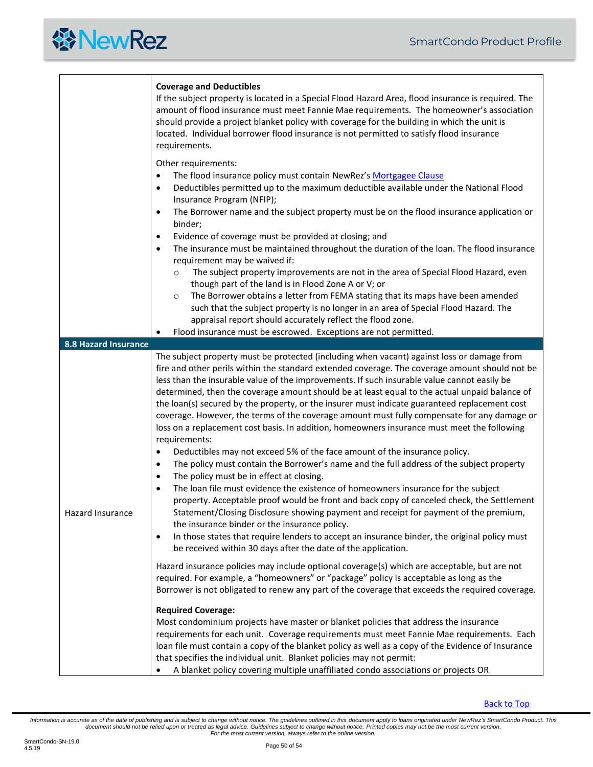<span id="page-49-0"></span>

|                      | <b>Coverage and Deductibles</b><br>If the subject property is located in a Special Flood Hazard Area, flood insurance is required. The<br>amount of flood insurance must meet Fannie Mae requirements. The homeowner's association<br>should provide a project blanket policy with coverage for the building in which the unit is<br>located. Individual borrower flood insurance is not permitted to satisfy flood insurance<br>requirements.                                                                                                                                                                                                                                                                                                                                                                                                                                                                                                                                                                                                                                                                                                                                                                                                                                                                                                                                                                                                                                                                                                                                                                                                                                                                                                                                                                                                                                                                                                                                                                                                                                                                                                                                                                                                                   |  |  |  |  |
|----------------------|------------------------------------------------------------------------------------------------------------------------------------------------------------------------------------------------------------------------------------------------------------------------------------------------------------------------------------------------------------------------------------------------------------------------------------------------------------------------------------------------------------------------------------------------------------------------------------------------------------------------------------------------------------------------------------------------------------------------------------------------------------------------------------------------------------------------------------------------------------------------------------------------------------------------------------------------------------------------------------------------------------------------------------------------------------------------------------------------------------------------------------------------------------------------------------------------------------------------------------------------------------------------------------------------------------------------------------------------------------------------------------------------------------------------------------------------------------------------------------------------------------------------------------------------------------------------------------------------------------------------------------------------------------------------------------------------------------------------------------------------------------------------------------------------------------------------------------------------------------------------------------------------------------------------------------------------------------------------------------------------------------------------------------------------------------------------------------------------------------------------------------------------------------------------------------------------------------------------------------------------------------------|--|--|--|--|
|                      | Other requirements:<br>The flood insurance policy must contain NewRez's Mortgagee Clause<br>$\bullet$<br>Deductibles permitted up to the maximum deductible available under the National Flood<br>٠<br>Insurance Program (NFIP);<br>The Borrower name and the subject property must be on the flood insurance application or<br>٠<br>binder;<br>Evidence of coverage must be provided at closing; and<br>$\bullet$<br>The insurance must be maintained throughout the duration of the loan. The flood insurance<br>$\bullet$<br>requirement may be waived if:<br>The subject property improvements are not in the area of Special Flood Hazard, even<br>$\circ$<br>though part of the land is in Flood Zone A or V; or<br>The Borrower obtains a letter from FEMA stating that its maps have been amended<br>$\circ$<br>such that the subject property is no longer in an area of Special Flood Hazard. The<br>appraisal report should accurately reflect the flood zone.<br>Flood insurance must be escrowed. Exceptions are not permitted.                                                                                                                                                                                                                                                                                                                                                                                                                                                                                                                                                                                                                                                                                                                                                                                                                                                                                                                                                                                                                                                                                                                                                                                                                     |  |  |  |  |
| 8.8 Hazard Insurance |                                                                                                                                                                                                                                                                                                                                                                                                                                                                                                                                                                                                                                                                                                                                                                                                                                                                                                                                                                                                                                                                                                                                                                                                                                                                                                                                                                                                                                                                                                                                                                                                                                                                                                                                                                                                                                                                                                                                                                                                                                                                                                                                                                                                                                                                  |  |  |  |  |
| Hazard Insurance     | The subject property must be protected (including when vacant) against loss or damage from<br>fire and other perils within the standard extended coverage. The coverage amount should not be<br>less than the insurable value of the improvements. If such insurable value cannot easily be<br>determined, then the coverage amount should be at least equal to the actual unpaid balance of<br>the loan(s) secured by the property, or the insurer must indicate guaranteed replacement cost<br>coverage. However, the terms of the coverage amount must fully compensate for any damage or<br>loss on a replacement cost basis. In addition, homeowners insurance must meet the following<br>requirements:<br>Deductibles may not exceed 5% of the face amount of the insurance policy.<br>$\bullet$<br>The policy must contain the Borrower's name and the full address of the subject property<br>$\bullet$<br>The policy must be in effect at closing.<br>٠<br>The loan file must evidence the existence of homeowners insurance for the subject<br>$\bullet$<br>property. Acceptable proof would be front and back copy of canceled check, the Settlement<br>Statement/Closing Disclosure showing payment and receipt for payment of the premium,<br>the insurance binder or the insurance policy.<br>In those states that require lenders to accept an insurance binder, the original policy must<br>٠<br>be received within 30 days after the date of the application.<br>Hazard insurance policies may include optional coverage(s) which are acceptable, but are not<br>required. For example, a "homeowners" or "package" policy is acceptable as long as the<br>Borrower is not obligated to renew any part of the coverage that exceeds the required coverage.<br><b>Required Coverage:</b><br>Most condominium projects have master or blanket policies that address the insurance<br>requirements for each unit. Coverage requirements must meet Fannie Mae requirements. Each<br>loan file must contain a copy of the blanket policy as well as a copy of the Evidence of Insurance<br>that specifies the individual unit. Blanket policies may not permit:<br>A blanket policy covering multiple unaffiliated condo associations or projects OR |  |  |  |  |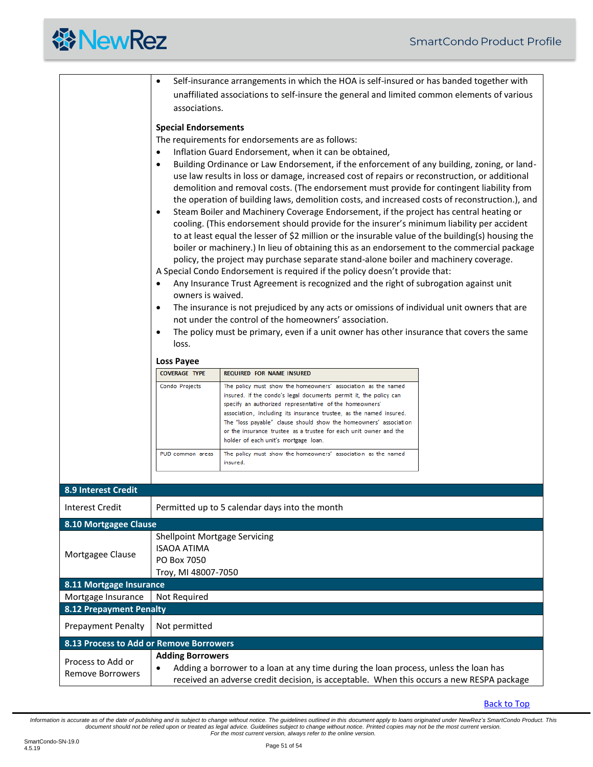<span id="page-50-1"></span><span id="page-50-0"></span>

|                                              | Self-insurance arrangements in which the HOA is self-insured or has banded together with<br>٠                                                                                                                                                                                                                                                                                                                                                                                                                                                                                                                                                                                                                                                                                                                                                                                                                                                                                                                                                                                                                                                                                                                                                                                                                                                                                                                         |                                                                                                                                                                                                                                                                                                                                                                                                                                                        |  |  |  |  |
|----------------------------------------------|-----------------------------------------------------------------------------------------------------------------------------------------------------------------------------------------------------------------------------------------------------------------------------------------------------------------------------------------------------------------------------------------------------------------------------------------------------------------------------------------------------------------------------------------------------------------------------------------------------------------------------------------------------------------------------------------------------------------------------------------------------------------------------------------------------------------------------------------------------------------------------------------------------------------------------------------------------------------------------------------------------------------------------------------------------------------------------------------------------------------------------------------------------------------------------------------------------------------------------------------------------------------------------------------------------------------------------------------------------------------------------------------------------------------------|--------------------------------------------------------------------------------------------------------------------------------------------------------------------------------------------------------------------------------------------------------------------------------------------------------------------------------------------------------------------------------------------------------------------------------------------------------|--|--|--|--|
|                                              | unaffiliated associations to self-insure the general and limited common elements of various                                                                                                                                                                                                                                                                                                                                                                                                                                                                                                                                                                                                                                                                                                                                                                                                                                                                                                                                                                                                                                                                                                                                                                                                                                                                                                                           |                                                                                                                                                                                                                                                                                                                                                                                                                                                        |  |  |  |  |
|                                              | associations.                                                                                                                                                                                                                                                                                                                                                                                                                                                                                                                                                                                                                                                                                                                                                                                                                                                                                                                                                                                                                                                                                                                                                                                                                                                                                                                                                                                                         |                                                                                                                                                                                                                                                                                                                                                                                                                                                        |  |  |  |  |
|                                              | <b>Special Endorsements</b><br>The requirements for endorsements are as follows:<br>Inflation Guard Endorsement, when it can be obtained,<br>$\bullet$<br>Building Ordinance or Law Endorsement, if the enforcement of any building, zoning, or land-<br>use law results in loss or damage, increased cost of repairs or reconstruction, or additional<br>demolition and removal costs. (The endorsement must provide for contingent liability from<br>the operation of building laws, demolition costs, and increased costs of reconstruction.), and<br>Steam Boiler and Machinery Coverage Endorsement, if the project has central heating or<br>٠<br>cooling. (This endorsement should provide for the insurer's minimum liability per accident<br>to at least equal the lesser of \$2 million or the insurable value of the building(s) housing the<br>boiler or machinery.) In lieu of obtaining this as an endorsement to the commercial package<br>policy, the project may purchase separate stand-alone boiler and machinery coverage.<br>A Special Condo Endorsement is required if the policy doesn't provide that:<br>Any Insurance Trust Agreement is recognized and the right of subrogation against unit<br>$\bullet$<br>owners is waived.<br>The insurance is not prejudiced by any acts or omissions of individual unit owners that are<br>٠<br>not under the control of the homeowners' association. |                                                                                                                                                                                                                                                                                                                                                                                                                                                        |  |  |  |  |
|                                              | The policy must be primary, even if a unit owner has other insurance that covers the same<br>$\bullet$                                                                                                                                                                                                                                                                                                                                                                                                                                                                                                                                                                                                                                                                                                                                                                                                                                                                                                                                                                                                                                                                                                                                                                                                                                                                                                                |                                                                                                                                                                                                                                                                                                                                                                                                                                                        |  |  |  |  |
|                                              | loss.                                                                                                                                                                                                                                                                                                                                                                                                                                                                                                                                                                                                                                                                                                                                                                                                                                                                                                                                                                                                                                                                                                                                                                                                                                                                                                                                                                                                                 |                                                                                                                                                                                                                                                                                                                                                                                                                                                        |  |  |  |  |
|                                              | <b>Loss Payee</b>                                                                                                                                                                                                                                                                                                                                                                                                                                                                                                                                                                                                                                                                                                                                                                                                                                                                                                                                                                                                                                                                                                                                                                                                                                                                                                                                                                                                     |                                                                                                                                                                                                                                                                                                                                                                                                                                                        |  |  |  |  |
|                                              | <b>COVERAGE TYPE</b>                                                                                                                                                                                                                                                                                                                                                                                                                                                                                                                                                                                                                                                                                                                                                                                                                                                                                                                                                                                                                                                                                                                                                                                                                                                                                                                                                                                                  | REQUIRED FOR NAME INSURED                                                                                                                                                                                                                                                                                                                                                                                                                              |  |  |  |  |
|                                              | Condo Projects                                                                                                                                                                                                                                                                                                                                                                                                                                                                                                                                                                                                                                                                                                                                                                                                                                                                                                                                                                                                                                                                                                                                                                                                                                                                                                                                                                                                        | The policy must show the homeowners' association as the named<br>insured. If the condo's legal documents permit it, the policy can<br>specify an authorized representative of the homeowners'<br>association, including its insurance trustee, as the named insured.<br>The "loss payable" clause should show the homeowners' association<br>or the insurance trustee as a trustee for each unit owner and the<br>holder of each unit's mortgage loan. |  |  |  |  |
|                                              | PUD common areas                                                                                                                                                                                                                                                                                                                                                                                                                                                                                                                                                                                                                                                                                                                                                                                                                                                                                                                                                                                                                                                                                                                                                                                                                                                                                                                                                                                                      | The policy must show the homeowners' association as the named<br>insured.                                                                                                                                                                                                                                                                                                                                                                              |  |  |  |  |
|                                              |                                                                                                                                                                                                                                                                                                                                                                                                                                                                                                                                                                                                                                                                                                                                                                                                                                                                                                                                                                                                                                                                                                                                                                                                                                                                                                                                                                                                                       |                                                                                                                                                                                                                                                                                                                                                                                                                                                        |  |  |  |  |
| 8.9 Interest Credit                          |                                                                                                                                                                                                                                                                                                                                                                                                                                                                                                                                                                                                                                                                                                                                                                                                                                                                                                                                                                                                                                                                                                                                                                                                                                                                                                                                                                                                                       |                                                                                                                                                                                                                                                                                                                                                                                                                                                        |  |  |  |  |
| <b>Interest Credit</b>                       |                                                                                                                                                                                                                                                                                                                                                                                                                                                                                                                                                                                                                                                                                                                                                                                                                                                                                                                                                                                                                                                                                                                                                                                                                                                                                                                                                                                                                       | Permitted up to 5 calendar days into the month                                                                                                                                                                                                                                                                                                                                                                                                         |  |  |  |  |
| 8.10 Mortgagee Clause                        |                                                                                                                                                                                                                                                                                                                                                                                                                                                                                                                                                                                                                                                                                                                                                                                                                                                                                                                                                                                                                                                                                                                                                                                                                                                                                                                                                                                                                       |                                                                                                                                                                                                                                                                                                                                                                                                                                                        |  |  |  |  |
| Mortgagee Clause                             | <b>Shellpoint Mortgage Servicing</b><br><b>ISAOA ATIMA</b><br>PO Box 7050<br>Troy, MI 48007-7050                                                                                                                                                                                                                                                                                                                                                                                                                                                                                                                                                                                                                                                                                                                                                                                                                                                                                                                                                                                                                                                                                                                                                                                                                                                                                                                      |                                                                                                                                                                                                                                                                                                                                                                                                                                                        |  |  |  |  |
| 8.11 Mortgage Insurance                      |                                                                                                                                                                                                                                                                                                                                                                                                                                                                                                                                                                                                                                                                                                                                                                                                                                                                                                                                                                                                                                                                                                                                                                                                                                                                                                                                                                                                                       |                                                                                                                                                                                                                                                                                                                                                                                                                                                        |  |  |  |  |
| Mortgage Insurance                           | Not Required                                                                                                                                                                                                                                                                                                                                                                                                                                                                                                                                                                                                                                                                                                                                                                                                                                                                                                                                                                                                                                                                                                                                                                                                                                                                                                                                                                                                          |                                                                                                                                                                                                                                                                                                                                                                                                                                                        |  |  |  |  |
| <b>8.12 Prepayment Penalty</b>               |                                                                                                                                                                                                                                                                                                                                                                                                                                                                                                                                                                                                                                                                                                                                                                                                                                                                                                                                                                                                                                                                                                                                                                                                                                                                                                                                                                                                                       |                                                                                                                                                                                                                                                                                                                                                                                                                                                        |  |  |  |  |
| <b>Prepayment Penalty</b>                    | Not permitted                                                                                                                                                                                                                                                                                                                                                                                                                                                                                                                                                                                                                                                                                                                                                                                                                                                                                                                                                                                                                                                                                                                                                                                                                                                                                                                                                                                                         |                                                                                                                                                                                                                                                                                                                                                                                                                                                        |  |  |  |  |
| 8.13 Process to Add or Remove Borrowers      |                                                                                                                                                                                                                                                                                                                                                                                                                                                                                                                                                                                                                                                                                                                                                                                                                                                                                                                                                                                                                                                                                                                                                                                                                                                                                                                                                                                                                       |                                                                                                                                                                                                                                                                                                                                                                                                                                                        |  |  |  |  |
|                                              | <b>Adding Borrowers</b>                                                                                                                                                                                                                                                                                                                                                                                                                                                                                                                                                                                                                                                                                                                                                                                                                                                                                                                                                                                                                                                                                                                                                                                                                                                                                                                                                                                               |                                                                                                                                                                                                                                                                                                                                                                                                                                                        |  |  |  |  |
| Process to Add or<br><b>Remove Borrowers</b> | Adding a borrower to a loan at any time during the loan process, unless the loan has                                                                                                                                                                                                                                                                                                                                                                                                                                                                                                                                                                                                                                                                                                                                                                                                                                                                                                                                                                                                                                                                                                                                                                                                                                                                                                                                  |                                                                                                                                                                                                                                                                                                                                                                                                                                                        |  |  |  |  |
|                                              | received an adverse credit decision, is acceptable. When this occurs a new RESPA package                                                                                                                                                                                                                                                                                                                                                                                                                                                                                                                                                                                                                                                                                                                                                                                                                                                                                                                                                                                                                                                                                                                                                                                                                                                                                                                              |                                                                                                                                                                                                                                                                                                                                                                                                                                                        |  |  |  |  |

<span id="page-50-4"></span><span id="page-50-3"></span><span id="page-50-2"></span>[Back to Top](#page-1-0)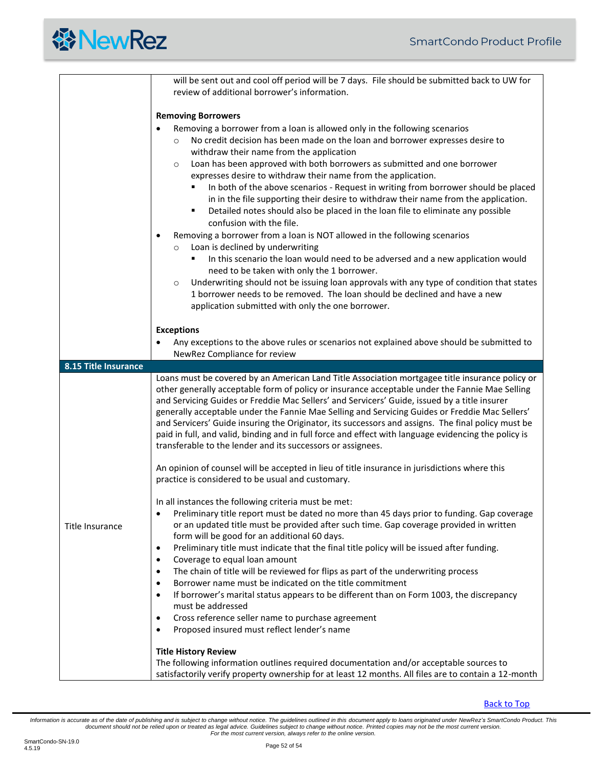

<span id="page-51-0"></span>

|                      | will be sent out and cool off period will be 7 days. File should be submitted back to UW for<br>review of additional borrower's information.                                                                                                                                                                                                                                                                                                                                                                                                                                                                                                                                                                                                                                                                                                                                                                                                                                                                                                                                                                                                                                                    |
|----------------------|-------------------------------------------------------------------------------------------------------------------------------------------------------------------------------------------------------------------------------------------------------------------------------------------------------------------------------------------------------------------------------------------------------------------------------------------------------------------------------------------------------------------------------------------------------------------------------------------------------------------------------------------------------------------------------------------------------------------------------------------------------------------------------------------------------------------------------------------------------------------------------------------------------------------------------------------------------------------------------------------------------------------------------------------------------------------------------------------------------------------------------------------------------------------------------------------------|
|                      | <b>Removing Borrowers</b>                                                                                                                                                                                                                                                                                                                                                                                                                                                                                                                                                                                                                                                                                                                                                                                                                                                                                                                                                                                                                                                                                                                                                                       |
|                      | Removing a borrower from a loan is allowed only in the following scenarios<br>No credit decision has been made on the loan and borrower expresses desire to<br>$\circ$<br>withdraw their name from the application<br>Loan has been approved with both borrowers as submitted and one borrower<br>$\circ$<br>expresses desire to withdraw their name from the application.<br>In both of the above scenarios - Request in writing from borrower should be placed<br>in in the file supporting their desire to withdraw their name from the application.<br>Detailed notes should also be placed in the loan file to eliminate any possible<br>٠<br>confusion with the file.<br>Removing a borrower from a loan is NOT allowed in the following scenarios<br>$\bullet$<br>Loan is declined by underwriting<br>$\circ$<br>In this scenario the loan would need to be adversed and a new application would<br>need to be taken with only the 1 borrower.<br>Underwriting should not be issuing loan approvals with any type of condition that states<br>$\circ$<br>1 borrower needs to be removed. The loan should be declined and have a new<br>application submitted with only the one borrower. |
|                      | <b>Exceptions</b><br>Any exceptions to the above rules or scenarios not explained above should be submitted to<br>$\bullet$<br>NewRez Compliance for review                                                                                                                                                                                                                                                                                                                                                                                                                                                                                                                                                                                                                                                                                                                                                                                                                                                                                                                                                                                                                                     |
| 8.15 Title Insurance |                                                                                                                                                                                                                                                                                                                                                                                                                                                                                                                                                                                                                                                                                                                                                                                                                                                                                                                                                                                                                                                                                                                                                                                                 |
|                      | Loans must be covered by an American Land Title Association mortgagee title insurance policy or<br>other generally acceptable form of policy or insurance acceptable under the Fannie Mae Selling<br>and Servicing Guides or Freddie Mac Sellers' and Servicers' Guide, issued by a title insurer<br>generally acceptable under the Fannie Mae Selling and Servicing Guides or Freddie Mac Sellers'<br>and Servicers' Guide insuring the Originator, its successors and assigns. The final policy must be<br>paid in full, and valid, binding and in full force and effect with language evidencing the policy is<br>transferable to the lender and its successors or assignees.<br>An opinion of counsel will be accepted in lieu of title insurance in jurisdictions where this<br>practice is considered to be usual and customary.                                                                                                                                                                                                                                                                                                                                                          |
| Title Insurance      | In all instances the following criteria must be met:<br>Preliminary title report must be dated no more than 45 days prior to funding. Gap coverage<br>or an updated title must be provided after such time. Gap coverage provided in written<br>form will be good for an additional 60 days.<br>Preliminary title must indicate that the final title policy will be issued after funding.<br>$\bullet$<br>Coverage to equal loan amount<br>$\bullet$<br>The chain of title will be reviewed for flips as part of the underwriting process<br>$\bullet$<br>Borrower name must be indicated on the title commitment<br>$\bullet$<br>If borrower's marital status appears to be different than on Form 1003, the discrepancy<br>$\bullet$<br>must be addressed<br>Cross reference seller name to purchase agreement<br>$\bullet$<br>Proposed insured must reflect lender's name<br>$\bullet$<br><b>Title History Review</b>                                                                                                                                                                                                                                                                        |
|                      | The following information outlines required documentation and/or acceptable sources to<br>satisfactorily verify property ownership for at least 12 months. All files are to contain a 12-month                                                                                                                                                                                                                                                                                                                                                                                                                                                                                                                                                                                                                                                                                                                                                                                                                                                                                                                                                                                                  |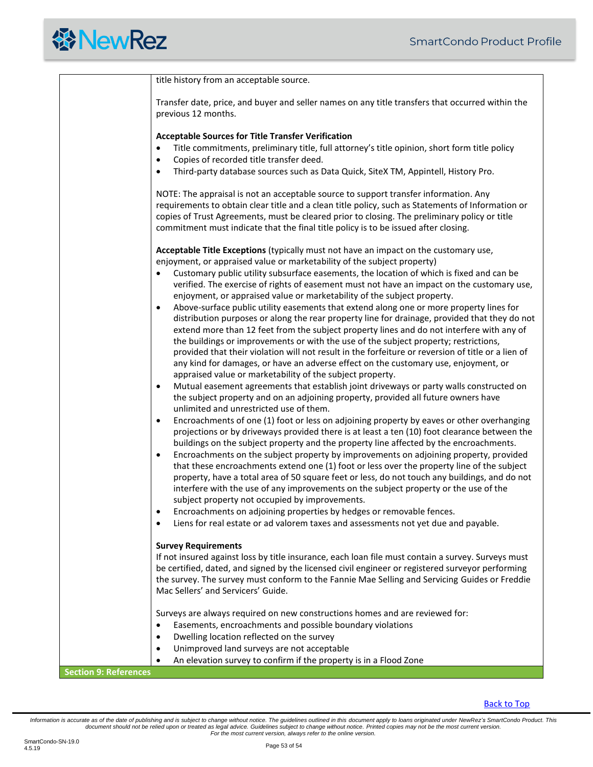| title history from an acceptable source.                                                                                                                                                                                                                                                                                                                                                                                                                                        |
|---------------------------------------------------------------------------------------------------------------------------------------------------------------------------------------------------------------------------------------------------------------------------------------------------------------------------------------------------------------------------------------------------------------------------------------------------------------------------------|
| Transfer date, price, and buyer and seller names on any title transfers that occurred within the<br>previous 12 months.                                                                                                                                                                                                                                                                                                                                                         |
| <b>Acceptable Sources for Title Transfer Verification</b>                                                                                                                                                                                                                                                                                                                                                                                                                       |
| Title commitments, preliminary title, full attorney's title opinion, short form title policy<br>$\bullet$<br>Copies of recorded title transfer deed.<br>$\bullet$                                                                                                                                                                                                                                                                                                               |
| Third-party database sources such as Data Quick, SiteX TM, Appintell, History Pro.<br>$\bullet$                                                                                                                                                                                                                                                                                                                                                                                 |
| NOTE: The appraisal is not an acceptable source to support transfer information. Any<br>requirements to obtain clear title and a clean title policy, such as Statements of Information or<br>copies of Trust Agreements, must be cleared prior to closing. The preliminary policy or title<br>commitment must indicate that the final title policy is to be issued after closing.                                                                                               |
| Acceptable Title Exceptions (typically must not have an impact on the customary use,<br>enjoyment, or appraised value or marketability of the subject property)                                                                                                                                                                                                                                                                                                                 |
| Customary public utility subsurface easements, the location of which is fixed and can be<br>$\bullet$<br>verified. The exercise of rights of easement must not have an impact on the customary use,<br>enjoyment, or appraised value or marketability of the subject property.<br>Above-surface public utility easements that extend along one or more property lines for<br>$\bullet$                                                                                          |
| distribution purposes or along the rear property line for drainage, provided that they do not<br>extend more than 12 feet from the subject property lines and do not interfere with any of<br>the buildings or improvements or with the use of the subject property; restrictions,<br>provided that their violation will not result in the forfeiture or reversion of title or a lien of<br>any kind for damages, or have an adverse effect on the customary use, enjoyment, or |
| appraised value or marketability of the subject property.<br>Mutual easement agreements that establish joint driveways or party walls constructed on<br>$\bullet$<br>the subject property and on an adjoining property, provided all future owners have<br>unlimited and unrestricted use of them.                                                                                                                                                                              |
| Encroachments of one (1) foot or less on adjoining property by eaves or other overhanging<br>$\bullet$<br>projections or by driveways provided there is at least a ten (10) foot clearance between the<br>buildings on the subject property and the property line affected by the encroachments.                                                                                                                                                                                |
| Encroachments on the subject property by improvements on adjoining property, provided<br>$\bullet$<br>that these encroachments extend one (1) foot or less over the property line of the subject<br>property, have a total area of 50 square feet or less, do not touch any buildings, and do not<br>interfere with the use of any improvements on the subject property or the use of the<br>subject property not occupied by improvements.                                     |
| Encroachments on adjoining properties by hedges or removable fences.<br>٠<br>Liens for real estate or ad valorem taxes and assessments not yet due and payable.<br>$\bullet$                                                                                                                                                                                                                                                                                                    |
| <b>Survey Requirements</b><br>If not insured against loss by title insurance, each loan file must contain a survey. Surveys must<br>be certified, dated, and signed by the licensed civil engineer or registered surveyor performing<br>the survey. The survey must conform to the Fannie Mae Selling and Servicing Guides or Freddie                                                                                                                                           |
| Mac Sellers' and Servicers' Guide.<br>Surveys are always required on new constructions homes and are reviewed for:                                                                                                                                                                                                                                                                                                                                                              |
| Easements, encroachments and possible boundary violations<br>$\bullet$                                                                                                                                                                                                                                                                                                                                                                                                          |
| Dwelling location reflected on the survey<br>$\bullet$<br>Unimproved land surveys are not acceptable<br>$\bullet$                                                                                                                                                                                                                                                                                                                                                               |
| An elevation survey to confirm if the property is in a Flood Zone<br>$\bullet$                                                                                                                                                                                                                                                                                                                                                                                                  |

<span id="page-52-0"></span>**Section 9: References**

[Back to Top](#page-1-0)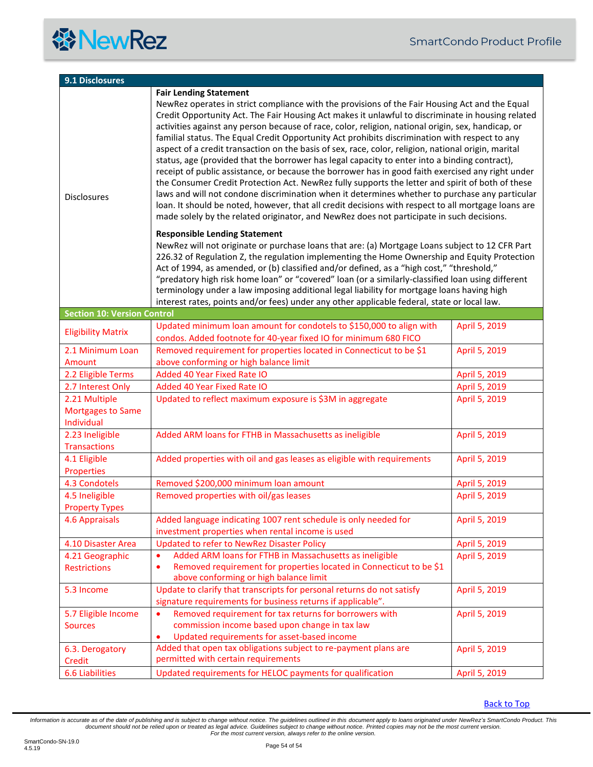<span id="page-53-1"></span><span id="page-53-0"></span>

| 9.1 Disclosures                                         |                                                                                                                                                                                                                                                                                                                                                                                                                                                                                                                                                                                                                                                                                                                                                                                                                                                                                                                                                                                                                                                                                                                                    |               |  |  |
|---------------------------------------------------------|------------------------------------------------------------------------------------------------------------------------------------------------------------------------------------------------------------------------------------------------------------------------------------------------------------------------------------------------------------------------------------------------------------------------------------------------------------------------------------------------------------------------------------------------------------------------------------------------------------------------------------------------------------------------------------------------------------------------------------------------------------------------------------------------------------------------------------------------------------------------------------------------------------------------------------------------------------------------------------------------------------------------------------------------------------------------------------------------------------------------------------|---------------|--|--|
|                                                         | <b>Fair Lending Statement</b>                                                                                                                                                                                                                                                                                                                                                                                                                                                                                                                                                                                                                                                                                                                                                                                                                                                                                                                                                                                                                                                                                                      |               |  |  |
| <b>Disclosures</b>                                      | NewRez operates in strict compliance with the provisions of the Fair Housing Act and the Equal<br>Credit Opportunity Act. The Fair Housing Act makes it unlawful to discriminate in housing related<br>activities against any person because of race, color, religion, national origin, sex, handicap, or<br>familial status. The Equal Credit Opportunity Act prohibits discrimination with respect to any<br>aspect of a credit transaction on the basis of sex, race, color, religion, national origin, marital<br>status, age (provided that the borrower has legal capacity to enter into a binding contract),<br>receipt of public assistance, or because the borrower has in good faith exercised any right under<br>the Consumer Credit Protection Act. NewRez fully supports the letter and spirit of both of these<br>laws and will not condone discrimination when it determines whether to purchase any particular<br>loan. It should be noted, however, that all credit decisions with respect to all mortgage loans are<br>made solely by the related originator, and NewRez does not participate in such decisions. |               |  |  |
|                                                         | <b>Responsible Lending Statement</b><br>NewRez will not originate or purchase loans that are: (a) Mortgage Loans subject to 12 CFR Part<br>226.32 of Regulation Z, the regulation implementing the Home Ownership and Equity Protection<br>Act of 1994, as amended, or (b) classified and/or defined, as a "high cost," "threshold,"<br>"predatory high risk home loan" or "covered" loan (or a similarly-classified loan using different<br>terminology under a law imposing additional legal liability for mortgage loans having high<br>interest rates, points and/or fees) under any other applicable federal, state or local law.                                                                                                                                                                                                                                                                                                                                                                                                                                                                                             |               |  |  |
| <b>Section 10: Version Control</b>                      |                                                                                                                                                                                                                                                                                                                                                                                                                                                                                                                                                                                                                                                                                                                                                                                                                                                                                                                                                                                                                                                                                                                                    |               |  |  |
| <b>Eligibility Matrix</b>                               | Updated minimum loan amount for condotels to \$150,000 to align with<br>condos. Added footnote for 40-year fixed IO for minimum 680 FICO                                                                                                                                                                                                                                                                                                                                                                                                                                                                                                                                                                                                                                                                                                                                                                                                                                                                                                                                                                                           | April 5, 2019 |  |  |
| 2.1 Minimum Loan                                        | Removed requirement for properties located in Connecticut to be \$1                                                                                                                                                                                                                                                                                                                                                                                                                                                                                                                                                                                                                                                                                                                                                                                                                                                                                                                                                                                                                                                                | April 5, 2019 |  |  |
| Amount                                                  | above conforming or high balance limit                                                                                                                                                                                                                                                                                                                                                                                                                                                                                                                                                                                                                                                                                                                                                                                                                                                                                                                                                                                                                                                                                             |               |  |  |
| 2.2 Eligible Terms                                      | Added 40 Year Fixed Rate IO                                                                                                                                                                                                                                                                                                                                                                                                                                                                                                                                                                                                                                                                                                                                                                                                                                                                                                                                                                                                                                                                                                        | April 5, 2019 |  |  |
| 2.7 Interest Only                                       | Added 40 Year Fixed Rate IO                                                                                                                                                                                                                                                                                                                                                                                                                                                                                                                                                                                                                                                                                                                                                                                                                                                                                                                                                                                                                                                                                                        | April 5, 2019 |  |  |
| 2.21 Multiple<br><b>Mortgages to Same</b><br>Individual | Updated to reflect maximum exposure is \$3M in aggregate                                                                                                                                                                                                                                                                                                                                                                                                                                                                                                                                                                                                                                                                                                                                                                                                                                                                                                                                                                                                                                                                           | April 5, 2019 |  |  |
| 2.23 Ineligible<br><b>Transactions</b>                  | Added ARM loans for FTHB in Massachusetts as ineligible                                                                                                                                                                                                                                                                                                                                                                                                                                                                                                                                                                                                                                                                                                                                                                                                                                                                                                                                                                                                                                                                            | April 5, 2019 |  |  |
| 4.1 Eligible<br>Properties                              | Added properties with oil and gas leases as eligible with requirements                                                                                                                                                                                                                                                                                                                                                                                                                                                                                                                                                                                                                                                                                                                                                                                                                                                                                                                                                                                                                                                             | April 5, 2019 |  |  |
| 4.3 Condotels                                           | Removed \$200,000 minimum loan amount                                                                                                                                                                                                                                                                                                                                                                                                                                                                                                                                                                                                                                                                                                                                                                                                                                                                                                                                                                                                                                                                                              | April 5, 2019 |  |  |
| 4.5 Ineligible                                          | Removed properties with oil/gas leases                                                                                                                                                                                                                                                                                                                                                                                                                                                                                                                                                                                                                                                                                                                                                                                                                                                                                                                                                                                                                                                                                             | April 5, 2019 |  |  |
| <b>Property Types</b>                                   |                                                                                                                                                                                                                                                                                                                                                                                                                                                                                                                                                                                                                                                                                                                                                                                                                                                                                                                                                                                                                                                                                                                                    |               |  |  |
| 4.6 Appraisals                                          | Added language indicating 1007 rent schedule is only needed for<br>investment properties when rental income is used                                                                                                                                                                                                                                                                                                                                                                                                                                                                                                                                                                                                                                                                                                                                                                                                                                                                                                                                                                                                                | April 5, 2019 |  |  |
| 4.10 Disaster Area                                      | Updated to refer to NewRez Disaster Policy                                                                                                                                                                                                                                                                                                                                                                                                                                                                                                                                                                                                                                                                                                                                                                                                                                                                                                                                                                                                                                                                                         | April 5, 2019 |  |  |
| 4.21 Geographic                                         | Added ARM loans for FTHB in Massachusetts as ineligible<br>$\bullet$                                                                                                                                                                                                                                                                                                                                                                                                                                                                                                                                                                                                                                                                                                                                                                                                                                                                                                                                                                                                                                                               | April 5, 2019 |  |  |
| <b>Restrictions</b>                                     | Removed requirement for properties located in Connecticut to be \$1<br>$\bullet$<br>above conforming or high balance limit                                                                                                                                                                                                                                                                                                                                                                                                                                                                                                                                                                                                                                                                                                                                                                                                                                                                                                                                                                                                         |               |  |  |
| 5.3 Income                                              | Update to clarify that transcripts for personal returns do not satisfy                                                                                                                                                                                                                                                                                                                                                                                                                                                                                                                                                                                                                                                                                                                                                                                                                                                                                                                                                                                                                                                             | April 5, 2019 |  |  |
|                                                         | signature requirements for business returns if applicable".                                                                                                                                                                                                                                                                                                                                                                                                                                                                                                                                                                                                                                                                                                                                                                                                                                                                                                                                                                                                                                                                        |               |  |  |
| 5.7 Eligible Income                                     | Removed requirement for tax returns for borrowers with<br>$\bullet$                                                                                                                                                                                                                                                                                                                                                                                                                                                                                                                                                                                                                                                                                                                                                                                                                                                                                                                                                                                                                                                                | April 5, 2019 |  |  |
| <b>Sources</b>                                          | commission income based upon change in tax law<br>Updated requirements for asset-based income<br>$\bullet$                                                                                                                                                                                                                                                                                                                                                                                                                                                                                                                                                                                                                                                                                                                                                                                                                                                                                                                                                                                                                         |               |  |  |
| 6.3. Derogatory                                         | Added that open tax obligations subject to re-payment plans are                                                                                                                                                                                                                                                                                                                                                                                                                                                                                                                                                                                                                                                                                                                                                                                                                                                                                                                                                                                                                                                                    | April 5, 2019 |  |  |
| Credit                                                  | permitted with certain requirements                                                                                                                                                                                                                                                                                                                                                                                                                                                                                                                                                                                                                                                                                                                                                                                                                                                                                                                                                                                                                                                                                                |               |  |  |
| <b>6.6 Liabilities</b>                                  | Updated requirements for HELOC payments for qualification                                                                                                                                                                                                                                                                                                                                                                                                                                                                                                                                                                                                                                                                                                                                                                                                                                                                                                                                                                                                                                                                          | April 5, 2019 |  |  |